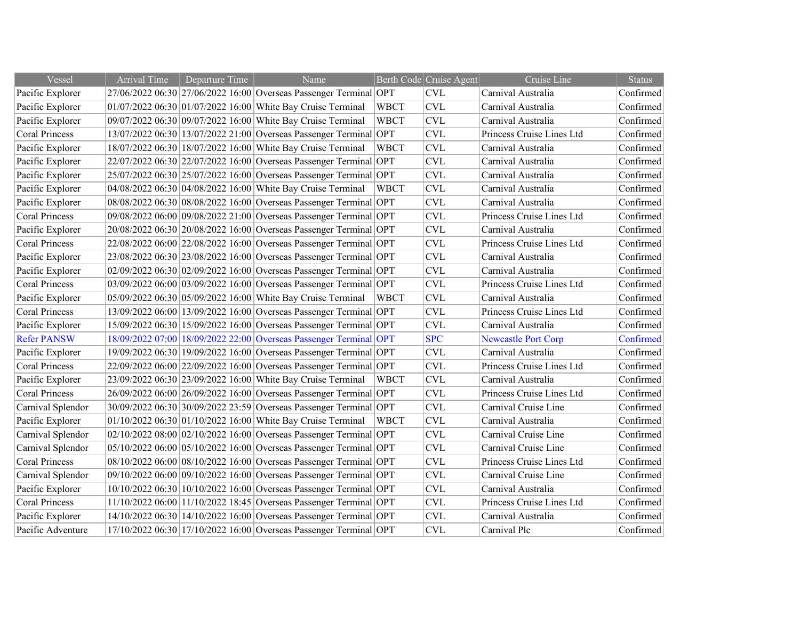| Vessel                | <b>Arrival Time</b> | Departure Time | Name                                                              |             | Berth Code Cruise Agent   | Cruise Line                | <b>Status</b> |
|-----------------------|---------------------|----------------|-------------------------------------------------------------------|-------------|---------------------------|----------------------------|---------------|
| Pacific Explorer      |                     |                | 27/06/2022 06:30 27/06/2022 16:00 Overseas Passenger Terminal OPT |             | <b>CVL</b>                | Carnival Australia         | Confirmed     |
| Pacific Explorer      |                     |                | 01/07/2022 06:30 01/07/2022 16:00 White Bay Cruise Terminal       | <b>WBCT</b> | $\ensuremath{\text{CVL}}$ | Carnival Australia         | Confirmed     |
| Pacific Explorer      |                     |                | 09/07/2022 06:30 09/07/2022 16:00 White Bay Cruise Terminal       | <b>WBCT</b> | <b>CVL</b>                | Carnival Australia         | Confirmed     |
| <b>Coral Princess</b> |                     |                | 13/07/2022 06:30 13/07/2022 21:00 Overseas Passenger Terminal OPT |             | <b>CVL</b>                | Princess Cruise Lines Ltd  | Confirmed     |
| Pacific Explorer      |                     |                | 18/07/2022 06:30 18/07/2022 16:00 White Bay Cruise Terminal       | WBCT        | <b>CVL</b>                | Carnival Australia         | Confirmed     |
| Pacific Explorer      |                     |                | 22/07/2022 06:30 22/07/2022 16:00 Overseas Passenger Terminal OPT |             | <b>CVL</b>                | Carnival Australia         | Confirmed     |
| Pacific Explorer      |                     |                | 25/07/2022 06:30 25/07/2022 16:00 Overseas Passenger Terminal OPT |             | <b>CVL</b>                | Carnival Australia         | Confirmed     |
| Pacific Explorer      |                     |                | 04/08/2022 06:30 04/08/2022 16:00 White Bay Cruise Terminal       | <b>WBCT</b> | <b>CVL</b>                | Carnival Australia         | Confirmed     |
| Pacific Explorer      |                     |                | 08/08/2022 06:30 08/08/2022 16:00 Overseas Passenger Terminal OPT |             | $\ensuremath{\text{CVL}}$ | Carnival Australia         | Confirmed     |
| <b>Coral Princess</b> |                     |                | 09/08/2022 06:00 09/08/2022 21:00 Overseas Passenger Terminal OPT |             | <b>CVL</b>                | Princess Cruise Lines Ltd  | Confirmed     |
| Pacific Explorer      |                     |                | 20/08/2022 06:30 20/08/2022 16:00 Overseas Passenger Terminal OPT |             | $\ensuremath{\text{CVL}}$ | Carnival Australia         | Confirmed     |
| <b>Coral Princess</b> |                     |                | 22/08/2022 06:00 22/08/2022 16:00 Overseas Passenger Terminal OPT |             | <b>CVL</b>                | Princess Cruise Lines Ltd  | Confirmed     |
| Pacific Explorer      |                     |                | 23/08/2022 06:30 23/08/2022 16:00 Overseas Passenger Terminal OPT |             | <b>CVL</b>                | Carnival Australia         | Confirmed     |
| Pacific Explorer      |                     |                | 02/09/2022 06:30 02/09/2022 16:00 Overseas Passenger Terminal OPT |             | <b>CVL</b>                | Carnival Australia         | Confirmed     |
| <b>Coral Princess</b> |                     |                | 03/09/2022 06:00 03/09/2022 16:00 Overseas Passenger Terminal OPT |             | <b>CVL</b>                | Princess Cruise Lines Ltd  | Confirmed     |
| Pacific Explorer      |                     |                | 05/09/2022 06:30 05/09/2022 16:00 White Bay Cruise Terminal       | <b>WBCT</b> | <b>CVL</b>                | Carnival Australia         | Confirmed     |
| <b>Coral Princess</b> |                     |                | 13/09/2022 06:00 13/09/2022 16:00 Overseas Passenger Terminal OPT |             | <b>CVL</b>                | Princess Cruise Lines Ltd  | Confirmed     |
| Pacific Explorer      |                     |                | 15/09/2022 06:30 15/09/2022 16:00 Overseas Passenger Terminal OPT |             | <b>CVL</b>                | Carnival Australia         | Confirmed     |
| <b>Refer PANSW</b>    |                     |                | 18/09/2022 07:00 18/09/2022 22:00 Overseas Passenger Terminal OPT |             | <b>SPC</b>                | <b>Newcastle Port Corp</b> | Confirmed     |
| Pacific Explorer      |                     |                | 19/09/2022 06:30 19/09/2022 16:00 Overseas Passenger Terminal OPT |             | <b>CVL</b>                | Carnival Australia         | Confirmed     |
| <b>Coral Princess</b> |                     |                | 22/09/2022 06:00 22/09/2022 16:00 Overseas Passenger Terminal OPT |             | <b>CVL</b>                | Princess Cruise Lines Ltd  | Confirmed     |
| Pacific Explorer      |                     |                | 23/09/2022 06:30 23/09/2022 16:00 White Bay Cruise Terminal       | WBCT        | <b>CVL</b>                | Carnival Australia         | Confirmed     |
| <b>Coral Princess</b> |                     |                | 26/09/2022 06:00 26/09/2022 16:00 Overseas Passenger Terminal OPT |             | <b>CVL</b>                | Princess Cruise Lines Ltd  | Confirmed     |
| Carnival Splendor     |                     |                | 30/09/2022 06:30 30/09/2022 23:59 Overseas Passenger Terminal OPT |             | <b>CVL</b>                | Carnival Cruise Line       | Confirmed     |
| Pacific Explorer      |                     |                | $01/10/2022$ 06:30 01/10/2022 16:00 White Bay Cruise Terminal     | WBCT        | <b>CVL</b>                | Carnival Australia         | Confirmed     |
| Carnival Splendor     |                     |                | 02/10/2022 08:00 02/10/2022 16:00 Overseas Passenger Terminal OPT |             | $\ensuremath{\text{CVL}}$ | Carnival Cruise Line       | Confirmed     |
| Carnival Splendor     |                     |                | 05/10/2022 06:00 05/10/2022 16:00 Overseas Passenger Terminal OPT |             | <b>CVL</b>                | Carnival Cruise Line       | Confirmed     |
| Coral Princess        |                     |                | 08/10/2022 06:00 08/10/2022 16:00 Overseas Passenger Terminal OPT |             | <b>CVL</b>                | Princess Cruise Lines Ltd  | Confirmed     |
| Carnival Splendor     |                     |                | 09/10/2022 06:00 09/10/2022 16:00 Overseas Passenger Terminal OPT |             | $\ensuremath{\text{CVL}}$ | Carnival Cruise Line       | Confirmed     |
| Pacific Explorer      |                     |                | 10/10/2022 06:30 10/10/2022 16:00 Overseas Passenger Terminal OPT |             | <b>CVL</b>                | Carnival Australia         | Confirmed     |
| <b>Coral Princess</b> |                     |                | 11/10/2022 06:00 11/10/2022 18:45 Overseas Passenger Terminal OPT |             | $\ensuremath{\text{CVL}}$ | Princess Cruise Lines Ltd  | Confirmed     |
| Pacific Explorer      |                     |                | 14/10/2022 06:30 14/10/2022 16:00 Overseas Passenger Terminal OPT |             | <b>CVL</b>                | Carnival Australia         | Confirmed     |
| Pacific Adventure     |                     |                | 17/10/2022 06:30 17/10/2022 16:00 Overseas Passenger Terminal OPT |             | <b>CVL</b>                | Carnival Plc               | Confirmed     |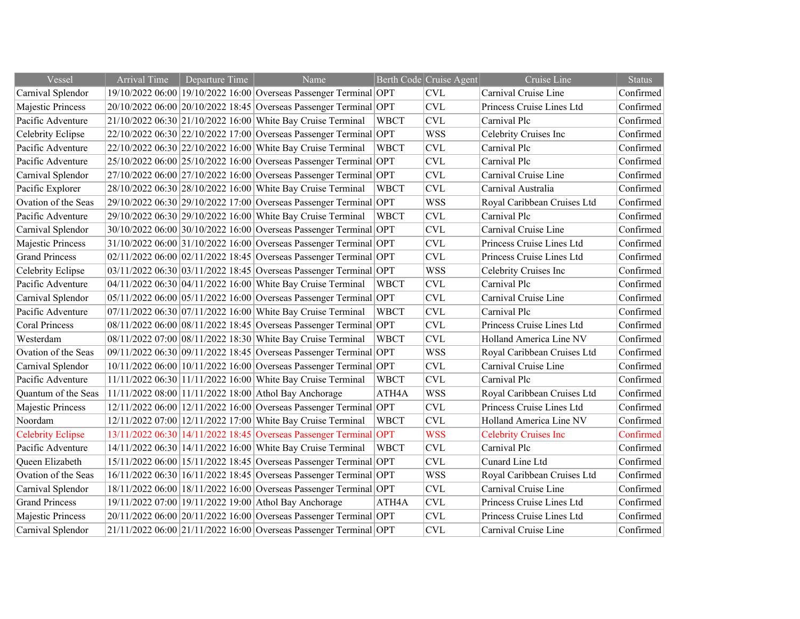| Vessel                   | <b>Arrival Time</b> | Departure Time | Name                                                              |             | Berth Code Cruise Agent   | Cruise Line                  | <b>Status</b> |
|--------------------------|---------------------|----------------|-------------------------------------------------------------------|-------------|---------------------------|------------------------------|---------------|
| Carnival Splendor        |                     |                | 19/10/2022 06:00 19/10/2022 16:00 Overseas Passenger Terminal OPT |             | <b>CVL</b>                | Carnival Cruise Line         | Confirmed     |
| Majestic Princess        |                     |                | 20/10/2022 06:00 20/10/2022 18:45 Overseas Passenger Terminal OPT |             | <b>CVL</b>                | Princess Cruise Lines Ltd    | Confirmed     |
| Pacific Adventure        |                     |                | 21/10/2022 06:30 21/10/2022 16:00 White Bay Cruise Terminal       | <b>WBCT</b> | <b>CVL</b>                | Carnival Plc                 | Confirmed     |
| Celebrity Eclipse        |                     |                | 22/10/2022 06:30 22/10/2022 17:00 Overseas Passenger Terminal OPT |             | <b>WSS</b>                | Celebrity Cruises Inc        | Confirmed     |
| Pacific Adventure        |                     |                | 22/10/2022 06:30 22/10/2022 16:00 White Bay Cruise Terminal       | <b>WBCT</b> | <b>CVL</b>                | Carnival Plc                 | Confirmed     |
| Pacific Adventure        |                     |                | 25/10/2022 06:00 25/10/2022 16:00 Overseas Passenger Terminal OPT |             | <b>CVL</b>                | Carnival Plc                 | Confirmed     |
| Carnival Splendor        |                     |                | 27/10/2022 06:00 27/10/2022 16:00 Overseas Passenger Terminal OPT |             | <b>CVL</b>                | Carnival Cruise Line         | Confirmed     |
| Pacific Explorer         |                     |                | 28/10/2022 06:30 28/10/2022 16:00 White Bay Cruise Terminal       | <b>WBCT</b> | <b>CVL</b>                | Carnival Australia           | Confirmed     |
| Ovation of the Seas      |                     |                | 29/10/2022 06:30 29/10/2022 17:00 Overseas Passenger Terminal OPT |             | <b>WSS</b>                | Royal Caribbean Cruises Ltd  | Confirmed     |
| Pacific Adventure        |                     |                | 29/10/2022 06:30 29/10/2022 16:00 White Bay Cruise Terminal       | <b>WBCT</b> | <b>CVL</b>                | Carnival Plc                 | Confirmed     |
| Carnival Splendor        |                     |                | 30/10/2022 06:00 30/10/2022 16:00 Overseas Passenger Terminal OPT |             | <b>CVL</b>                | Carnival Cruise Line         | Confirmed     |
| Majestic Princess        |                     |                | 31/10/2022 06:00 31/10/2022 16:00 Overseas Passenger Terminal OPT |             | <b>CVL</b>                | Princess Cruise Lines Ltd    | Confirmed     |
| <b>Grand Princess</b>    |                     |                | 02/11/2022 06:00 02/11/2022 18:45 Overseas Passenger Terminal OPT |             | <b>CVL</b>                | Princess Cruise Lines Ltd    | Confirmed     |
| Celebrity Eclipse        |                     |                | 03/11/2022 06:30 03/11/2022 18:45 Overseas Passenger Terminal OPT |             | <b>WSS</b>                | Celebrity Cruises Inc        | Confirmed     |
| Pacific Adventure        |                     |                | 04/11/2022 06:30 04/11/2022 16:00 White Bay Cruise Terminal       | <b>WBCT</b> | <b>CVL</b>                | Carnival Plc                 | Confirmed     |
| Carnival Splendor        |                     |                | 05/11/2022 06:00 05/11/2022 16:00 Overseas Passenger Terminal OPT |             | <b>CVL</b>                | Carnival Cruise Line         | Confirmed     |
| Pacific Adventure        |                     |                | 07/11/2022 06:30 07/11/2022 16:00 White Bay Cruise Terminal       | <b>WBCT</b> | <b>CVL</b>                | Carnival Plc                 | Confirmed     |
| <b>Coral Princess</b>    |                     |                | 08/11/2022 06:00 08/11/2022 18:45 Overseas Passenger Terminal OPT |             | <b>CVL</b>                | Princess Cruise Lines Ltd    | Confirmed     |
| Westerdam                |                     |                | 08/11/2022 07:00 08/11/2022 18:30 White Bay Cruise Terminal       | <b>WBCT</b> | <b>CVL</b>                | Holland America Line NV      | Confirmed     |
| Ovation of the Seas      |                     |                | 09/11/2022 06:30 09/11/2022 18:45 Overseas Passenger Terminal OPT |             | <b>WSS</b>                | Royal Caribbean Cruises Ltd  | Confirmed     |
| Carnival Splendor        |                     |                | 10/11/2022 06:00 10/11/2022 16:00 Overseas Passenger Terminal OPT |             | <b>CVL</b>                | Carnival Cruise Line         | Confirmed     |
| Pacific Adventure        |                     |                | 11/11/2022 06:30 11/11/2022 16:00 White Bay Cruise Terminal       | <b>WBCT</b> | <b>CVL</b>                | Carnival Plc                 | Confirmed     |
| Quantum of the Seas      |                     |                | 11/11/2022 08:00 11/11/2022 18:00 Athol Bay Anchorage             | ATH4A       | <b>WSS</b>                | Royal Caribbean Cruises Ltd  | Confirmed     |
| Majestic Princess        |                     |                | 12/11/2022 06:00 12/11/2022 16:00 Overseas Passenger Terminal OPT |             | <b>CVL</b>                | Princess Cruise Lines Ltd    | Confirmed     |
| Noordam                  |                     |                | 12/11/2022 07:00 12/11/2022 17:00 White Bay Cruise Terminal       | <b>WBCT</b> | <b>CVL</b>                | Holland America Line NV      | Confirmed     |
| <b>Celebrity Eclipse</b> |                     |                | 13/11/2022 06:30 14/11/2022 18:45 Overseas Passenger Terminal     | OPT         | <b>WSS</b>                | <b>Celebrity Cruises Inc</b> | Confirmed     |
| Pacific Adventure        |                     |                | 14/11/2022 06:30 14/11/2022 16:00 White Bay Cruise Terminal       | <b>WBCT</b> | <b>CVL</b>                | Carnival Plc                 | Confirmed     |
| Queen Elizabeth          |                     |                | 15/11/2022 06:00 15/11/2022 18:45 Overseas Passenger Terminal OPT |             | <b>CVL</b>                | Cunard Line Ltd              | Confirmed     |
| Ovation of the Seas      |                     |                | 16/11/2022 06:30 16/11/2022 18:45 Overseas Passenger Terminal OPT |             | <b>WSS</b>                | Royal Caribbean Cruises Ltd  | Confirmed     |
| Carnival Splendor        |                     |                | 18/11/2022 06:00 18/11/2022 16:00 Overseas Passenger Terminal OPT |             | $\ensuremath{\text{CVL}}$ | Carnival Cruise Line         | Confirmed     |
| <b>Grand Princess</b>    |                     |                | 19/11/2022 07:00 19/11/2022 19:00 Athol Bay Anchorage             | ATH4A       | $\ensuremath{\text{CVL}}$ | Princess Cruise Lines Ltd    | Confirmed     |
| Majestic Princess        |                     |                | 20/11/2022 06:00 20/11/2022 16:00 Overseas Passenger Terminal OPT |             | <b>CVL</b>                | Princess Cruise Lines Ltd    | Confirmed     |
| Carnival Splendor        |                     |                | 21/11/2022 06:00 21/11/2022 16:00 Overseas Passenger Terminal OPT |             | <b>CVL</b>                | Carnival Cruise Line         | Confirmed     |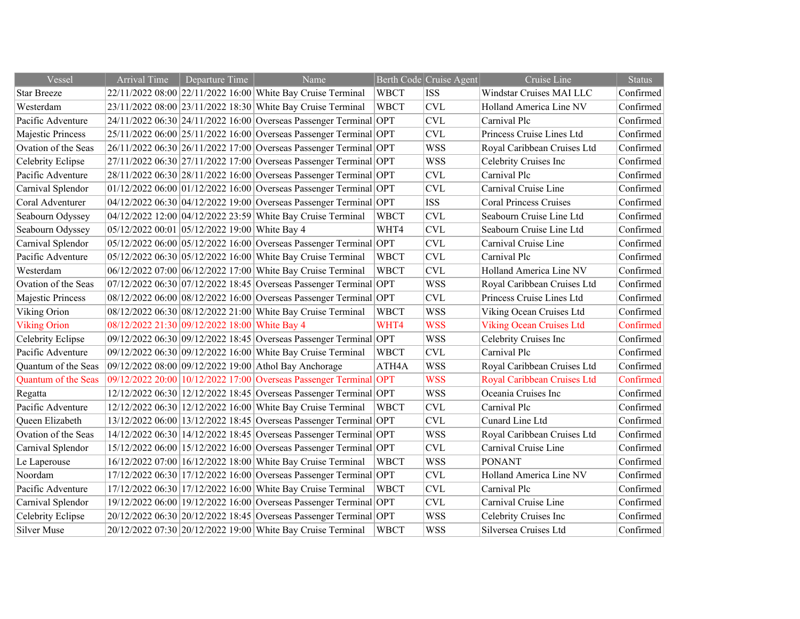| Vessel              | <b>Arrival Time</b>                           | Departure Time | Name                                                                |             | Berth Code Cruise Agent   | Cruise Line                     | <b>Status</b> |
|---------------------|-----------------------------------------------|----------------|---------------------------------------------------------------------|-------------|---------------------------|---------------------------------|---------------|
| <b>Star Breeze</b>  |                                               |                | 22/11/2022 08:00 22/11/2022 16:00 White Bay Cruise Terminal         | <b>WBCT</b> | <b>ISS</b>                | Windstar Cruises MAI LLC        | Confirmed     |
| Westerdam           |                                               |                | 23/11/2022 08:00 23/11/2022 18:30 White Bay Cruise Terminal         | <b>WBCT</b> | $\ensuremath{\text{CVL}}$ | Holland America Line NV         | Confirmed     |
| Pacific Adventure   |                                               |                | 24/11/2022 06:30 24/11/2022 16:00 Overseas Passenger Terminal OPT   |             | <b>CVL</b>                | Carnival Plc                    | Confirmed     |
| Majestic Princess   |                                               |                | 25/11/2022 06:00 25/11/2022 16:00 Overseas Passenger Terminal OPT   |             | <b>CVL</b>                | Princess Cruise Lines Ltd       | Confirmed     |
| Ovation of the Seas |                                               |                | 26/11/2022 06:30 26/11/2022 17:00 Overseas Passenger Terminal OPT   |             | <b>WSS</b>                | Royal Caribbean Cruises Ltd     | Confirmed     |
| Celebrity Eclipse   |                                               |                | 27/11/2022 06:30 27/11/2022 17:00 Overseas Passenger Terminal OPT   |             | <b>WSS</b>                | Celebrity Cruises Inc           | Confirmed     |
| Pacific Adventure   |                                               |                | 28/11/2022 06:30 28/11/2022 16:00 Overseas Passenger Terminal OPT   |             | $\ensuremath{\text{CVL}}$ | Carnival Plc                    | Confirmed     |
| Carnival Splendor   |                                               |                | $ 01/12/202206:00 01/12/202216:00 Overseas Passenger Terminal  OPT$ |             | <b>CVL</b>                | Carnival Cruise Line            | Confirmed     |
| Coral Adventurer    |                                               |                | 04/12/2022 06:30 04/12/2022 19:00 Overseas Passenger Terminal OPT   |             | <b>ISS</b>                | <b>Coral Princess Cruises</b>   | Confirmed     |
| Seabourn Odyssey    |                                               |                | 04/12/2022 12:00 04/12/2022 23:59 White Bay Cruise Terminal         | <b>WBCT</b> | <b>CVL</b>                | Seabourn Cruise Line Ltd        | Confirmed     |
| Seabourn Odyssey    | 05/12/2022 00:01 05/12/2022 19:00 White Bay 4 |                |                                                                     | WHT4        | <b>CVL</b>                | Seabourn Cruise Line Ltd        | Confirmed     |
| Carnival Splendor   |                                               |                | 05/12/2022 06:00 05/12/2022 16:00 Overseas Passenger Terminal OPT   |             | <b>CVL</b>                | Carnival Cruise Line            | Confirmed     |
| Pacific Adventure   |                                               |                | 05/12/2022 06:30 05/12/2022 16:00 White Bay Cruise Terminal         | <b>WBCT</b> | <b>CVL</b>                | Carnival Plc                    | Confirmed     |
| Westerdam           |                                               |                | 06/12/2022 07:00 06/12/2022 17:00 White Bay Cruise Terminal         | <b>WBCT</b> | <b>CVL</b>                | Holland America Line NV         | Confirmed     |
| Ovation of the Seas |                                               |                | 07/12/2022 06:30 07/12/2022 18:45 Overseas Passenger Terminal OPT   |             | <b>WSS</b>                | Royal Caribbean Cruises Ltd     | Confirmed     |
| Majestic Princess   |                                               |                | 08/12/2022 06:00 08/12/2022 16:00 Overseas Passenger Terminal OPT   |             | <b>CVL</b>                | Princess Cruise Lines Ltd       | Confirmed     |
| Viking Orion        |                                               |                | 08/12/2022 06:30 08/12/2022 21:00 White Bay Cruise Terminal         | <b>WBCT</b> | <b>WSS</b>                | Viking Ocean Cruises Ltd        | Confirmed     |
| <b>Viking Orion</b> | 08/12/2022 21:30 09/12/2022 18:00 White Bay 4 |                |                                                                     | WHT4        | <b>WSS</b>                | <b>Viking Ocean Cruises Ltd</b> | Confirmed     |
| Celebrity Eclipse   |                                               |                | 09/12/2022 06:30 09/12/2022 18:45 Overseas Passenger Terminal OPT   |             | <b>WSS</b>                | Celebrity Cruises Inc           | Confirmed     |
| Pacific Adventure   |                                               |                | 09/12/2022 06:30 09/12/2022 16:00 White Bay Cruise Terminal         | <b>WBCT</b> | <b>CVL</b>                | Carnival Plc                    | Confirmed     |
| Quantum of the Seas |                                               |                | 09/12/2022 08:00 09/12/2022 19:00 Athol Bay Anchorage               | ATH4A       | <b>WSS</b>                | Royal Caribbean Cruises Ltd     | Confirmed     |
| Quantum of the Seas |                                               |                | 09/12/2022 20:00 10/12/2022 17:00 Overseas Passenger Terminal OPT   |             | <b>WSS</b>                | Royal Caribbean Cruises Ltd     | Confirmed     |
| Regatta             |                                               |                | 12/12/2022 06:30 12/12/2022 18:45 Overseas Passenger Terminal OPT   |             | <b>WSS</b>                | Oceania Cruises Inc             | Confirmed     |
| Pacific Adventure   |                                               |                | 12/12/2022 06:30 12/12/2022 16:00 White Bay Cruise Terminal         | <b>WBCT</b> | <b>CVL</b>                | Carnival Plc                    | Confirmed     |
| Queen Elizabeth     |                                               |                | 13/12/2022 06:00 13/12/2022 18:45 Overseas Passenger Terminal OPT   |             | <b>CVL</b>                | Cunard Line Ltd                 | Confirmed     |
| Ovation of the Seas |                                               |                | 14/12/2022 06:30 14/12/2022 18:45 Overseas Passenger Terminal OPT   |             | <b>WSS</b>                | Royal Caribbean Cruises Ltd     | Confirmed     |
| Carnival Splendor   |                                               |                | 15/12/2022 06:00 15/12/2022 16:00 Overseas Passenger Terminal OPT   |             | <b>CVL</b>                | Carnival Cruise Line            | Confirmed     |
| Le Laperouse        |                                               |                | 16/12/2022 07:00 16/12/2022 18:00 White Bay Cruise Terminal         | <b>WBCT</b> | <b>WSS</b>                | <b>PONANT</b>                   | Confirmed     |
| Noordam             |                                               |                | 17/12/2022 06:30 17/12/2022 16:00 Overseas Passenger Terminal OPT   |             | <b>CVL</b>                | Holland America Line NV         | Confirmed     |
| Pacific Adventure   |                                               |                | 17/12/2022 06:30 17/12/2022 16:00 White Bay Cruise Terminal         | <b>WBCT</b> | $\ensuremath{\text{CVL}}$ | Carnival Plc                    | Confirmed     |
| Carnival Splendor   |                                               |                | 19/12/2022 06:00 19/12/2022 16:00 Overseas Passenger Terminal OPT   |             | $\ensuremath{\text{CVL}}$ | Carnival Cruise Line            | Confirmed     |
| Celebrity Eclipse   |                                               |                | 20/12/2022 06:30 20/12/2022 18:45 Overseas Passenger Terminal OPT   |             | <b>WSS</b>                | Celebrity Cruises Inc           | Confirmed     |
| Silver Muse         |                                               |                | 20/12/2022 07:30 20/12/2022 19:00 White Bay Cruise Terminal         | <b>WBCT</b> | <b>WSS</b>                | Silversea Cruises Ltd           | Confirmed     |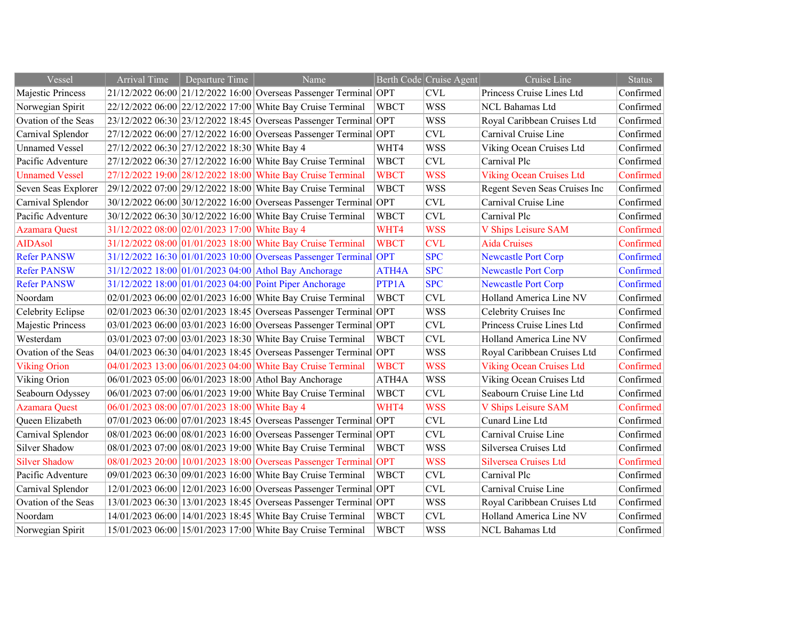| Vessel                | <b>Arrival Time</b>                           | Departure Time | Name                                                              |             | Berth Code Cruise Agent | Cruise Line                     | <b>Status</b> |
|-----------------------|-----------------------------------------------|----------------|-------------------------------------------------------------------|-------------|-------------------------|---------------------------------|---------------|
| Majestic Princess     |                                               |                | 21/12/2022 06:00 21/12/2022 16:00 Overseas Passenger Terminal OPT |             | <b>CVL</b>              | Princess Cruise Lines Ltd       | Confirmed     |
| Norwegian Spirit      |                                               |                | 22/12/2022 06:00 22/12/2022 17:00 White Bay Cruise Terminal       | <b>WBCT</b> | <b>WSS</b>              | NCL Bahamas Ltd                 | Confirmed     |
| Ovation of the Seas   |                                               |                | 23/12/2022 06:30 23/12/2022 18:45 Overseas Passenger Terminal OPT |             | <b>WSS</b>              | Royal Caribbean Cruises Ltd     | Confirmed     |
| Carnival Splendor     |                                               |                | 27/12/2022 06:00 27/12/2022 16:00 Overseas Passenger Terminal OPT |             | <b>CVL</b>              | Carnival Cruise Line            | Confirmed     |
| <b>Unnamed Vessel</b> | 27/12/2022 06:30 27/12/2022 18:30 White Bay 4 |                |                                                                   | WHT4        | <b>WSS</b>              | Viking Ocean Cruises Ltd        | Confirmed     |
| Pacific Adventure     |                                               |                | 27/12/2022 06:30 27/12/2022 16:00 White Bay Cruise Terminal       | <b>WBCT</b> | CVL                     | Carnival Plc                    | Confirmed     |
| <b>Unnamed Vessel</b> |                                               |                | 27/12/2022 19:00 28/12/2022 18:00 White Bay Cruise Terminal       | <b>WBCT</b> | <b>WSS</b>              | <b>Viking Ocean Cruises Ltd</b> | Confirmed     |
| Seven Seas Explorer   |                                               |                | 29/12/2022 07:00 29/12/2022 18:00 White Bay Cruise Terminal       | <b>WBCT</b> | <b>WSS</b>              | Regent Seven Seas Cruises Inc   | Confirmed     |
| Carnival Splendor     |                                               |                | 30/12/2022 06:00 30/12/2022 16:00 Overseas Passenger Terminal OPT |             | <b>CVL</b>              | Carnival Cruise Line            | Confirmed     |
| Pacific Adventure     |                                               |                | 30/12/2022 06:30 30/12/2022 16:00 White Bay Cruise Terminal       | <b>WBCT</b> | <b>CVL</b>              | Carnival Plc                    | Confirmed     |
| <b>Azamara Quest</b>  | 31/12/2022 08:00 02/01/2023 17:00 White Bay 4 |                |                                                                   | WHT4        | <b>WSS</b>              | V Ships Leisure SAM             | Confirmed     |
| <b>AIDAsol</b>        |                                               |                | 31/12/2022 08:00 01/01/2023 18:00 White Bay Cruise Terminal       | <b>WBCT</b> | <b>CVL</b>              | <b>Aida Cruises</b>             | Confirmed     |
| <b>Refer PANSW</b>    |                                               |                | 31/12/2022 16:30 01/01/2023 10:00 Overseas Passenger Terminal OPT |             | <b>SPC</b>              | <b>Newcastle Port Corp</b>      | Confirmed     |
| <b>Refer PANSW</b>    |                                               |                | 31/12/2022 18:00 01/01/2023 04:00 Athol Bay Anchorage             | ATH4A       | <b>SPC</b>              | <b>Newcastle Port Corp</b>      | Confirmed     |
| <b>Refer PANSW</b>    |                                               |                | 31/12/2022 18:00 01/01/2023 04:00 Point Piper Anchorage           | PTP1A       | <b>SPC</b>              | <b>Newcastle Port Corp</b>      | Confirmed     |
| Noordam               |                                               |                | 02/01/2023 06:00 02/01/2023 16:00 White Bay Cruise Terminal       | <b>WBCT</b> | <b>CVL</b>              | Holland America Line NV         | Confirmed     |
| Celebrity Eclipse     |                                               |                | 02/01/2023 06:30 02/01/2023 18:45 Overseas Passenger Terminal OPT |             | <b>WSS</b>              | Celebrity Cruises Inc           | Confirmed     |
| Majestic Princess     |                                               |                | 03/01/2023 06:00 03/01/2023 16:00 Overseas Passenger Terminal OPT |             | <b>CVL</b>              | Princess Cruise Lines Ltd       | Confirmed     |
| Westerdam             |                                               |                | 03/01/2023 07:00 03/01/2023 18:30 White Bay Cruise Terminal       | <b>WBCT</b> | CVL                     | Holland America Line NV         | Confirmed     |
| Ovation of the Seas   |                                               |                | 04/01/2023 06:30 04/01/2023 18:45 Overseas Passenger Terminal OPT |             | <b>WSS</b>              | Royal Caribbean Cruises Ltd     | Confirmed     |
| <b>Viking Orion</b>   |                                               |                | 04/01/2023 13:00 06/01/2023 04:00 White Bay Cruise Terminal       | <b>WBCT</b> | <b>WSS</b>              | <b>Viking Ocean Cruises Ltd</b> | Confirmed     |
| Viking Orion          |                                               |                | 06/01/2023 05:00 06/01/2023 18:00 Athol Bay Anchorage             | ATH4A       | <b>WSS</b>              | Viking Ocean Cruises Ltd        | Confirmed     |
| Seabourn Odyssey      |                                               |                | 06/01/2023 07:00 06/01/2023 19:00 White Bay Cruise Terminal       | <b>WBCT</b> | <b>CVL</b>              | Seabourn Cruise Line Ltd        | Confirmed     |
| <b>Azamara Quest</b>  | 06/01/2023 08:00 07/01/2023 18:00 White Bay 4 |                |                                                                   | WHT4        | <b>WSS</b>              | V Ships Leisure SAM             | Confirmed     |
| Queen Elizabeth       |                                               |                | 07/01/2023 06:00 07/01/2023 18:45 Overseas Passenger Terminal OPT |             | <b>CVL</b>              | Cunard Line Ltd                 | Confirmed     |
| Carnival Splendor     |                                               |                | 08/01/2023 06:00 08/01/2023 16:00 Overseas Passenger Terminal OPT |             | <b>CVL</b>              | Carnival Cruise Line            | Confirmed     |
| Silver Shadow         |                                               |                | 08/01/2023 07:00 08/01/2023 19:00 White Bay Cruise Terminal       | <b>WBCT</b> | <b>WSS</b>              | Silversea Cruises Ltd           | Confirmed     |
| <b>Silver Shadow</b>  |                                               |                | 08/01/2023 20:00 10/01/2023 18:00 Overseas Passenger Terminal OPT |             | <b>WSS</b>              | Silversea Cruises Ltd           | Confirmed     |
| Pacific Adventure     |                                               |                | 09/01/2023 06:30 09/01/2023 16:00 White Bay Cruise Terminal       | <b>WBCT</b> | <b>CVL</b>              | Carnival Plc                    | Confirmed     |
| Carnival Splendor     |                                               |                | 12/01/2023 06:00 12/01/2023 16:00 Overseas Passenger Terminal OPT |             | CVL                     | Carnival Cruise Line            | Confirmed     |
| Ovation of the Seas   |                                               |                | 13/01/2023 06:30 13/01/2023 18:45 Overseas Passenger Terminal OPT |             | <b>WSS</b>              | Royal Caribbean Cruises Ltd     | Confirmed     |
| Noordam               |                                               |                | 14/01/2023 06:00 14/01/2023 18:45 White Bay Cruise Terminal       | <b>WBCT</b> | CVL                     | Holland America Line NV         | Confirmed     |
| Norwegian Spirit      |                                               |                | 15/01/2023 06:00 15/01/2023 17:00 White Bay Cruise Terminal       | <b>WBCT</b> | <b>WSS</b>              | NCL Bahamas Ltd                 | Confirmed     |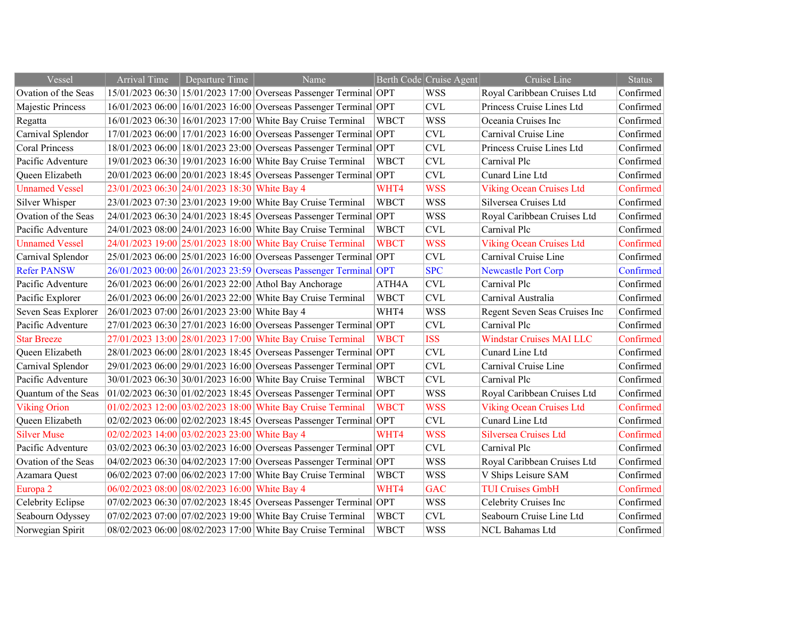| Vessel                | <b>Arrival Time</b>                           | Departure Time | Name                                                                  |                    | Berth Code Cruise Agent | Cruise Line                     | <b>Status</b> |
|-----------------------|-----------------------------------------------|----------------|-----------------------------------------------------------------------|--------------------|-------------------------|---------------------------------|---------------|
| Ovation of the Seas   |                                               |                | 15/01/2023 06:30 15/01/2023 17:00 Overseas Passenger Terminal OPT     |                    | <b>WSS</b>              | Royal Caribbean Cruises Ltd     | Confirmed     |
| Majestic Princess     |                                               |                | 16/01/2023 06:00 16/01/2023 16:00 Overseas Passenger Terminal OPT     |                    | CVL                     | Princess Cruise Lines Ltd       | Confirmed     |
| Regatta               |                                               |                | 16/01/2023 06:30 16/01/2023 17:00 White Bay Cruise Terminal           | <b>WBCT</b>        | <b>WSS</b>              | Oceania Cruises Inc             | Confirmed     |
| Carnival Splendor     |                                               |                | 17/01/2023 06:00 17/01/2023 16:00 Overseas Passenger Terminal OPT     |                    | <b>CVL</b>              | Carnival Cruise Line            | Confirmed     |
| <b>Coral Princess</b> |                                               |                | 18/01/2023 06:00 18/01/2023 23:00 Overseas Passenger Terminal OPT     |                    | <b>CVL</b>              | Princess Cruise Lines Ltd       | Confirmed     |
| Pacific Adventure     |                                               |                | 19/01/2023 06:30 19/01/2023 16:00 White Bay Cruise Terminal           | <b>WBCT</b>        | <b>CVL</b>              | Carnival Plc                    | Confirmed     |
| Queen Elizabeth       |                                               |                | 20/01/2023 06:00 20/01/2023 18:45 Overseas Passenger Terminal OPT     |                    | <b>CVL</b>              | Cunard Line Ltd                 | Confirmed     |
| <b>Unnamed Vessel</b> | 23/01/2023 06:30 24/01/2023 18:30 White Bay 4 |                |                                                                       | WHT4               | <b>WSS</b>              | <b>Viking Ocean Cruises Ltd</b> | Confirmed     |
| Silver Whisper        |                                               |                | 23/01/2023 07:30 23/01/2023 19:00 White Bay Cruise Terminal           | <b>WBCT</b>        | <b>WSS</b>              | Silversea Cruises Ltd           | Confirmed     |
| Ovation of the Seas   |                                               |                | 24/01/2023 06:30 24/01/2023 18:45 Overseas Passenger Terminal OPT     |                    | <b>WSS</b>              | Royal Caribbean Cruises Ltd     | Confirmed     |
| Pacific Adventure     |                                               |                | 24/01/2023 08:00 24/01/2023 16:00 White Bay Cruise Terminal           | <b>WBCT</b>        | CVL                     | Carnival Plc                    | Confirmed     |
| <b>Unnamed Vessel</b> |                                               |                | 24/01/2023 19:00 25/01/2023 18:00 White Bay Cruise Terminal           | <b>WBCT</b>        | <b>WSS</b>              | <b>Viking Ocean Cruises Ltd</b> | Confirmed     |
| Carnival Splendor     |                                               |                | 25/01/2023 06:00 25/01/2023 16:00 Overseas Passenger Terminal OPT     |                    | <b>CVL</b>              | Carnival Cruise Line            | Confirmed     |
| <b>Refer PANSW</b>    |                                               |                | 26/01/2023 00:00 26/01/2023 23:59 Overseas Passenger Terminal OPT     |                    | <b>SPC</b>              | <b>Newcastle Port Corp</b>      | Confirmed     |
| Pacific Adventure     |                                               |                | 26/01/2023 06:00 26/01/2023 22:00 Athol Bay Anchorage                 | ATH <sub>4</sub> A | <b>CVL</b>              | Carnival Plc                    | Confirmed     |
| Pacific Explorer      |                                               |                | 26/01/2023 06:00 26/01/2023 22:00 White Bay Cruise Terminal           | <b>WBCT</b>        | <b>CVL</b>              | Carnival Australia              | Confirmed     |
| Seven Seas Explorer   | 26/01/2023 07:00 26/01/2023 23:00 White Bay 4 |                |                                                                       | WHT4               | <b>WSS</b>              | Regent Seven Seas Cruises Inc   | Confirmed     |
| Pacific Adventure     |                                               |                | 27/01/2023 06:30 27/01/2023 16:00 Overseas Passenger Terminal OPT     |                    | <b>CVL</b>              | Carnival Plc                    | Confirmed     |
| <b>Star Breeze</b>    |                                               |                | 27/01/2023 13:00 28/01/2023 17:00 White Bay Cruise Terminal           | <b>WBCT</b>        | <b>ISS</b>              | <b>Windstar Cruises MAI LLC</b> | Confirmed     |
| Queen Elizabeth       |                                               |                | 28/01/2023 06:00 28/01/2023 18:45 Overseas Passenger Terminal OPT     |                    | <b>CVL</b>              | Cunard Line Ltd                 | Confirmed     |
| Carnival Splendor     |                                               |                | 29/01/2023 06:00 29/01/2023 16:00 Overseas Passenger Terminal OPT     |                    | <b>CVL</b>              | Carnival Cruise Line            | Confirmed     |
| Pacific Adventure     |                                               |                | 30/01/2023 06:30 30/01/2023 16:00 White Bay Cruise Terminal           | <b>WBCT</b>        | <b>CVL</b>              | Carnival Plc                    | Confirmed     |
| Quantum of the Seas   |                                               |                | $01/02/2023$ 06:30 $01/02/2023$ 18:45 Overseas Passenger Terminal OPT |                    | <b>WSS</b>              | Royal Caribbean Cruises Ltd     | Confirmed     |
| <b>Viking Orion</b>   |                                               |                | 01/02/2023 12:00 03/02/2023 18:00 White Bay Cruise Terminal           | <b>WBCT</b>        | <b>WSS</b>              | <b>Viking Ocean Cruises Ltd</b> | Confirmed     |
| Queen Elizabeth       |                                               |                | 02/02/2023 06:00 02/02/2023 18:45 Overseas Passenger Terminal OPT     |                    | <b>CVL</b>              | Cunard Line Ltd                 | Confirmed     |
| <b>Silver Muse</b>    | 02/02/2023 14:00 03/02/2023 23:00 White Bay 4 |                |                                                                       | WHT4               | <b>WSS</b>              | Silversea Cruises Ltd           | Confirmed     |
| Pacific Adventure     |                                               |                | 03/02/2023 06:30 03/02/2023 16:00 Overseas Passenger Terminal OPT     |                    | <b>CVL</b>              | Carnival Plc                    | Confirmed     |
| Ovation of the Seas   |                                               |                | 04/02/2023 06:30 04/02/2023 17:00 Overseas Passenger Terminal OPT     |                    | <b>WSS</b>              | Royal Caribbean Cruises Ltd     | Confirmed     |
| Azamara Quest         |                                               |                | 06/02/2023 07:00 06/02/2023 17:00 White Bay Cruise Terminal           | <b>WBCT</b>        | <b>WSS</b>              | V Ships Leisure SAM             | Confirmed     |
| Europa 2              | 06/02/2023 08:00 08/02/2023 16:00 White Bay 4 |                |                                                                       | WHT4               | <b>GAC</b>              | <b>TUI Cruises GmbH</b>         | Confirmed     |
| Celebrity Eclipse     |                                               |                | 07/02/2023 06:30 07/02/2023 18:45 Overseas Passenger Terminal OPT     |                    | <b>WSS</b>              | Celebrity Cruises Inc           | Confirmed     |
| Seabourn Odyssey      |                                               |                | 07/02/2023 07:00 07/02/2023 19:00 White Bay Cruise Terminal           | <b>WBCT</b>        | <b>CVL</b>              | Seabourn Cruise Line Ltd        | Confirmed     |
| Norwegian Spirit      |                                               |                | 08/02/2023 06:00 08/02/2023 17:00 White Bay Cruise Terminal           | <b>WBCT</b>        | <b>WSS</b>              | NCL Bahamas Ltd                 | Confirmed     |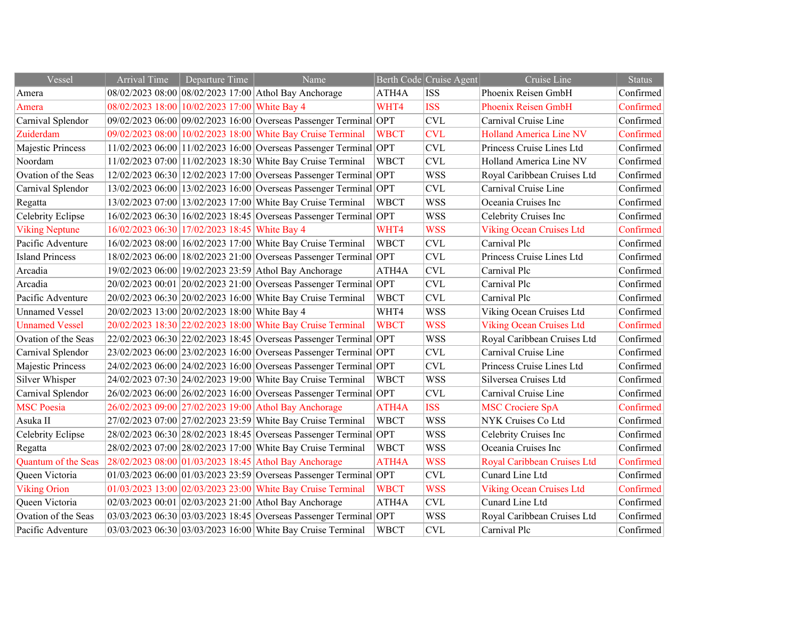| Vessel                 | <b>Arrival Time</b> | Departure Time                                | Name                                                              |                    | Berth Code Cruise Agent | Cruise Line                     | <b>Status</b> |
|------------------------|---------------------|-----------------------------------------------|-------------------------------------------------------------------|--------------------|-------------------------|---------------------------------|---------------|
| Amera                  |                     |                                               | 08/02/2023 08:00 08/02/2023 17:00 Athol Bay Anchorage             | ATH4A              | <b>ISS</b>              | Phoenix Reisen GmbH             | Confirmed     |
| Amera                  |                     | 08/02/2023 18:00 10/02/2023 17:00 White Bay 4 |                                                                   | WHT4               | <b>ISS</b>              | <b>Phoenix Reisen GmbH</b>      | Confirmed     |
| Carnival Splendor      |                     |                                               | 09/02/2023 06:00 09/02/2023 16:00 Overseas Passenger Terminal OPT |                    | <b>CVL</b>              | Carnival Cruise Line            | Confirmed     |
| Zuiderdam              |                     |                                               | 09/02/2023 08:00 10/02/2023 18:00 White Bay Cruise Terminal       | <b>WBCT</b>        | <b>CVL</b>              | <b>Holland America Line NV</b>  | Confirmed     |
| Majestic Princess      |                     |                                               | 11/02/2023 06:00 11/02/2023 16:00 Overseas Passenger Terminal OPT |                    | <b>CVL</b>              | Princess Cruise Lines Ltd       | Confirmed     |
| Noordam                |                     |                                               | 11/02/2023 07:00 11/02/2023 18:30 White Bay Cruise Terminal       | <b>WBCT</b>        | <b>CVL</b>              | Holland America Line NV         | Confirmed     |
| Ovation of the Seas    |                     |                                               | 12/02/2023 06:30 12/02/2023 17:00 Overseas Passenger Terminal OPT |                    | <b>WSS</b>              | Royal Caribbean Cruises Ltd     | Confirmed     |
| Carnival Splendor      |                     |                                               | 13/02/2023 06:00 13/02/2023 16:00 Overseas Passenger Terminal OPT |                    | <b>CVL</b>              | Carnival Cruise Line            | Confirmed     |
| Regatta                |                     |                                               | 13/02/2023 07:00 13/02/2023 17:00 White Bay Cruise Terminal       | <b>WBCT</b>        | <b>WSS</b>              | Oceania Cruises Inc             | Confirmed     |
| Celebrity Eclipse      |                     |                                               | 16/02/2023 06:30 16/02/2023 18:45 Overseas Passenger Terminal OPT |                    | <b>WSS</b>              | Celebrity Cruises Inc           | Confirmed     |
| <b>Viking Neptune</b>  |                     | 16/02/2023 06:30 17/02/2023 18:45 White Bay 4 |                                                                   | WHT4               | <b>WSS</b>              | <b>Viking Ocean Cruises Ltd</b> | Confirmed     |
| Pacific Adventure      |                     |                                               | 16/02/2023 08:00 16/02/2023 17:00 White Bay Cruise Terminal       | <b>WBCT</b>        | <b>CVL</b>              | Carnival Plc                    | Confirmed     |
| <b>Island Princess</b> |                     |                                               | 18/02/2023 06:00 18/02/2023 21:00 Overseas Passenger Terminal OPT |                    | <b>CVL</b>              | Princess Cruise Lines Ltd       | Confirmed     |
| Arcadia                |                     |                                               | 19/02/2023 06:00 19/02/2023 23:59 Athol Bay Anchorage             | ATH <sub>4</sub> A | <b>CVL</b>              | Carnival Plc                    | Confirmed     |
| Arcadia                |                     |                                               | 20/02/2023 00:01 20/02/2023 21:00 Overseas Passenger Terminal OPT |                    | <b>CVL</b>              | Carnival Plc                    | Confirmed     |
| Pacific Adventure      |                     |                                               | 20/02/2023 06:30 20/02/2023 16:00 White Bay Cruise Terminal       | <b>WBCT</b>        | <b>CVL</b>              | Carnival Plc                    | Confirmed     |
| <b>Unnamed Vessel</b>  |                     | 20/02/2023 13:00 20/02/2023 18:00 White Bay 4 |                                                                   | WHT4               | <b>WSS</b>              | Viking Ocean Cruises Ltd        | Confirmed     |
| <b>Unnamed Vessel</b>  |                     |                                               | 20/02/2023 18:30 22/02/2023 18:00 White Bay Cruise Terminal       | <b>WBCT</b>        | <b>WSS</b>              | <b>Viking Ocean Cruises Ltd</b> | Confirmed     |
| Ovation of the Seas    |                     |                                               | 22/02/2023 06:30 22/02/2023 18:45 Overseas Passenger Terminal OPT |                    | <b>WSS</b>              | Royal Caribbean Cruises Ltd     | Confirmed     |
| Carnival Splendor      |                     |                                               | 23/02/2023 06:00 23/02/2023 16:00 Overseas Passenger Terminal OPT |                    | <b>CVL</b>              | Carnival Cruise Line            | Confirmed     |
| Majestic Princess      |                     |                                               | 24/02/2023 06:00 24/02/2023 16:00 Overseas Passenger Terminal OPT |                    | <b>CVL</b>              | Princess Cruise Lines Ltd       | Confirmed     |
| Silver Whisper         |                     |                                               | 24/02/2023 07:30 24/02/2023 19:00 White Bay Cruise Terminal       | <b>WBCT</b>        | <b>WSS</b>              | Silversea Cruises Ltd           | Confirmed     |
| Carnival Splendor      |                     |                                               | 26/02/2023 06:00 26/02/2023 16:00 Overseas Passenger Terminal OPT |                    | <b>CVL</b>              | Carnival Cruise Line            | Confirmed     |
| <b>MSC</b> Poesia      |                     |                                               | 26/02/2023 09:00 27/02/2023 19:00 Athol Bay Anchorage             | ATH4A              | <b>ISS</b>              | <b>MSC Crociere SpA</b>         | Confirmed     |
| Asuka II               |                     |                                               | 27/02/2023 07:00 27/02/2023 23:59 White Bay Cruise Terminal       | <b>WBCT</b>        | <b>WSS</b>              | NYK Cruises Co Ltd              | Confirmed     |
| Celebrity Eclipse      |                     |                                               | 28/02/2023 06:30 28/02/2023 18:45 Overseas Passenger Terminal OPT |                    | <b>WSS</b>              | Celebrity Cruises Inc           | Confirmed     |
| Regatta                |                     |                                               | 28/02/2023 07:00 28/02/2023 17:00 White Bay Cruise Terminal       | <b>WBCT</b>        | <b>WSS</b>              | Oceania Cruises Inc             | Confirmed     |
| Quantum of the Seas    |                     |                                               | 28/02/2023 08:00 01/03/2023 18:45 Athol Bay Anchorage             | ATH4A              | <b>WSS</b>              | Royal Caribbean Cruises Ltd     | Confirmed     |
| Queen Victoria         |                     |                                               | 01/03/2023 06:00 01/03/2023 23:59 Overseas Passenger Terminal OPT |                    | <b>CVL</b>              | Cunard Line Ltd                 | Confirmed     |
| <b>Viking Orion</b>    |                     |                                               | 01/03/2023 13:00 02/03/2023 23:00 White Bay Cruise Terminal       | <b>WBCT</b>        | <b>WSS</b>              | <b>Viking Ocean Cruises Ltd</b> | Confirmed     |
| Queen Victoria         |                     |                                               | 02/03/2023 00:01 02/03/2023 21:00 Athol Bay Anchorage             | ATH4A              | <b>CVL</b>              | Cunard Line Ltd                 | Confirmed     |
| Ovation of the Seas    |                     |                                               | 03/03/2023 06:30 03/03/2023 18:45 Overseas Passenger Terminal OPT |                    | <b>WSS</b>              | Royal Caribbean Cruises Ltd     | Confirmed     |
| Pacific Adventure      |                     |                                               | 03/03/2023 06:30 03/03/2023 16:00 White Bay Cruise Terminal       | <b>WBCT</b>        | <b>CVL</b>              | Carnival Plc                    | Confirmed     |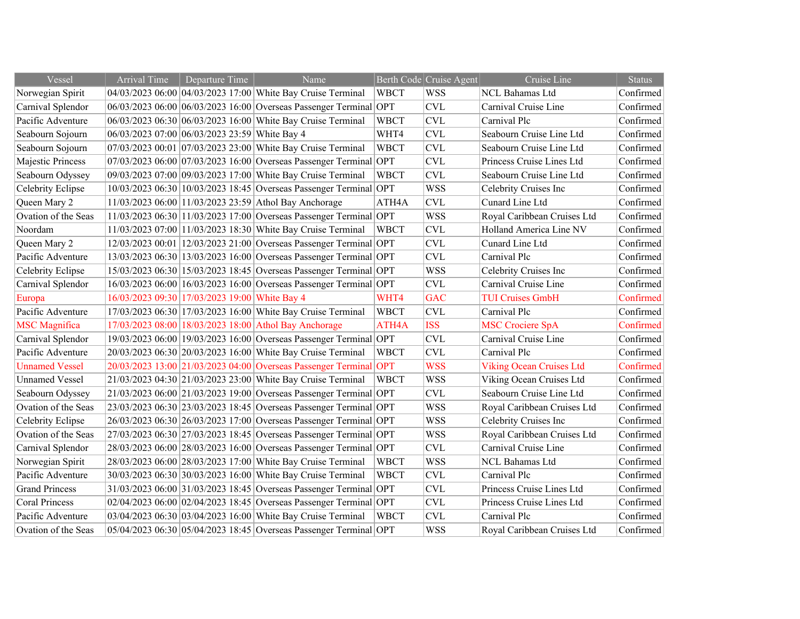| Vessel                | <b>Arrival Time</b>                           | Departure Time                                | Name                                                                  |             | Berth Code Cruise Agent   | $\overline{\text{Cruise Line}}$ | <b>Status</b> |
|-----------------------|-----------------------------------------------|-----------------------------------------------|-----------------------------------------------------------------------|-------------|---------------------------|---------------------------------|---------------|
| Norwegian Spirit      |                                               |                                               | 04/03/2023 06:00 04/03/2023 17:00 White Bay Cruise Terminal           | <b>WBCT</b> | <b>WSS</b>                | NCL Bahamas Ltd                 | Confirmed     |
| Carnival Splendor     |                                               |                                               | 06/03/2023 06:00 06/03/2023 16:00 Overseas Passenger Terminal         | OPT         | CVL                       | Carnival Cruise Line            | Confirmed     |
| Pacific Adventure     |                                               |                                               | 06/03/2023 06:30 06/03/2023 16:00 White Bay Cruise Terminal           | <b>WBCT</b> | <b>CVL</b>                | Carnival Plc                    | Confirmed     |
| Seabourn Sojourn      | 06/03/2023 07:00 06/03/2023 23:59 White Bay 4 |                                               |                                                                       | WHT4        | <b>CVL</b>                | Seabourn Cruise Line Ltd        | Confirmed     |
| Seabourn Sojourn      |                                               |                                               | 07/03/2023 00:01 07/03/2023 23:00 White Bay Cruise Terminal           | <b>WBCT</b> | <b>CVL</b>                | Seabourn Cruise Line Ltd        | Confirmed     |
| Majestic Princess     |                                               |                                               | 07/03/2023 06:00 07/03/2023 16:00 Overseas Passenger Terminal OPT     |             | <b>CVL</b>                | Princess Cruise Lines Ltd       | Confirmed     |
| Seabourn Odyssey      |                                               |                                               | 09/03/2023 07:00 09/03/2023 17:00 White Bay Cruise Terminal           | <b>WBCT</b> | $\ensuremath{\text{CVL}}$ | Seabourn Cruise Line Ltd        | Confirmed     |
| Celebrity Eclipse     |                                               |                                               | 10/03/2023 06:30 10/03/2023 18:45 Overseas Passenger Terminal OPT     |             | <b>WSS</b>                | Celebrity Cruises Inc           | Confirmed     |
| Queen Mary 2          |                                               |                                               | 11/03/2023 06:00 11/03/2023 23:59 Athol Bay Anchorage                 | ATH4A       | <b>CVL</b>                | Cunard Line Ltd                 | Confirmed     |
| Ovation of the Seas   |                                               |                                               | 11/03/2023 06:30 11/03/2023 17:00 Overseas Passenger Terminal OPT     |             | <b>WSS</b>                | Royal Caribbean Cruises Ltd     | Confirmed     |
| Noordam               |                                               |                                               | 11/03/2023 07:00 11/03/2023 18:30 White Bay Cruise Terminal           | <b>WBCT</b> | <b>CVL</b>                | Holland America Line NV         | Confirmed     |
| Queen Mary 2          |                                               |                                               | 12/03/2023 00:01 12/03/2023 21:00 Overseas Passenger Terminal OPT     |             | <b>CVL</b>                | Cunard Line Ltd                 | Confirmed     |
| Pacific Adventure     |                                               |                                               | 13/03/2023 06:30 13/03/2023 16:00 Overseas Passenger Terminal OPT     |             | <b>CVL</b>                | Carnival Plc                    | Confirmed     |
| Celebrity Eclipse     |                                               |                                               | 15/03/2023 06:30 15/03/2023 18:45 Overseas Passenger Terminal OPT     |             | <b>WSS</b>                | Celebrity Cruises Inc           | Confirmed     |
| Carnival Splendor     |                                               |                                               | 16/03/2023 06:00 16/03/2023 16:00 Overseas Passenger Terminal OPT     |             | <b>CVL</b>                | Carnival Cruise Line            | Confirmed     |
| Europa                |                                               | 16/03/2023 09:30 17/03/2023 19:00 White Bay 4 |                                                                       | WHT4        | <b>GAC</b>                | <b>TUI Cruises GmbH</b>         | Confirmed     |
| Pacific Adventure     |                                               |                                               | 17/03/2023 06:30 17/03/2023 16:00 White Bay Cruise Terminal           | <b>WBCT</b> | <b>CVL</b>                | Carnival Plc                    | Confirmed     |
| <b>MSC</b> Magnifica  |                                               |                                               | 17/03/2023 08:00 18/03/2023 18:00 Athol Bay Anchorage                 | ATH4A       | <b>ISS</b>                | <b>MSC Crociere SpA</b>         | Confirmed     |
| Carnival Splendor     |                                               |                                               | 19/03/2023 06:00 19/03/2023 16:00 Overseas Passenger Terminal OPT     |             | $\ensuremath{\text{CVL}}$ | Carnival Cruise Line            | Confirmed     |
| Pacific Adventure     |                                               |                                               | 20/03/2023 06:30 20/03/2023 16:00 White Bay Cruise Terminal           | <b>WBCT</b> | <b>CVL</b>                | Carnival Plc                    | Confirmed     |
| <b>Unnamed Vessel</b> |                                               |                                               | 20/03/2023 13:00 21/03/2023 04:00 Overseas Passenger Terminal OPT     |             | <b>WSS</b>                | <b>Viking Ocean Cruises Ltd</b> | Confirmed     |
| <b>Unnamed Vessel</b> |                                               |                                               | 21/03/2023 04:30 21/03/2023 23:00 White Bay Cruise Terminal           | <b>WBCT</b> | <b>WSS</b>                | Viking Ocean Cruises Ltd        | Confirmed     |
| Seabourn Odyssey      |                                               |                                               | $21/03/2023$ 06:00 $21/03/2023$ 19:00 Overseas Passenger Terminal OPT |             | <b>CVL</b>                | Seabourn Cruise Line Ltd        | Confirmed     |
| Ovation of the Seas   |                                               |                                               | 23/03/2023 06:30 23/03/2023 18:45 Overseas Passenger Terminal OPT     |             | <b>WSS</b>                | Royal Caribbean Cruises Ltd     | Confirmed     |
| Celebrity Eclipse     |                                               |                                               | 26/03/2023 06:30 26/03/2023 17:00 Overseas Passenger Terminal OPT     |             | <b>WSS</b>                | Celebrity Cruises Inc           | Confirmed     |
| Ovation of the Seas   |                                               |                                               | 27/03/2023 06:30 27/03/2023 18:45 Overseas Passenger Terminal OPT     |             | <b>WSS</b>                | Royal Caribbean Cruises Ltd     | Confirmed     |
| Carnival Splendor     |                                               |                                               | 28/03/2023 06:00 28/03/2023 16:00 Overseas Passenger Terminal OPT     |             | <b>CVL</b>                | Carnival Cruise Line            | Confirmed     |
| Norwegian Spirit      |                                               |                                               | 28/03/2023 06:00 28/03/2023 17:00 White Bay Cruise Terminal           | <b>WBCT</b> | <b>WSS</b>                | NCL Bahamas Ltd                 | Confirmed     |
| Pacific Adventure     |                                               |                                               | 30/03/2023 06:30 30/03/2023 16:00 White Bay Cruise Terminal           | <b>WBCT</b> | <b>CVL</b>                | Carnival Plc                    | Confirmed     |
| <b>Grand Princess</b> |                                               |                                               | 31/03/2023 06:00 31/03/2023 18:45 Overseas Passenger Terminal OPT     |             | $\ensuremath{\text{CVL}}$ | Princess Cruise Lines Ltd       | Confirmed     |
| <b>Coral Princess</b> |                                               |                                               | 02/04/2023 06:00 02/04/2023 18:45 Overseas Passenger Terminal OPT     |             | $\ensuremath{\text{CVL}}$ | Princess Cruise Lines Ltd       | Confirmed     |
| Pacific Adventure     |                                               |                                               | 03/04/2023 06:30 03/04/2023 16:00 White Bay Cruise Terminal           | <b>WBCT</b> | <b>CVL</b>                | Carnival Plc                    | Confirmed     |
| Ovation of the Seas   |                                               |                                               | 05/04/2023 06:30 05/04/2023 18:45 Overseas Passenger Terminal OPT     |             | <b>WSS</b>                | Royal Caribbean Cruises Ltd     | Confirmed     |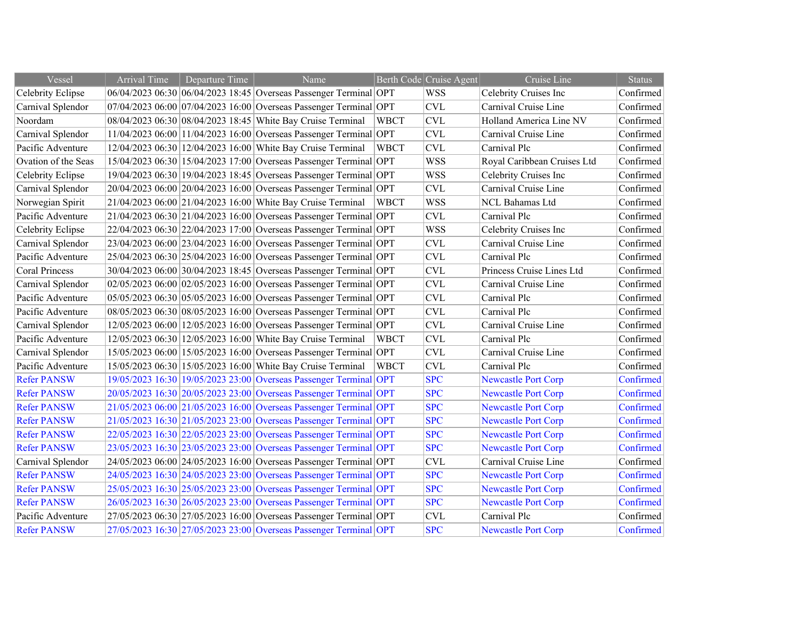| Vessel                | <b>Arrival Time</b> | Departure Time | Name                                                              |             | Berth Code Cruise Agent | Cruise Line                 | <b>Status</b> |
|-----------------------|---------------------|----------------|-------------------------------------------------------------------|-------------|-------------------------|-----------------------------|---------------|
| Celebrity Eclipse     |                     |                | 06/04/2023 06:30 06/04/2023 18:45 Overseas Passenger Terminal OPT |             | <b>WSS</b>              | Celebrity Cruises Inc       | Confirmed     |
| Carnival Splendor     |                     |                | 07/04/2023 06:00 07/04/2023 16:00 Overseas Passenger Terminal OPT |             | <b>CVL</b>              | Carnival Cruise Line        | Confirmed     |
| Noordam               |                     |                | 08/04/2023 06:30 08/04/2023 18:45 White Bay Cruise Terminal       | <b>WBCT</b> | <b>CVL</b>              | Holland America Line NV     | Confirmed     |
| Carnival Splendor     |                     |                | 11/04/2023 06:00 11/04/2023 16:00 Overseas Passenger Terminal OPT |             | <b>CVL</b>              | Carnival Cruise Line        | Confirmed     |
| Pacific Adventure     |                     |                | 12/04/2023 06:30 12/04/2023 16:00 White Bay Cruise Terminal       | <b>WBCT</b> | <b>CVL</b>              | Carnival Plc                | Confirmed     |
| Ovation of the Seas   |                     |                | 15/04/2023 06:30 15/04/2023 17:00 Overseas Passenger Terminal OPT |             | <b>WSS</b>              | Royal Caribbean Cruises Ltd | Confirmed     |
| Celebrity Eclipse     |                     |                | 19/04/2023 06:30 19/04/2023 18:45 Overseas Passenger Terminal OPT |             | <b>WSS</b>              | Celebrity Cruises Inc       | Confirmed     |
| Carnival Splendor     |                     |                | 20/04/2023 06:00 20/04/2023 16:00 Overseas Passenger Terminal OPT |             | <b>CVL</b>              | Carnival Cruise Line        | Confirmed     |
| Norwegian Spirit      |                     |                | 21/04/2023 06:00 21/04/2023 16:00 White Bay Cruise Terminal       | <b>WBCT</b> | <b>WSS</b>              | NCL Bahamas Ltd             | Confirmed     |
| Pacific Adventure     |                     |                | 21/04/2023 06:30 21/04/2023 16:00 Overseas Passenger Terminal OPT |             | <b>CVL</b>              | Carnival Plc                | Confirmed     |
| Celebrity Eclipse     |                     |                | 22/04/2023 06:30 22/04/2023 17:00 Overseas Passenger Terminal OPT |             | <b>WSS</b>              | Celebrity Cruises Inc       | Confirmed     |
| Carnival Splendor     |                     |                | 23/04/2023 06:00 23/04/2023 16:00 Overseas Passenger Terminal OPT |             | <b>CVL</b>              | Carnival Cruise Line        | Confirmed     |
| Pacific Adventure     |                     |                | 25/04/2023 06:30 25/04/2023 16:00 Overseas Passenger Terminal OPT |             | <b>CVL</b>              | Carnival Plc                | Confirmed     |
| <b>Coral Princess</b> |                     |                | 30/04/2023 06:00 30/04/2023 18:45 Overseas Passenger Terminal OPT |             | <b>CVL</b>              | Princess Cruise Lines Ltd   | Confirmed     |
| Carnival Splendor     |                     |                | 02/05/2023 06:00 02/05/2023 16:00 Overseas Passenger Terminal OPT |             | <b>CVL</b>              | Carnival Cruise Line        | Confirmed     |
| Pacific Adventure     |                     |                | 05/05/2023 06:30 05/05/2023 16:00 Overseas Passenger Terminal OPT |             | <b>CVL</b>              | Carnival Plc                | Confirmed     |
| Pacific Adventure     |                     |                | 08/05/2023 06:30 08/05/2023 16:00 Overseas Passenger Terminal OPT |             | <b>CVL</b>              | Carnival Plc                | Confirmed     |
| Carnival Splendor     |                     |                | 12/05/2023 06:00 12/05/2023 16:00 Overseas Passenger Terminal OPT |             | <b>CVL</b>              | Carnival Cruise Line        | Confirmed     |
| Pacific Adventure     |                     |                | 12/05/2023 06:30 12/05/2023 16:00 White Bay Cruise Terminal       | <b>WBCT</b> | <b>CVL</b>              | Carnival Plc                | Confirmed     |
| Carnival Splendor     |                     |                | 15/05/2023 06:00 15/05/2023 16:00 Overseas Passenger Terminal OPT |             | <b>CVL</b>              | Carnival Cruise Line        | Confirmed     |
| Pacific Adventure     |                     |                | 15/05/2023 06:30 15/05/2023 16:00 White Bay Cruise Terminal       | <b>WBCT</b> | <b>CVL</b>              | Carnival Plc                | Confirmed     |
| <b>Refer PANSW</b>    |                     |                | 19/05/2023 16:30 19/05/2023 23:00 Overseas Passenger Terminal OPT |             | <b>SPC</b>              | <b>Newcastle Port Corp</b>  | Confirmed     |
| <b>Refer PANSW</b>    |                     |                | 20/05/2023 16:30 20/05/2023 23:00 Overseas Passenger Terminal OPT |             | <b>SPC</b>              | <b>Newcastle Port Corp</b>  | Confirmed     |
| <b>Refer PANSW</b>    |                     |                | 21/05/2023 06:00 21/05/2023 16:00 Overseas Passenger Terminal OPT |             | <b>SPC</b>              | <b>Newcastle Port Corp</b>  | Confirmed     |
| <b>Refer PANSW</b>    |                     |                | 21/05/2023 16:30 21/05/2023 23:00 Overseas Passenger Terminal OPT |             | <b>SPC</b>              | <b>Newcastle Port Corp</b>  | Confirmed     |
| <b>Refer PANSW</b>    |                     |                | 22/05/2023 16:30 22/05/2023 23:00 Overseas Passenger Terminal OPT |             | <b>SPC</b>              | <b>Newcastle Port Corp</b>  | Confirmed     |
| <b>Refer PANSW</b>    |                     |                | 23/05/2023 16:30 23/05/2023 23:00 Overseas Passenger Terminal OPT |             | <b>SPC</b>              | <b>Newcastle Port Corp</b>  | Confirmed     |
| Carnival Splendor     |                     |                | 24/05/2023 06:00 24/05/2023 16:00 Overseas Passenger Terminal OPT |             | <b>CVL</b>              | Carnival Cruise Line        | Confirmed     |
| <b>Refer PANSW</b>    |                     |                | 24/05/2023 16:30 24/05/2023 23:00 Overseas Passenger Terminal OPT |             | <b>SPC</b>              | <b>Newcastle Port Corp</b>  | Confirmed     |
| <b>Refer PANSW</b>    |                     |                | 25/05/2023 16:30 25/05/2023 23:00 Overseas Passenger Terminal OPT |             | <b>SPC</b>              | <b>Newcastle Port Corp</b>  | Confirmed     |
| <b>Refer PANSW</b>    |                     |                | 26/05/2023 16:30 26/05/2023 23:00 Overseas Passenger Terminal OPT |             | <b>SPC</b>              | <b>Newcastle Port Corp</b>  | Confirmed     |
| Pacific Adventure     |                     |                | 27/05/2023 06:30 27/05/2023 16:00 Overseas Passenger Terminal OPT |             | <b>CVL</b>              | Carnival Plc                | Confirmed     |
| <b>Refer PANSW</b>    |                     |                | 27/05/2023 16:30 27/05/2023 23:00 Overseas Passenger Terminal OPT |             | <b>SPC</b>              | <b>Newcastle Port Corp</b>  | Confirmed     |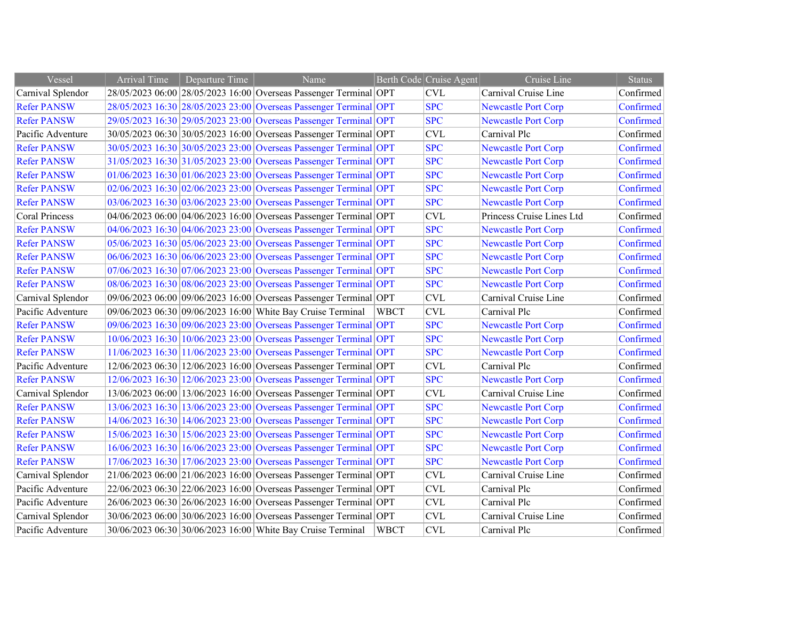| Vessel             | <b>Arrival Time</b> | Departure Time | Name                                                              |             | Berth Code Cruise Agent | Cruise Line                | <b>Status</b> |
|--------------------|---------------------|----------------|-------------------------------------------------------------------|-------------|-------------------------|----------------------------|---------------|
| Carnival Splendor  |                     |                | 28/05/2023 06:00 28/05/2023 16:00 Overseas Passenger Terminal OPT |             | <b>CVL</b>              | Carnival Cruise Line       | Confirmed     |
| <b>Refer PANSW</b> |                     |                | 28/05/2023 16:30 28/05/2023 23:00 Overseas Passenger Terminal OPT |             | <b>SPC</b>              | <b>Newcastle Port Corp</b> | Confirmed     |
| <b>Refer PANSW</b> |                     |                | 29/05/2023 16:30 29/05/2023 23:00 Overseas Passenger Terminal OPT |             | <b>SPC</b>              | <b>Newcastle Port Corp</b> | Confirmed     |
| Pacific Adventure  |                     |                | 30/05/2023 06:30 30/05/2023 16:00 Overseas Passenger Terminal OPT |             | <b>CVL</b>              | Carnival Plc               | Confirmed     |
| <b>Refer PANSW</b> |                     |                | 30/05/2023 16:30 30/05/2023 23:00 Overseas Passenger Terminal OPT |             | <b>SPC</b>              | <b>Newcastle Port Corp</b> | Confirmed     |
| <b>Refer PANSW</b> |                     |                | 31/05/2023 16:30 31/05/2023 23:00 Overseas Passenger Terminal OPT |             | <b>SPC</b>              | <b>Newcastle Port Corp</b> | Confirmed     |
| <b>Refer PANSW</b> |                     |                | 01/06/2023 16:30 01/06/2023 23:00 Overseas Passenger Terminal OPT |             | <b>SPC</b>              | <b>Newcastle Port Corp</b> | Confirmed     |
| <b>Refer PANSW</b> |                     |                | 02/06/2023 16:30 02/06/2023 23:00 Overseas Passenger Terminal OPT |             | <b>SPC</b>              | <b>Newcastle Port Corp</b> | Confirmed     |
| <b>Refer PANSW</b> |                     |                | 03/06/2023 16:30 03/06/2023 23:00 Overseas Passenger Terminal OPT |             | <b>SPC</b>              | <b>Newcastle Port Corp</b> | Confirmed     |
| Coral Princess     |                     |                | 04/06/2023 06:00 04/06/2023 16:00 Overseas Passenger Terminal OPT |             | <b>CVL</b>              | Princess Cruise Lines Ltd  | Confirmed     |
| <b>Refer PANSW</b> |                     |                | 04/06/2023 16:30 04/06/2023 23:00 Overseas Passenger Terminal OPT |             | <b>SPC</b>              | <b>Newcastle Port Corp</b> | Confirmed     |
| <b>Refer PANSW</b> |                     |                | 05/06/2023 16:30 05/06/2023 23:00 Overseas Passenger Terminal OPT |             | <b>SPC</b>              | <b>Newcastle Port Corp</b> | Confirmed     |
| <b>Refer PANSW</b> |                     |                | 06/06/2023 16:30 06/06/2023 23:00 Overseas Passenger Terminal OPT |             | <b>SPC</b>              | <b>Newcastle Port Corp</b> | Confirmed     |
| <b>Refer PANSW</b> |                     |                | 07/06/2023 16:30 07/06/2023 23:00 Overseas Passenger Terminal OPT |             | <b>SPC</b>              | <b>Newcastle Port Corp</b> | Confirmed     |
| <b>Refer PANSW</b> |                     |                | 08/06/2023 16:30 08/06/2023 23:00 Overseas Passenger Terminal OPT |             | <b>SPC</b>              | <b>Newcastle Port Corp</b> | Confirmed     |
| Carnival Splendor  |                     |                | 09/06/2023 06:00 09/06/2023 16:00 Overseas Passenger Terminal OPT |             | <b>CVL</b>              | Carnival Cruise Line       | Confirmed     |
| Pacific Adventure  |                     |                | 09/06/2023 06:30 09/06/2023 16:00 White Bay Cruise Terminal       | <b>WBCT</b> | <b>CVL</b>              | Carnival Plc               | Confirmed     |
| <b>Refer PANSW</b> |                     |                | 09/06/2023 16:30 09/06/2023 23:00 Overseas Passenger Terminal OPT |             | <b>SPC</b>              | <b>Newcastle Port Corp</b> | Confirmed     |
| <b>Refer PANSW</b> |                     |                | 10/06/2023 16:30 10/06/2023 23:00 Overseas Passenger Terminal OPT |             | <b>SPC</b>              | <b>Newcastle Port Corp</b> | Confirmed     |
| <b>Refer PANSW</b> |                     |                | 11/06/2023 16:30 11/06/2023 23:00 Overseas Passenger Terminal OPT |             | <b>SPC</b>              | <b>Newcastle Port Corp</b> | Confirmed     |
| Pacific Adventure  |                     |                | 12/06/2023 06:30 12/06/2023 16:00 Overseas Passenger Terminal OPT |             | <b>CVL</b>              | Carnival Plc               | Confirmed     |
| <b>Refer PANSW</b> |                     |                | 12/06/2023 16:30 12/06/2023 23:00 Overseas Passenger Terminal OPT |             | <b>SPC</b>              | <b>Newcastle Port Corp</b> | Confirmed     |
| Carnival Splendor  |                     |                | 13/06/2023 06:00 13/06/2023 16:00 Overseas Passenger Terminal OPT |             | <b>CVL</b>              | Carnival Cruise Line       | Confirmed     |
| <b>Refer PANSW</b> |                     |                | 13/06/2023 16:30 13/06/2023 23:00 Overseas Passenger Terminal OPT |             | <b>SPC</b>              | <b>Newcastle Port Corp</b> | Confirmed     |
| <b>Refer PANSW</b> |                     |                | 14/06/2023 16:30 14/06/2023 23:00 Overseas Passenger Terminal OPT |             | <b>SPC</b>              | <b>Newcastle Port Corp</b> | Confirmed     |
| <b>Refer PANSW</b> |                     |                | 15/06/2023 16:30 15/06/2023 23:00 Overseas Passenger Terminal OPT |             | <b>SPC</b>              | <b>Newcastle Port Corp</b> | Confirmed     |
| <b>Refer PANSW</b> |                     |                | 16/06/2023 16:30 16/06/2023 23:00 Overseas Passenger Terminal OPT |             | <b>SPC</b>              | <b>Newcastle Port Corp</b> | Confirmed     |
| <b>Refer PANSW</b> |                     |                | 17/06/2023 16:30 17/06/2023 23:00 Overseas Passenger Terminal OPT |             | <b>SPC</b>              | <b>Newcastle Port Corp</b> | Confirmed     |
| Carnival Splendor  |                     |                | 21/06/2023 06:00 21/06/2023 16:00 Overseas Passenger Terminal OPT |             | <b>CVL</b>              | Carnival Cruise Line       | Confirmed     |
| Pacific Adventure  |                     |                | 22/06/2023 06:30 22/06/2023 16:00 Overseas Passenger Terminal OPT |             | <b>CVL</b>              | Carnival Plc               | Confirmed     |
| Pacific Adventure  |                     |                | 26/06/2023 06:30 26/06/2023 16:00 Overseas Passenger Terminal OPT |             | <b>CVL</b>              | Carnival Plc               | Confirmed     |
| Carnival Splendor  |                     |                | 30/06/2023 06:00 30/06/2023 16:00 Overseas Passenger Terminal OPT |             | <b>CVL</b>              | Carnival Cruise Line       | Confirmed     |
| Pacific Adventure  |                     |                | 30/06/2023 06:30 30/06/2023 16:00 White Bay Cruise Terminal       | <b>WBCT</b> | <b>CVL</b>              | Carnival Plc               | Confirmed     |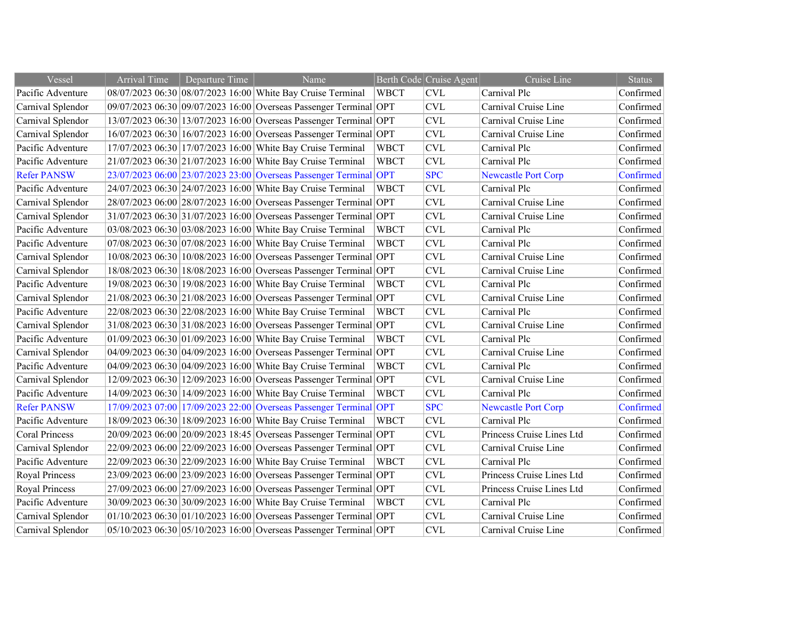| Vessel                | <b>Arrival Time</b> | Departure Time | Name                                                              |             | Berth Code Cruise Agent | Cruise Line                | <b>Status</b> |
|-----------------------|---------------------|----------------|-------------------------------------------------------------------|-------------|-------------------------|----------------------------|---------------|
| Pacific Adventure     |                     |                | 08/07/2023 06:30 08/07/2023 16:00 White Bay Cruise Terminal       | <b>WBCT</b> | <b>CVL</b>              | Carnival Plc               | Confirmed     |
| Carnival Splendor     |                     |                | 09/07/2023 06:30 09/07/2023 16:00 Overseas Passenger Terminal OPT |             | <b>CVL</b>              | Carnival Cruise Line       | Confirmed     |
| Carnival Splendor     |                     |                | 13/07/2023 06:30 13/07/2023 16:00 Overseas Passenger Terminal OPT |             | <b>CVL</b>              | Carnival Cruise Line       | Confirmed     |
| Carnival Splendor     |                     |                | 16/07/2023 06:30 16/07/2023 16:00 Overseas Passenger Terminal OPT |             | <b>CVL</b>              | Carnival Cruise Line       | Confirmed     |
| Pacific Adventure     |                     |                | 17/07/2023 06:30 17/07/2023 16:00 White Bay Cruise Terminal       | <b>WBCT</b> | <b>CVL</b>              | Carnival Plc               | Confirmed     |
| Pacific Adventure     |                     |                | 21/07/2023 06:30 21/07/2023 16:00 White Bay Cruise Terminal       | <b>WBCT</b> | <b>CVL</b>              | Carnival Plc               | Confirmed     |
| <b>Refer PANSW</b>    |                     |                | 23/07/2023 06:00 23/07/2023 23:00 Overseas Passenger Terminal OPT |             | <b>SPC</b>              | <b>Newcastle Port Corp</b> | Confirmed     |
| Pacific Adventure     |                     |                | 24/07/2023 06:30 24/07/2023 16:00 White Bay Cruise Terminal       | <b>WBCT</b> | <b>CVL</b>              | Carnival Plc               | Confirmed     |
| Carnival Splendor     |                     |                | 28/07/2023 06:00 28/07/2023 16:00 Overseas Passenger Terminal OPT |             | <b>CVL</b>              | Carnival Cruise Line       | Confirmed     |
| Carnival Splendor     |                     |                | 31/07/2023 06:30 31/07/2023 16:00 Overseas Passenger Terminal OPT |             | <b>CVL</b>              | Carnival Cruise Line       | Confirmed     |
| Pacific Adventure     |                     |                | 03/08/2023 06:30 03/08/2023 16:00 White Bay Cruise Terminal       | <b>WBCT</b> | <b>CVL</b>              | Carnival Plc               | Confirmed     |
| Pacific Adventure     |                     |                | 07/08/2023 06:30 07/08/2023 16:00 White Bay Cruise Terminal       | <b>WBCT</b> | <b>CVL</b>              | Carnival Plc               | Confirmed     |
| Carnival Splendor     |                     |                | 10/08/2023 06:30 10/08/2023 16:00 Overseas Passenger Terminal OPT |             | <b>CVL</b>              | Carnival Cruise Line       | Confirmed     |
| Carnival Splendor     |                     |                | 18/08/2023 06:30 18/08/2023 16:00 Overseas Passenger Terminal OPT |             | <b>CVL</b>              | Carnival Cruise Line       | Confirmed     |
| Pacific Adventure     |                     |                | 19/08/2023 06:30 19/08/2023 16:00 White Bay Cruise Terminal       | <b>WBCT</b> | <b>CVL</b>              | Carnival Plc               | Confirmed     |
| Carnival Splendor     |                     |                | 21/08/2023 06:30 21/08/2023 16:00 Overseas Passenger Terminal OPT |             | CVL                     | Carnival Cruise Line       | Confirmed     |
| Pacific Adventure     |                     |                | 22/08/2023 06:30 22/08/2023 16:00 White Bay Cruise Terminal       | <b>WBCT</b> | <b>CVL</b>              | Carnival Plc               | Confirmed     |
| Carnival Splendor     |                     |                | 31/08/2023 06:30 31/08/2023 16:00 Overseas Passenger Terminal OPT |             | <b>CVL</b>              | Carnival Cruise Line       | Confirmed     |
| Pacific Adventure     |                     |                | 01/09/2023 06:30 01/09/2023 16:00 White Bay Cruise Terminal       | <b>WBCT</b> | <b>CVL</b>              | Carnival Plc               | Confirmed     |
| Carnival Splendor     |                     |                | 04/09/2023 06:30 04/09/2023 16:00 Overseas Passenger Terminal OPT |             | <b>CVL</b>              | Carnival Cruise Line       | Confirmed     |
| Pacific Adventure     |                     |                | 04/09/2023 06:30 04/09/2023 16:00 White Bay Cruise Terminal       | <b>WBCT</b> | <b>CVL</b>              | Carnival Plc               | Confirmed     |
| Carnival Splendor     |                     |                | 12/09/2023 06:30 12/09/2023 16:00 Overseas Passenger Terminal OPT |             | <b>CVL</b>              | Carnival Cruise Line       | Confirmed     |
| Pacific Adventure     |                     |                | 14/09/2023 06:30 14/09/2023 16:00 White Bay Cruise Terminal       | <b>WBCT</b> | <b>CVL</b>              | Carnival Plc               | Confirmed     |
| <b>Refer PANSW</b>    |                     |                | 17/09/2023 07:00 17/09/2023 22:00 Overseas Passenger Terminal OPT |             | <b>SPC</b>              | <b>Newcastle Port Corp</b> | Confirmed     |
| Pacific Adventure     |                     |                | 18/09/2023 06:30 18/09/2023 16:00 White Bay Cruise Terminal       | <b>WBCT</b> | <b>CVL</b>              | Carnival Plc               | Confirmed     |
| <b>Coral Princess</b> |                     |                | 20/09/2023 06:00 20/09/2023 18:45 Overseas Passenger Terminal OPT |             | <b>CVL</b>              | Princess Cruise Lines Ltd  | Confirmed     |
| Carnival Splendor     |                     |                | 22/09/2023 06:00 22/09/2023 16:00 Overseas Passenger Terminal OPT |             | <b>CVL</b>              | Carnival Cruise Line       | Confirmed     |
| Pacific Adventure     |                     |                | 22/09/2023 06:30 22/09/2023 16:00 White Bay Cruise Terminal       | <b>WBCT</b> | <b>CVL</b>              | Carnival Plc               | Confirmed     |
| Royal Princess        |                     |                | 23/09/2023 06:00 23/09/2023 16:00 Overseas Passenger Terminal OPT |             | <b>CVL</b>              | Princess Cruise Lines Ltd  | Confirmed     |
| <b>Royal Princess</b> |                     |                | 27/09/2023 06:00 27/09/2023 16:00 Overseas Passenger Terminal OPT |             | <b>CVL</b>              | Princess Cruise Lines Ltd  | Confirmed     |
| Pacific Adventure     |                     |                | 30/09/2023 06:30 30/09/2023 16:00 White Bay Cruise Terminal       | <b>WBCT</b> | CVL                     | Carnival Plc               | Confirmed     |
| Carnival Splendor     |                     |                | 01/10/2023 06:30 01/10/2023 16:00 Overseas Passenger Terminal OPT |             | <b>CVL</b>              | Carnival Cruise Line       | Confirmed     |
| Carnival Splendor     |                     |                | 05/10/2023 06:30 05/10/2023 16:00 Overseas Passenger Terminal OPT |             | <b>CVL</b>              | Carnival Cruise Line       | Confirmed     |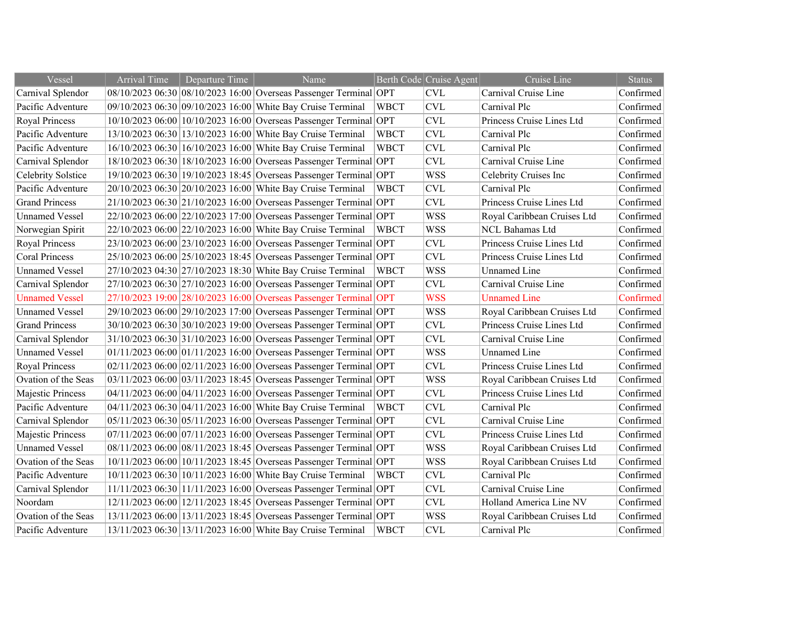| Vessel                | Arrival Time | Departure Time | Name                                                              |             | Berth Code Cruise Agent | Cruise Line                 | <b>Status</b> |
|-----------------------|--------------|----------------|-------------------------------------------------------------------|-------------|-------------------------|-----------------------------|---------------|
| Carnival Splendor     |              |                | 08/10/2023 06:30 08/10/2023 16:00 Overseas Passenger Terminal OPT |             | <b>CVL</b>              | Carnival Cruise Line        | Confirmed     |
| Pacific Adventure     |              |                | 09/10/2023 06:30 09/10/2023 16:00 White Bay Cruise Terminal       | <b>WBCT</b> | <b>CVL</b>              | Carnival Plc                | Confirmed     |
| <b>Royal Princess</b> |              |                | 10/10/2023 06:00 10/10/2023 16:00 Overseas Passenger Terminal OPT |             | <b>CVL</b>              | Princess Cruise Lines Ltd   | Confirmed     |
| Pacific Adventure     |              |                | 13/10/2023 06:30 13/10/2023 16:00 White Bay Cruise Terminal       | <b>WBCT</b> | <b>CVL</b>              | Carnival Plc                | Confirmed     |
| Pacific Adventure     |              |                | 16/10/2023 06:30 16/10/2023 16:00 White Bay Cruise Terminal       | <b>WBCT</b> | <b>CVL</b>              | Carnival Plc                | Confirmed     |
| Carnival Splendor     |              |                | 18/10/2023 06:30 18/10/2023 16:00 Overseas Passenger Terminal OPT |             | <b>CVL</b>              | Carnival Cruise Line        | Confirmed     |
| Celebrity Solstice    |              |                | 19/10/2023 06:30 19/10/2023 18:45 Overseas Passenger Terminal OPT |             | <b>WSS</b>              | Celebrity Cruises Inc       | Confirmed     |
| Pacific Adventure     |              |                | 20/10/2023 06:30 20/10/2023 16:00 White Bay Cruise Terminal       | <b>WBCT</b> | <b>CVL</b>              | Carnival Plc                | Confirmed     |
| <b>Grand Princess</b> |              |                | 21/10/2023 06:30 21/10/2023 16:00 Overseas Passenger Terminal OPT |             | CVL                     | Princess Cruise Lines Ltd   | Confirmed     |
| <b>Unnamed Vessel</b> |              |                | 22/10/2023 06:00 22/10/2023 17:00 Overseas Passenger Terminal OPT |             | <b>WSS</b>              | Royal Caribbean Cruises Ltd | Confirmed     |
| Norwegian Spirit      |              |                | 22/10/2023 06:00 22/10/2023 16:00 White Bay Cruise Terminal       | <b>WBCT</b> | <b>WSS</b>              | NCL Bahamas Ltd             | Confirmed     |
| <b>Royal Princess</b> |              |                | 23/10/2023 06:00 23/10/2023 16:00 Overseas Passenger Terminal OPT |             | <b>CVL</b>              | Princess Cruise Lines Ltd   | Confirmed     |
| <b>Coral Princess</b> |              |                | 25/10/2023 06:00 25/10/2023 18:45 Overseas Passenger Terminal OPT |             | <b>CVL</b>              | Princess Cruise Lines Ltd   | Confirmed     |
| <b>Unnamed Vessel</b> |              |                | 27/10/2023 04:30 27/10/2023 18:30 White Bay Cruise Terminal       | <b>WBCT</b> | <b>WSS</b>              | <b>Unnamed Line</b>         | Confirmed     |
| Carnival Splendor     |              |                | 27/10/2023 06:30 27/10/2023 16:00 Overseas Passenger Terminal OPT |             | <b>CVL</b>              | Carnival Cruise Line        | Confirmed     |
| <b>Unnamed Vessel</b> |              |                | 27/10/2023 19:00 28/10/2023 16:00 Overseas Passenger Terminal OPT |             | <b>WSS</b>              | <b>Unnamed Line</b>         | Confirmed     |
| <b>Unnamed Vessel</b> |              |                | 29/10/2023 06:00 29/10/2023 17:00 Overseas Passenger Terminal OPT |             | <b>WSS</b>              | Royal Caribbean Cruises Ltd | Confirmed     |
| <b>Grand Princess</b> |              |                | 30/10/2023 06:30 30/10/2023 19:00 Overseas Passenger Terminal OPT |             | <b>CVL</b>              | Princess Cruise Lines Ltd   | Confirmed     |
| Carnival Splendor     |              |                | 31/10/2023 06:30 31/10/2023 16:00 Overseas Passenger Terminal OPT |             | <b>CVL</b>              | Carnival Cruise Line        | Confirmed     |
| <b>Unnamed Vessel</b> |              |                | 01/11/2023 06:00 01/11/2023 16:00 Overseas Passenger Terminal OPT |             | <b>WSS</b>              | <b>Unnamed Line</b>         | Confirmed     |
| <b>Royal Princess</b> |              |                | 02/11/2023 06:00 02/11/2023 16:00 Overseas Passenger Terminal OPT |             | <b>CVL</b>              | Princess Cruise Lines Ltd   | Confirmed     |
| Ovation of the Seas   |              |                | 03/11/2023 06:00 03/11/2023 18:45 Overseas Passenger Terminal OPT |             | <b>WSS</b>              | Royal Caribbean Cruises Ltd | Confirmed     |
| Majestic Princess     |              |                | 04/11/2023 06:00 04/11/2023 16:00 Overseas Passenger Terminal OPT |             | <b>CVL</b>              | Princess Cruise Lines Ltd   | Confirmed     |
| Pacific Adventure     |              |                | 04/11/2023 06:30 04/11/2023 16:00 White Bay Cruise Terminal       | <b>WBCT</b> | <b>CVL</b>              | Carnival Plc                | Confirmed     |
| Carnival Splendor     |              |                | 05/11/2023 06:30 05/11/2023 16:00 Overseas Passenger Terminal OPT |             | <b>CVL</b>              | Carnival Cruise Line        | Confirmed     |
| Majestic Princess     |              |                | 07/11/2023 06:00 07/11/2023 16:00 Overseas Passenger Terminal OPT |             | <b>CVL</b>              | Princess Cruise Lines Ltd   | Confirmed     |
| <b>Unnamed Vessel</b> |              |                | 08/11/2023 06:00 08/11/2023 18:45 Overseas Passenger Terminal OPT |             | <b>WSS</b>              | Royal Caribbean Cruises Ltd | Confirmed     |
| Ovation of the Seas   |              |                | 10/11/2023 06:00 10/11/2023 18:45 Overseas Passenger Terminal OPT |             | <b>WSS</b>              | Royal Caribbean Cruises Ltd | Confirmed     |
| Pacific Adventure     |              |                | 10/11/2023 06:30 10/11/2023 16:00 White Bay Cruise Terminal       | <b>WBCT</b> | <b>CVL</b>              | Carnival Plc                | Confirmed     |
| Carnival Splendor     |              |                | 11/11/2023 06:30 11/11/2023 16:00 Overseas Passenger Terminal OPT |             | <b>CVL</b>              | Carnival Cruise Line        | Confirmed     |
| Noordam               |              |                | 12/11/2023 06:00 12/11/2023 18:45 Overseas Passenger Terminal OPT |             | CVL                     | Holland America Line NV     | Confirmed     |
| Ovation of the Seas   |              |                | 13/11/2023 06:00 13/11/2023 18:45 Overseas Passenger Terminal OPT |             | <b>WSS</b>              | Royal Caribbean Cruises Ltd | Confirmed     |
| Pacific Adventure     |              |                | 13/11/2023 06:30 13/11/2023 16:00 White Bay Cruise Terminal       | <b>WBCT</b> | <b>CVL</b>              | Carnival Plc                | Confirmed     |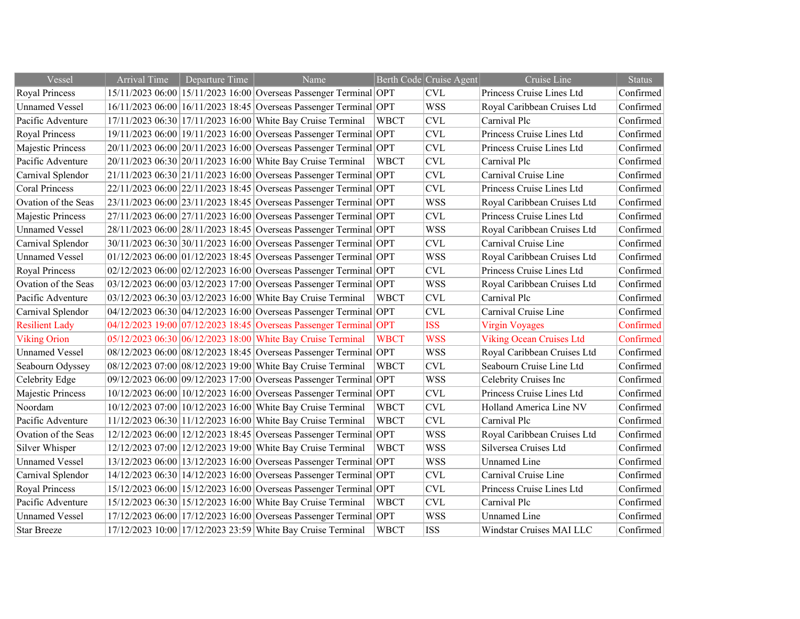| Vessel                | <b>Arrival Time</b> | Departure Time | Name                                                              |             | Berth Code Cruise Agent   | Cruise Line                     | <b>Status</b> |
|-----------------------|---------------------|----------------|-------------------------------------------------------------------|-------------|---------------------------|---------------------------------|---------------|
| Royal Princess        |                     |                | 15/11/2023 06:00 15/11/2023 16:00 Overseas Passenger Terminal OPT |             | CVL                       | Princess Cruise Lines Ltd       | Confirmed     |
| <b>Unnamed Vessel</b> |                     |                | 16/11/2023 06:00 16/11/2023 18:45 Overseas Passenger Terminal OPT |             | <b>WSS</b>                | Royal Caribbean Cruises Ltd     | Confirmed     |
| Pacific Adventure     |                     |                | 17/11/2023 06:30 17/11/2023 16:00 White Bay Cruise Terminal       | <b>WBCT</b> | <b>CVL</b>                | Carnival Plc                    | Confirmed     |
| <b>Royal Princess</b> |                     |                | 19/11/2023 06:00 19/11/2023 16:00 Overseas Passenger Terminal OPT |             | <b>CVL</b>                | Princess Cruise Lines Ltd       | Confirmed     |
| Majestic Princess     |                     |                | 20/11/2023 06:00 20/11/2023 16:00 Overseas Passenger Terminal OPT |             | <b>CVL</b>                | Princess Cruise Lines Ltd       | Confirmed     |
| Pacific Adventure     |                     |                | 20/11/2023 06:30 20/11/2023 16:00 White Bay Cruise Terminal       | <b>WBCT</b> | <b>CVL</b>                | Carnival Plc                    | Confirmed     |
| Carnival Splendor     |                     |                | 21/11/2023 06:30 21/11/2023 16:00 Overseas Passenger Terminal OPT |             | <b>CVL</b>                | Carnival Cruise Line            | Confirmed     |
| <b>Coral Princess</b> |                     |                | 22/11/2023 06:00 22/11/2023 18:45 Overseas Passenger Terminal OPT |             | <b>CVL</b>                | Princess Cruise Lines Ltd       | Confirmed     |
| Ovation of the Seas   |                     |                | 23/11/2023 06:00 23/11/2023 18:45 Overseas Passenger Terminal OPT |             | <b>WSS</b>                | Royal Caribbean Cruises Ltd     | Confirmed     |
| Majestic Princess     |                     |                | 27/11/2023 06:00 27/11/2023 16:00 Overseas Passenger Terminal OPT |             | <b>CVL</b>                | Princess Cruise Lines Ltd       | Confirmed     |
| <b>Unnamed Vessel</b> |                     |                | 28/11/2023 06:00 28/11/2023 18:45 Overseas Passenger Terminal OPT |             | <b>WSS</b>                | Royal Caribbean Cruises Ltd     | Confirmed     |
| Carnival Splendor     |                     |                | 30/11/2023 06:30 30/11/2023 16:00 Overseas Passenger Terminal OPT |             | <b>CVL</b>                | Carnival Cruise Line            | Confirmed     |
| <b>Unnamed Vessel</b> |                     |                | 01/12/2023 06:00 01/12/2023 18:45 Overseas Passenger Terminal OPT |             | <b>WSS</b>                | Royal Caribbean Cruises Ltd     | Confirmed     |
| <b>Royal Princess</b> |                     |                | 02/12/2023 06:00 02/12/2023 16:00 Overseas Passenger Terminal OPT |             | $\ensuremath{\text{CVL}}$ | Princess Cruise Lines Ltd       | Confirmed     |
| Ovation of the Seas   |                     |                | 03/12/2023 06:00 03/12/2023 17:00 Overseas Passenger Terminal OPT |             | <b>WSS</b>                | Royal Caribbean Cruises Ltd     | Confirmed     |
| Pacific Adventure     |                     |                | 03/12/2023 06:30 03/12/2023 16:00 White Bay Cruise Terminal       | <b>WBCT</b> | CVL                       | Carnival Plc                    | Confirmed     |
| Carnival Splendor     |                     |                | 04/12/2023 06:30 04/12/2023 16:00 Overseas Passenger Terminal OPT |             | <b>CVL</b>                | Carnival Cruise Line            | Confirmed     |
| <b>Resilient Lady</b> |                     |                | 04/12/2023 19:00 07/12/2023 18:45 Overseas Passenger Terminal OPT |             | <b>ISS</b>                | <b>Virgin Voyages</b>           | Confirmed     |
| <b>Viking Orion</b>   |                     |                | 05/12/2023 06:30 06/12/2023 18:00 White Bay Cruise Terminal       | <b>WBCT</b> | <b>WSS</b>                | <b>Viking Ocean Cruises Ltd</b> | Confirmed     |
| <b>Unnamed Vessel</b> |                     |                | 08/12/2023 06:00 08/12/2023 18:45 Overseas Passenger Terminal OPT |             | <b>WSS</b>                | Royal Caribbean Cruises Ltd     | Confirmed     |
| Seabourn Odyssey      |                     |                | 08/12/2023 07:00 08/12/2023 19:00 White Bay Cruise Terminal       | <b>WBCT</b> | <b>CVL</b>                | Seabourn Cruise Line Ltd        | Confirmed     |
| Celebrity Edge        |                     |                | 09/12/2023 06:00 09/12/2023 17:00 Overseas Passenger Terminal OPT |             | <b>WSS</b>                | Celebrity Cruises Inc           | Confirmed     |
| Majestic Princess     |                     |                | 10/12/2023 06:00 10/12/2023 16:00 Overseas Passenger Terminal OPT |             | <b>CVL</b>                | Princess Cruise Lines Ltd       | Confirmed     |
| Noordam               |                     |                | 10/12/2023 07:00 10/12/2023 16:00 White Bay Cruise Terminal       | <b>WBCT</b> | <b>CVL</b>                | Holland America Line NV         | Confirmed     |
| Pacific Adventure     |                     |                | 11/12/2023 06:30 11/12/2023 16:00 White Bay Cruise Terminal       | <b>WBCT</b> | <b>CVL</b>                | Carnival Plc                    | Confirmed     |
| Ovation of the Seas   |                     |                | 12/12/2023 06:00 12/12/2023 18:45 Overseas Passenger Terminal OPT |             | <b>WSS</b>                | Royal Caribbean Cruises Ltd     | Confirmed     |
| Silver Whisper        |                     |                | 12/12/2023 07:00 12/12/2023 19:00 White Bay Cruise Terminal       | <b>WBCT</b> | <b>WSS</b>                | Silversea Cruises Ltd           | Confirmed     |
| <b>Unnamed Vessel</b> |                     |                | 13/12/2023 06:00 13/12/2023 16:00 Overseas Passenger Terminal OPT |             | <b>WSS</b>                | <b>Unnamed Line</b>             | Confirmed     |
| Carnival Splendor     |                     |                | 14/12/2023 06:30 14/12/2023 16:00 Overseas Passenger Terminal OPT |             | <b>CVL</b>                | Carnival Cruise Line            | Confirmed     |
| <b>Royal Princess</b> |                     |                | 15/12/2023 06:00 15/12/2023 16:00 Overseas Passenger Terminal OPT |             | $\ensuremath{\text{CVL}}$ | Princess Cruise Lines Ltd       | Confirmed     |
| Pacific Adventure     |                     |                | 15/12/2023 06:30 15/12/2023 16:00 White Bay Cruise Terminal       | <b>WBCT</b> | CVL                       | Carnival Plc                    | Confirmed     |
| <b>Unnamed Vessel</b> |                     |                | 17/12/2023 06:00 17/12/2023 16:00 Overseas Passenger Terminal OPT |             | <b>WSS</b>                | <b>Unnamed Line</b>             | Confirmed     |
| <b>Star Breeze</b>    |                     |                | 17/12/2023 10:00 17/12/2023 23:59 White Bay Cruise Terminal       | <b>WBCT</b> | <b>ISS</b>                | Windstar Cruises MAI LLC        | Confirmed     |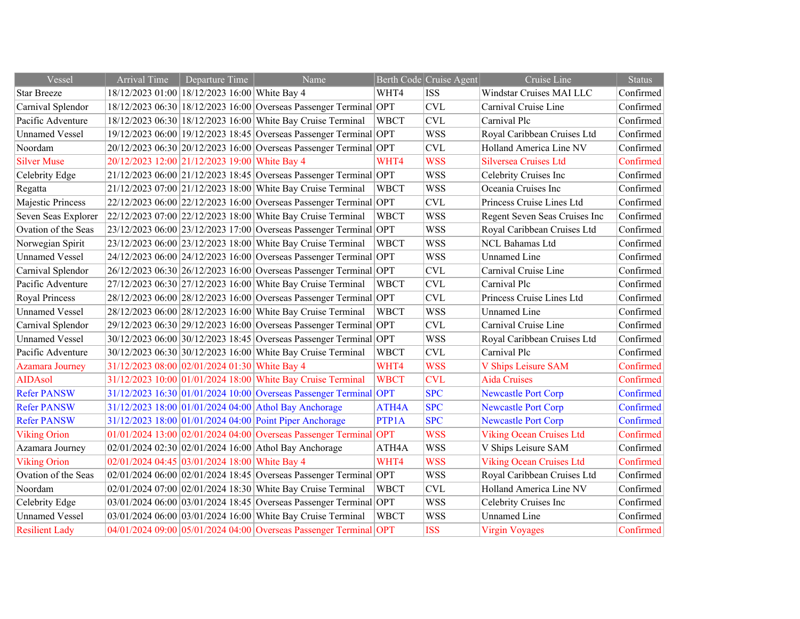| Vessel                 | <b>Arrival Time</b> | Departure Time                                | Name                                                              |             | Berth Code Cruise Agent | Cruise Line                     | <b>Status</b> |
|------------------------|---------------------|-----------------------------------------------|-------------------------------------------------------------------|-------------|-------------------------|---------------------------------|---------------|
| <b>Star Breeze</b>     |                     | 18/12/2023 01:00 18/12/2023 16:00 White Bay 4 |                                                                   | WHT4        | <b>ISS</b>              | Windstar Cruises MAI LLC        | Confirmed     |
| Carnival Splendor      |                     |                                               | 18/12/2023 06:30 18/12/2023 16:00 Overseas Passenger Terminal OPT |             | <b>CVL</b>              | Carnival Cruise Line            | Confirmed     |
| Pacific Adventure      |                     |                                               | 18/12/2023 06:30 18/12/2023 16:00 White Bay Cruise Terminal       | <b>WBCT</b> | <b>CVL</b>              | Carnival Plc                    | Confirmed     |
| <b>Unnamed Vessel</b>  |                     |                                               | 19/12/2023 06:00 19/12/2023 18:45 Overseas Passenger Terminal OPT |             | <b>WSS</b>              | Royal Caribbean Cruises Ltd     | Confirmed     |
| Noordam                |                     |                                               | 20/12/2023 06:30 20/12/2023 16:00 Overseas Passenger Terminal OPT |             | <b>CVL</b>              | Holland America Line NV         | Confirmed     |
| <b>Silver Muse</b>     |                     | 20/12/2023 12:00 21/12/2023 19:00 White Bay 4 |                                                                   | WHT4        | <b>WSS</b>              | Silversea Cruises Ltd           | Confirmed     |
| Celebrity Edge         |                     |                                               | 21/12/2023 06:00 21/12/2023 18:45 Overseas Passenger Terminal OPT |             | <b>WSS</b>              | Celebrity Cruises Inc           | Confirmed     |
| Regatta                |                     |                                               | 21/12/2023 07:00 21/12/2023 18:00 White Bay Cruise Terminal       | <b>WBCT</b> | <b>WSS</b>              | Oceania Cruises Inc             | Confirmed     |
| Majestic Princess      |                     |                                               | 22/12/2023 06:00 22/12/2023 16:00 Overseas Passenger Terminal OPT |             | <b>CVL</b>              | Princess Cruise Lines Ltd       | Confirmed     |
| Seven Seas Explorer    |                     |                                               | 22/12/2023 07:00 22/12/2023 18:00 White Bay Cruise Terminal       | <b>WBCT</b> | <b>WSS</b>              | Regent Seven Seas Cruises Inc   | Confirmed     |
| Ovation of the Seas    |                     |                                               | 23/12/2023 06:00 23/12/2023 17:00 Overseas Passenger Terminal OPT |             | <b>WSS</b>              | Royal Caribbean Cruises Ltd     | Confirmed     |
| Norwegian Spirit       |                     |                                               | 23/12/2023 06:00 23/12/2023 18:00 White Bay Cruise Terminal       | <b>WBCT</b> | <b>WSS</b>              | NCL Bahamas Ltd                 | Confirmed     |
| <b>Unnamed Vessel</b>  |                     |                                               | 24/12/2023 06:00 24/12/2023 16:00 Overseas Passenger Terminal OPT |             | <b>WSS</b>              | Unnamed Line                    | Confirmed     |
| Carnival Splendor      |                     |                                               | 26/12/2023 06:30 26/12/2023 16:00 Overseas Passenger Terminal OPT |             | <b>CVL</b>              | Carnival Cruise Line            | Confirmed     |
| Pacific Adventure      |                     |                                               | 27/12/2023 06:30 27/12/2023 16:00 White Bay Cruise Terminal       | <b>WBCT</b> | <b>CVL</b>              | Carnival Plc                    | Confirmed     |
| Royal Princess         |                     |                                               | 28/12/2023 06:00 28/12/2023 16:00 Overseas Passenger Terminal OPT |             | <b>CVL</b>              | Princess Cruise Lines Ltd       | Confirmed     |
| <b>Unnamed Vessel</b>  |                     |                                               | 28/12/2023 06:00 28/12/2023 16:00 White Bay Cruise Terminal       | <b>WBCT</b> | <b>WSS</b>              | <b>Unnamed Line</b>             | Confirmed     |
| Carnival Splendor      |                     |                                               | 29/12/2023 06:30 29/12/2023 16:00 Overseas Passenger Terminal OPT |             | <b>CVL</b>              | Carnival Cruise Line            | Confirmed     |
| <b>Unnamed Vessel</b>  |                     |                                               | 30/12/2023 06:00 30/12/2023 18:45 Overseas Passenger Terminal OPT |             | <b>WSS</b>              | Royal Caribbean Cruises Ltd     | Confirmed     |
| Pacific Adventure      |                     |                                               | 30/12/2023 06:30 30/12/2023 16:00 White Bay Cruise Terminal       | <b>WBCT</b> | <b>CVL</b>              | Carnival Plc                    | Confirmed     |
| <b>Azamara Journey</b> |                     | 31/12/2023 08:00 02/01/2024 01:30 White Bay 4 |                                                                   | WHT4        | <b>WSS</b>              | V Ships Leisure SAM             | Confirmed     |
| <b>AIDAsol</b>         |                     |                                               | 31/12/2023 10:00 01/01/2024 18:00 White Bay Cruise Terminal       | <b>WBCT</b> | <b>CVL</b>              | <b>Aida Cruises</b>             | Confirmed     |
| <b>Refer PANSW</b>     |                     |                                               | 31/12/2023 16:30 01/01/2024 10:00 Overseas Passenger Terminal OPT |             | <b>SPC</b>              | <b>Newcastle Port Corp</b>      | Confirmed     |
| <b>Refer PANSW</b>     |                     |                                               | 31/12/2023 18:00 01/01/2024 04:00 Athol Bay Anchorage             | ATH4A       | <b>SPC</b>              | <b>Newcastle Port Corp</b>      | Confirmed     |
| <b>Refer PANSW</b>     |                     |                                               | 31/12/2023 18:00 01/01/2024 04:00 Point Piper Anchorage           | PTP1A       | <b>SPC</b>              | <b>Newcastle Port Corp</b>      | Confirmed     |
| <b>Viking Orion</b>    |                     |                                               | 01/01/2024 13:00 02/01/2024 04:00 Overseas Passenger Terminal OPT |             | <b>WSS</b>              | <b>Viking Ocean Cruises Ltd</b> | Confirmed     |
| Azamara Journey        |                     |                                               | 02/01/2024 02:30 02/01/2024 16:00 Athol Bay Anchorage             | ATH4A       | <b>WSS</b>              | V Ships Leisure SAM             | Confirmed     |
| <b>Viking Orion</b>    |                     | 02/01/2024 04:45 03/01/2024 18:00 White Bay 4 |                                                                   | WHT4        | <b>WSS</b>              | <b>Viking Ocean Cruises Ltd</b> | Confirmed     |
| Ovation of the Seas    |                     |                                               | 02/01/2024 06:00 02/01/2024 18:45 Overseas Passenger Terminal OPT |             | <b>WSS</b>              | Royal Caribbean Cruises Ltd     | Confirmed     |
| Noordam                |                     |                                               | 02/01/2024 07:00 02/01/2024 18:30 White Bay Cruise Terminal       | <b>WBCT</b> | <b>CVL</b>              | Holland America Line NV         | Confirmed     |
| Celebrity Edge         |                     |                                               | 03/01/2024 06:00 03/01/2024 18:45 Overseas Passenger Terminal OPT |             | <b>WSS</b>              | Celebrity Cruises Inc           | Confirmed     |
| <b>Unnamed Vessel</b>  |                     |                                               | 03/01/2024 06:00 03/01/2024 16:00 White Bay Cruise Terminal       | <b>WBCT</b> | <b>WSS</b>              | <b>Unnamed Line</b>             | Confirmed     |
| <b>Resilient Lady</b>  |                     |                                               | 04/01/2024 09:00 05/01/2024 04:00 Overseas Passenger Terminal OPT |             | <b>ISS</b>              | <b>Virgin Vovages</b>           | Confirmed     |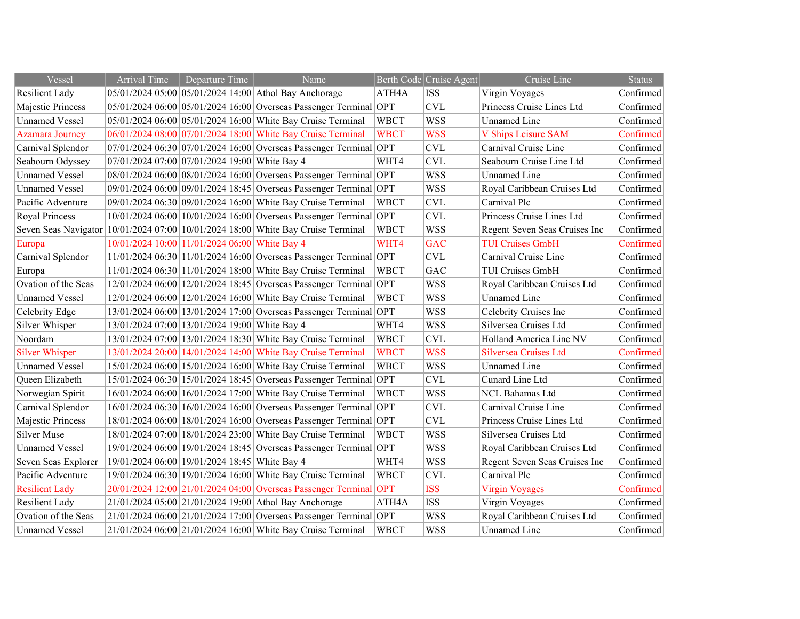| Vessel                 | <b>Arrival Time</b>                           | Departure Time | Name                                                                               |             | Berth Code Cruise Agent | Cruise Line                   | <b>Status</b> |
|------------------------|-----------------------------------------------|----------------|------------------------------------------------------------------------------------|-------------|-------------------------|-------------------------------|---------------|
| <b>Resilient Lady</b>  |                                               |                | 05/01/2024 05:00 05/01/2024 14:00 Athol Bay Anchorage                              | ATH4A       | <b>ISS</b>              | Virgin Voyages                | Confirmed     |
| Majestic Princess      |                                               |                | 05/01/2024 06:00 05/01/2024 16:00 Overseas Passenger Terminal OPT                  |             | CVL                     | Princess Cruise Lines Ltd     | Confirmed     |
| <b>Unnamed Vessel</b>  |                                               |                | 05/01/2024 06:00 05/01/2024 16:00 White Bay Cruise Terminal                        | <b>WBCT</b> | <b>WSS</b>              | <b>Unnamed Line</b>           | Confirmed     |
| <b>Azamara Journey</b> |                                               |                | 06/01/2024 08:00 07/01/2024 18:00 White Bay Cruise Terminal                        | <b>WBCT</b> | <b>WSS</b>              | V Ships Leisure SAM           | Confirmed     |
| Carnival Splendor      |                                               |                | 07/01/2024 06:30 07/01/2024 16:00 Overseas Passenger Terminal OPT                  |             | <b>CVL</b>              | Carnival Cruise Line          | Confirmed     |
| Seabourn Odyssey       | 07/01/2024 07:00 07/01/2024 19:00 White Bay 4 |                |                                                                                    | WHT4        | <b>CVL</b>              | Seabourn Cruise Line Ltd      | Confirmed     |
| <b>Unnamed Vessel</b>  |                                               |                | 08/01/2024 06:00 08/01/2024 16:00 Overseas Passenger Terminal OPT                  |             | <b>WSS</b>              | <b>Unnamed Line</b>           | Confirmed     |
| <b>Unnamed Vessel</b>  |                                               |                | 09/01/2024 06:00 09/01/2024 18:45 Overseas Passenger Terminal OPT                  |             | <b>WSS</b>              | Royal Caribbean Cruises Ltd   | Confirmed     |
| Pacific Adventure      |                                               |                | 09/01/2024 06:30 09/01/2024 16:00 White Bay Cruise Terminal                        | <b>WBCT</b> | <b>CVL</b>              | Carnival Plc                  | Confirmed     |
| <b>Royal Princess</b>  |                                               |                | 10/01/2024 06:00 10/01/2024 16:00 Overseas Passenger Terminal OPT                  |             | CVL                     | Princess Cruise Lines Ltd     | Confirmed     |
|                        |                                               |                | Seven Seas Navigator $ 10/01/202407:00 10/01/202418:00 $ White Bay Cruise Terminal | <b>WBCT</b> | <b>WSS</b>              | Regent Seven Seas Cruises Inc | Confirmed     |
| Europa                 | 10/01/2024 10:00 11/01/2024 06:00 White Bay 4 |                |                                                                                    | WHT4        | <b>GAC</b>              | <b>TUI Cruises GmbH</b>       | Confirmed     |
| Carnival Splendor      |                                               |                | 11/01/2024 06:30 11/01/2024 16:00 Overseas Passenger Terminal OPT                  |             | CVL                     | Carnival Cruise Line          | Confirmed     |
| Europa                 |                                               |                | 11/01/2024 06:30 11/01/2024 18:00 White Bay Cruise Terminal                        | <b>WBCT</b> | GAC                     | <b>TUI Cruises GmbH</b>       | Confirmed     |
| Ovation of the Seas    |                                               |                | 12/01/2024 06:00 12/01/2024 18:45 Overseas Passenger Terminal OPT                  |             | <b>WSS</b>              | Royal Caribbean Cruises Ltd   | Confirmed     |
| <b>Unnamed Vessel</b>  |                                               |                | 12/01/2024 06:00 12/01/2024 16:00 White Bay Cruise Terminal                        | <b>WBCT</b> | <b>WSS</b>              | <b>Unnamed Line</b>           | Confirmed     |
| Celebrity Edge         |                                               |                | 13/01/2024 06:00 13/01/2024 17:00 Overseas Passenger Terminal OPT                  |             | <b>WSS</b>              | Celebrity Cruises Inc         | Confirmed     |
| Silver Whisper         | 13/01/2024 07:00 13/01/2024 19:00 White Bay 4 |                |                                                                                    | WHT4        | <b>WSS</b>              | Silversea Cruises Ltd         | Confirmed     |
| Noordam                |                                               |                | 13/01/2024 07:00 13/01/2024 18:30 White Bay Cruise Terminal                        | <b>WBCT</b> | <b>CVL</b>              | Holland America Line NV       | Confirmed     |
| <b>Silver Whisper</b>  |                                               |                | 13/01/2024 20:00 14/01/2024 14:00 White Bay Cruise Terminal                        | <b>WBCT</b> | <b>WSS</b>              | Silversea Cruises Ltd         | Confirmed     |
| <b>Unnamed Vessel</b>  |                                               |                | 15/01/2024 06:00 15/01/2024 16:00 White Bay Cruise Terminal                        | <b>WBCT</b> | <b>WSS</b>              | <b>Unnamed Line</b>           | Confirmed     |
| Queen Elizabeth        |                                               |                | 15/01/2024 06:30 15/01/2024 18:45 Overseas Passenger Terminal OPT                  |             | <b>CVL</b>              | Cunard Line Ltd               | Confirmed     |
| Norwegian Spirit       |                                               |                | 16/01/2024 06:00 16/01/2024 17:00 White Bay Cruise Terminal                        | <b>WBCT</b> | <b>WSS</b>              | NCL Bahamas Ltd               | Confirmed     |
| Carnival Splendor      |                                               |                | 16/01/2024 06:30 16/01/2024 16:00 Overseas Passenger Terminal OPT                  |             | CVL                     | Carnival Cruise Line          | Confirmed     |
| Majestic Princess      |                                               |                | 18/01/2024 06:00 18/01/2024 16:00 Overseas Passenger Terminal OPT                  |             | <b>CVL</b>              | Princess Cruise Lines Ltd     | Confirmed     |
| <b>Silver Muse</b>     |                                               |                | 18/01/2024 07:00 18/01/2024 23:00 White Bay Cruise Terminal                        | <b>WBCT</b> | <b>WSS</b>              | Silversea Cruises Ltd         | Confirmed     |
| <b>Unnamed Vessel</b>  |                                               |                | 19/01/2024 06:00 19/01/2024 18:45 Overseas Passenger Terminal OPT                  |             | <b>WSS</b>              | Royal Caribbean Cruises Ltd   | Confirmed     |
| Seven Seas Explorer    | 19/01/2024 06:00 19/01/2024 18:45 White Bay 4 |                |                                                                                    | WHT4        | <b>WSS</b>              | Regent Seven Seas Cruises Inc | Confirmed     |
| Pacific Adventure      |                                               |                | 19/01/2024 06:30 19/01/2024 16:00 White Bay Cruise Terminal                        | <b>WBCT</b> | <b>CVL</b>              | Carnival Plc                  | Confirmed     |
| <b>Resilient Lady</b>  |                                               |                | 20/01/2024 12:00 21/01/2024 04:00 Overseas Passenger Terminal OPT                  |             | <b>ISS</b>              | <b>Virgin Voyages</b>         | Confirmed     |
| <b>Resilient Lady</b>  |                                               |                | 21/01/2024 05:00 21/01/2024 19:00 Athol Bay Anchorage                              | ATH4A       | <b>ISS</b>              | Virgin Voyages                | Confirmed     |
| Ovation of the Seas    |                                               |                | 21/01/2024 06:00 21/01/2024 17:00 Overseas Passenger Terminal OPT                  |             | <b>WSS</b>              | Royal Caribbean Cruises Ltd   | Confirmed     |
| <b>Unnamed Vessel</b>  |                                               |                | 21/01/2024 06:00 21/01/2024 16:00 White Bay Cruise Terminal                        | <b>WBCT</b> | <b>WSS</b>              | <b>Unnamed Line</b>           | Confirmed     |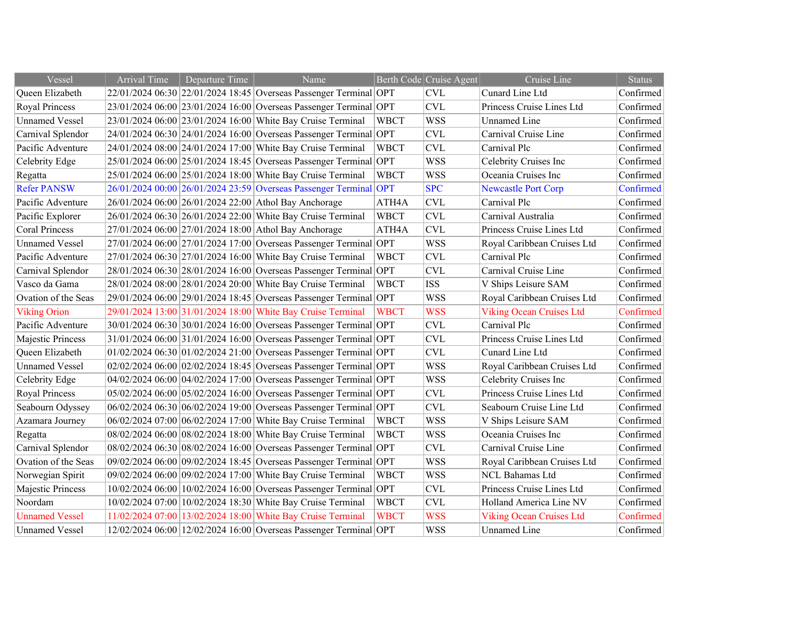| Vessel                | <b>Arrival Time</b> | Departure Time | Name                                                              |             | Berth Code Cruise Agent | Cruise Line                     | <b>Status</b> |
|-----------------------|---------------------|----------------|-------------------------------------------------------------------|-------------|-------------------------|---------------------------------|---------------|
| Queen Elizabeth       |                     |                | 22/01/2024 06:30 22/01/2024 18:45 Overseas Passenger Terminal OPT |             | <b>CVL</b>              | Cunard Line Ltd                 | Confirmed     |
| <b>Royal Princess</b> |                     |                | 23/01/2024 06:00 23/01/2024 16:00 Overseas Passenger Terminal OPT |             | CVL                     | Princess Cruise Lines Ltd       | Confirmed     |
| <b>Unnamed Vessel</b> |                     |                | 23/01/2024 06:00 23/01/2024 16:00 White Bay Cruise Terminal       | <b>WBCT</b> | <b>WSS</b>              | <b>Unnamed Line</b>             | Confirmed     |
| Carnival Splendor     |                     |                | 24/01/2024 06:30 24/01/2024 16:00 Overseas Passenger Terminal OPT |             | <b>CVL</b>              | Carnival Cruise Line            | Confirmed     |
| Pacific Adventure     |                     |                | 24/01/2024 08:00 24/01/2024 17:00 White Bay Cruise Terminal       | <b>WBCT</b> | <b>CVL</b>              | Carnival Plc                    | Confirmed     |
| Celebrity Edge        |                     |                | 25/01/2024 06:00 25/01/2024 18:45 Overseas Passenger Terminal OPT |             | <b>WSS</b>              | Celebrity Cruises Inc           | Confirmed     |
| Regatta               |                     |                | 25/01/2024 06:00 25/01/2024 18:00 White Bay Cruise Terminal       | <b>WBCT</b> | <b>WSS</b>              | Oceania Cruises Inc             | Confirmed     |
| <b>Refer PANSW</b>    |                     |                | 26/01/2024 00:00 26/01/2024 23:59 Overseas Passenger Terminal OPT |             | <b>SPC</b>              | <b>Newcastle Port Corp</b>      | Confirmed     |
| Pacific Adventure     |                     |                | 26/01/2024 06:00 26/01/2024 22:00 Athol Bay Anchorage             | ATH4A       | <b>CVL</b>              | Carnival Plc                    | Confirmed     |
| Pacific Explorer      |                     |                | 26/01/2024 06:30 26/01/2024 22:00 White Bay Cruise Terminal       | <b>WBCT</b> | <b>CVL</b>              | Carnival Australia              | Confirmed     |
| <b>Coral Princess</b> |                     |                | 27/01/2024 06:00 27/01/2024 18:00 Athol Bay Anchorage             | ATH4A       | CVL                     | Princess Cruise Lines Ltd       | Confirmed     |
| <b>Unnamed Vessel</b> |                     |                | 27/01/2024 06:00 27/01/2024 17:00 Overseas Passenger Terminal OPT |             | <b>WSS</b>              | Royal Caribbean Cruises Ltd     | Confirmed     |
| Pacific Adventure     |                     |                | 27/01/2024 06:30 27/01/2024 16:00 White Bay Cruise Terminal       | <b>WBCT</b> | <b>CVL</b>              | Carnival Plc                    | Confirmed     |
| Carnival Splendor     |                     |                | 28/01/2024 06:30 28/01/2024 16:00 Overseas Passenger Terminal OPT |             | <b>CVL</b>              | Carnival Cruise Line            | Confirmed     |
| Vasco da Gama         |                     |                | 28/01/2024 08:00 28/01/2024 20:00 White Bay Cruise Terminal       | <b>WBCT</b> | <b>ISS</b>              | V Ships Leisure SAM             | Confirmed     |
| Ovation of the Seas   |                     |                | 29/01/2024 06:00 29/01/2024 18:45 Overseas Passenger Terminal OPT |             | <b>WSS</b>              | Royal Caribbean Cruises Ltd     | Confirmed     |
| <b>Viking Orion</b>   |                     |                | 29/01/2024 13:00 31/01/2024 18:00 White Bay Cruise Terminal       | <b>WBCT</b> | <b>WSS</b>              | <b>Viking Ocean Cruises Ltd</b> | Confirmed     |
| Pacific Adventure     |                     |                | 30/01/2024 06:30 30/01/2024 16:00 Overseas Passenger Terminal OPT |             | <b>CVL</b>              | Carnival Plc                    | Confirmed     |
| Majestic Princess     |                     |                | 31/01/2024 06:00 31/01/2024 16:00 Overseas Passenger Terminal OPT |             | CVL                     | Princess Cruise Lines Ltd       | Confirmed     |
| Queen Elizabeth       |                     |                | 01/02/2024 06:30 01/02/2024 21:00 Overseas Passenger Terminal OPT |             | <b>CVL</b>              | Cunard Line Ltd                 | Confirmed     |
| <b>Unnamed Vessel</b> |                     |                | 02/02/2024 06:00 02/02/2024 18:45 Overseas Passenger Terminal OPT |             | <b>WSS</b>              | Royal Caribbean Cruises Ltd     | Confirmed     |
| Celebrity Edge        |                     |                | 04/02/2024 06:00 04/02/2024 17:00 Overseas Passenger Terminal OPT |             | <b>WSS</b>              | Celebrity Cruises Inc           | Confirmed     |
| Royal Princess        |                     |                | 05/02/2024 06:00 05/02/2024 16:00 Overseas Passenger Terminal OPT |             | <b>CVL</b>              | Princess Cruise Lines Ltd       | Confirmed     |
| Seabourn Odyssey      |                     |                | 06/02/2024 06:30 06/02/2024 19:00 Overseas Passenger Terminal OPT |             | <b>CVL</b>              | Seabourn Cruise Line Ltd        | Confirmed     |
| Azamara Journey       |                     |                | 06/02/2024 07:00 06/02/2024 17:00 White Bay Cruise Terminal       | <b>WBCT</b> | <b>WSS</b>              | V Ships Leisure SAM             | Confirmed     |
| Regatta               |                     |                | 08/02/2024 06:00 08/02/2024 18:00 White Bay Cruise Terminal       | <b>WBCT</b> | <b>WSS</b>              | Oceania Cruises Inc             | Confirmed     |
| Carnival Splendor     |                     |                | 08/02/2024 06:30 08/02/2024 16:00 Overseas Passenger Terminal OPT |             | <b>CVL</b>              | Carnival Cruise Line            | Confirmed     |
| Ovation of the Seas   |                     |                | 09/02/2024 06:00 09/02/2024 18:45 Overseas Passenger Terminal OPT |             | <b>WSS</b>              | Royal Caribbean Cruises Ltd     | Confirmed     |
| Norwegian Spirit      |                     |                | 09/02/2024 06:00 09/02/2024 17:00 White Bay Cruise Terminal       | <b>WBCT</b> | <b>WSS</b>              | <b>NCL Bahamas Ltd</b>          | Confirmed     |
| Majestic Princess     |                     |                | 10/02/2024 06:00 10/02/2024 16:00 Overseas Passenger Terminal OPT |             | CVL                     | Princess Cruise Lines Ltd       | Confirmed     |
| Noordam               |                     |                | 10/02/2024 07:00 10/02/2024 18:30 White Bay Cruise Terminal       | <b>WBCT</b> | <b>CVL</b>              | Holland America Line NV         | Confirmed     |
| <b>Unnamed Vessel</b> |                     |                | 11/02/2024 07:00 13/02/2024 18:00 White Bay Cruise Terminal       | <b>WBCT</b> | <b>WSS</b>              | <b>Viking Ocean Cruises Ltd</b> | Confirmed     |
| <b>Unnamed Vessel</b> |                     |                | 12/02/2024 06:00 12/02/2024 16:00 Overseas Passenger Terminal OPT |             | <b>WSS</b>              | <b>Unnamed Line</b>             | Confirmed     |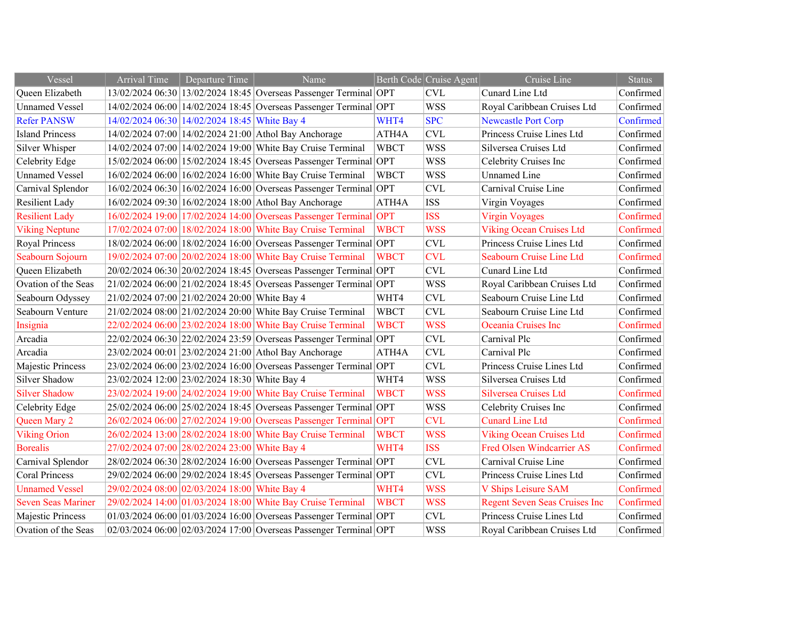| Vessel                    | <b>Arrival Time</b>                           | Departure Time                                | Name                                                                    |                    | Berth Code Cruise Agent | Cruise Line                          | <b>Status</b> |
|---------------------------|-----------------------------------------------|-----------------------------------------------|-------------------------------------------------------------------------|--------------------|-------------------------|--------------------------------------|---------------|
| Queen Elizabeth           |                                               |                                               | 13/02/2024 06:30 13/02/2024 18:45 Overseas Passenger Terminal OPT       |                    | <b>CVL</b>              | Cunard Line Ltd                      | Confirmed     |
| <b>Unnamed Vessel</b>     |                                               |                                               | 14/02/2024 06:00 14/02/2024 18:45 Overseas Passenger Terminal OPT       |                    | <b>WSS</b>              | Royal Caribbean Cruises Ltd          | Confirmed     |
| <b>Refer PANSW</b>        |                                               | 14/02/2024 06:30 14/02/2024 18:45 White Bay 4 |                                                                         | WHT4               | <b>SPC</b>              | <b>Newcastle Port Corp</b>           | Confirmed     |
| <b>Island Princess</b>    |                                               |                                               | 14/02/2024 07:00 14/02/2024 21:00 Athol Bay Anchorage                   | ATH <sub>4</sub> A | <b>CVL</b>              | Princess Cruise Lines Ltd            | Confirmed     |
| Silver Whisper            |                                               |                                               | 14/02/2024 07:00 14/02/2024 19:00 White Bay Cruise Terminal             | <b>WBCT</b>        | <b>WSS</b>              | Silversea Cruises Ltd                | Confirmed     |
| Celebrity Edge            |                                               |                                               | 15/02/2024 06:00 15/02/2024 18:45 Overseas Passenger Terminal OPT       |                    | <b>WSS</b>              | Celebrity Cruises Inc                | Confirmed     |
| <b>Unnamed Vessel</b>     |                                               |                                               | 16/02/2024 06:00 16/02/2024 16:00 White Bay Cruise Terminal             | <b>WBCT</b>        | <b>WSS</b>              | <b>Unnamed Line</b>                  | Confirmed     |
| Carnival Splendor         |                                               |                                               | 16/02/2024 06:30 16/02/2024 16:00 Overseas Passenger Terminal OPT       |                    | <b>CVL</b>              | Carnival Cruise Line                 | Confirmed     |
| <b>Resilient Lady</b>     |                                               |                                               | 16/02/2024 09:30 16/02/2024 18:00 Athol Bay Anchorage                   | ATH4A              | <b>ISS</b>              | Virgin Voyages                       | Confirmed     |
| <b>Resilient Lady</b>     |                                               |                                               | 16/02/2024 19:00 17/02/2024 14:00 Overseas Passenger Terminal OPT       |                    | <b>ISS</b>              | <b>Virgin Voyages</b>                | Confirmed     |
| <b>Viking Neptune</b>     |                                               |                                               | 17/02/2024 07:00 18/02/2024 18:00 White Bay Cruise Terminal             | <b>WBCT</b>        | <b>WSS</b>              | <b>Viking Ocean Cruises Ltd</b>      | Confirmed     |
| Royal Princess            |                                               |                                               | 18/02/2024 06:00 18/02/2024 16:00 Overseas Passenger Terminal OPT       |                    | <b>CVL</b>              | Princess Cruise Lines Ltd            | Confirmed     |
| Seabourn Sojourn          |                                               |                                               | 19/02/2024 07:00 20/02/2024 18:00 White Bay Cruise Terminal             | <b>WBCT</b>        | <b>CVL</b>              | Seabourn Cruise Line Ltd             | Confirmed     |
| Queen Elizabeth           |                                               |                                               | 20/02/2024 06:30 20/02/2024 18:45 Overseas Passenger Terminal OPT       |                    | <b>CVL</b>              | Cunard Line Ltd                      | Confirmed     |
| Ovation of the Seas       |                                               |                                               | 21/02/2024 06:00 21/02/2024 18:45 Overseas Passenger Terminal OPT       |                    | <b>WSS</b>              | Royal Caribbean Cruises Ltd          | Confirmed     |
| Seabourn Odyssey          | 21/02/2024 07:00 21/02/2024 20:00 White Bay 4 |                                               |                                                                         | WHT4               | <b>CVL</b>              | Seabourn Cruise Line Ltd             | Confirmed     |
| Seabourn Venture          |                                               |                                               | 21/02/2024 08:00 21/02/2024 20:00 White Bay Cruise Terminal             | <b>WBCT</b>        | <b>CVL</b>              | Seabourn Cruise Line Ltd             | Confirmed     |
| Insignia                  |                                               |                                               | 22/02/2024 06:00 23/02/2024 18:00 White Bay Cruise Terminal             | <b>WBCT</b>        | <b>WSS</b>              | Oceania Cruises Inc                  | Confirmed     |
| Arcadia                   |                                               |                                               | 22/02/2024 06:30 22/02/2024 23:59 Overseas Passenger Terminal OPT       |                    | <b>CVL</b>              | Carnival Plc                         | Confirmed     |
| Arcadia                   |                                               |                                               | 23/02/2024 00:01 23/02/2024 21:00 Athol Bay Anchorage                   | ATH4A              | CVL                     | Carnival Plc                         | Confirmed     |
| Majestic Princess         |                                               |                                               | 23/02/2024 06:00 23/02/2024 16:00 Overseas Passenger Terminal OPT       |                    | CVL                     | Princess Cruise Lines Ltd            | Confirmed     |
| Silver Shadow             | 23/02/2024 12:00 23/02/2024 18:30 White Bay 4 |                                               |                                                                         | WHT4               | <b>WSS</b>              | Silversea Cruises Ltd                | Confirmed     |
| <b>Silver Shadow</b>      |                                               |                                               | 23/02/2024 19:00 24/02/2024 19:00 White Bay Cruise Terminal             | <b>WBCT</b>        | <b>WSS</b>              | Silversea Cruises Ltd                | Confirmed     |
| Celebrity Edge            |                                               |                                               | 25/02/2024 06:00 25/02/2024 18:45 Overseas Passenger Terminal OPT       |                    | <b>WSS</b>              | Celebrity Cruises Inc                | Confirmed     |
| Queen Mary 2              |                                               |                                               | 26/02/2024 06:00 27/02/2024 19:00 Overseas Passenger Terminal OPT       |                    | <b>CVL</b>              | <b>Cunard Line Ltd</b>               | Confirmed     |
| <b>Viking Orion</b>       |                                               |                                               | 26/02/2024 13:00 28/02/2024 18:00 White Bay Cruise Terminal             | <b>WBCT</b>        | <b>WSS</b>              | <b>Viking Ocean Cruises Ltd</b>      | Confirmed     |
| <b>Borealis</b>           | 27/02/2024 07:00 28/02/2024 23:00 White Bay 4 |                                               |                                                                         | WHT4               | <b>ISS</b>              | <b>Fred Olsen Windcarrier AS</b>     | Confirmed     |
| Carnival Splendor         |                                               |                                               | 28/02/2024 06:30 28/02/2024 16:00 Overseas Passenger Terminal OPT       |                    | <b>CVL</b>              | Carnival Cruise Line                 | Confirmed     |
| <b>Coral Princess</b>     |                                               |                                               | 29/02/2024 06:00 29/02/2024 18:45 Overseas Passenger Terminal OPT       |                    | <b>CVL</b>              | Princess Cruise Lines Ltd            | Confirmed     |
| <b>Unnamed Vessel</b>     | 29/02/2024 08:00 02/03/2024 18:00 White Bay 4 |                                               |                                                                         | WHT4               | <b>WSS</b>              | <b>V Ships Leisure SAM</b>           | Confirmed     |
| <b>Seven Seas Mariner</b> |                                               |                                               | 29/02/2024 14:00 01/03/2024 18:00 White Bay Cruise Terminal             | <b>WBCT</b>        | <b>WSS</b>              | <b>Regent Seven Seas Cruises Inc</b> | Confirmed     |
| Majestic Princess         |                                               |                                               | $01/03/2024 06:00   01/03/2024 16:00  $ Overseas Passenger Terminal OPT |                    | <b>CVL</b>              | Princess Cruise Lines Ltd            | Confirmed     |
| Ovation of the Seas       |                                               |                                               | 02/03/2024 06:00 02/03/2024 17:00 Overseas Passenger Terminal OPT       |                    | <b>WSS</b>              | Royal Caribbean Cruises Ltd          | Confirmed     |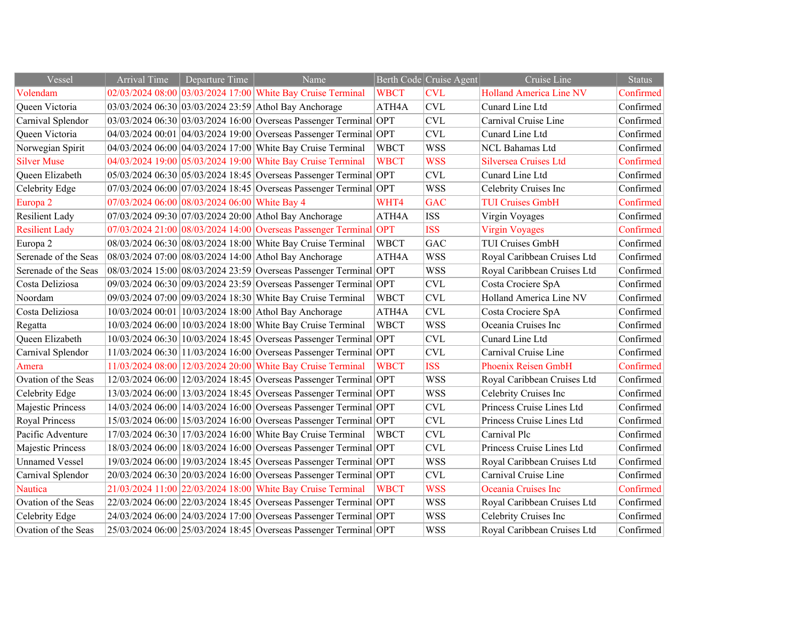| Vessel                | <b>Arrival Time</b> | Departure Time                                | Name                                                              |             | Berth Code Cruise Agent | Cruise Line                    | <b>Status</b> |
|-----------------------|---------------------|-----------------------------------------------|-------------------------------------------------------------------|-------------|-------------------------|--------------------------------|---------------|
| Volendam              |                     |                                               | 02/03/2024 08:00 03/03/2024 17:00 White Bay Cruise Terminal       | <b>WBCT</b> | <b>CVL</b>              | <b>Holland America Line NV</b> | Confirmed     |
| Queen Victoria        |                     |                                               | 03/03/2024 06:30 03/03/2024 23:59 Athol Bay Anchorage             | ATH4A       | <b>CVL</b>              | Cunard Line Ltd                | Confirmed     |
| Carnival Splendor     |                     |                                               | 03/03/2024 06:30 03/03/2024 16:00 Overseas Passenger Terminal OPT |             | <b>CVL</b>              | Carnival Cruise Line           | Confirmed     |
| Queen Victoria        |                     |                                               | 04/03/2024 00:01 04/03/2024 19:00 Overseas Passenger Terminal OPT |             | <b>CVL</b>              | Cunard Line Ltd                | Confirmed     |
| Norwegian Spirit      |                     |                                               | 04/03/2024 06:00 04/03/2024 17:00 White Bay Cruise Terminal       | <b>WBCT</b> | <b>WSS</b>              | NCL Bahamas Ltd                | Confirmed     |
| <b>Silver Muse</b>    |                     |                                               | 04/03/2024 19:00 05/03/2024 19:00 White Bay Cruise Terminal       | <b>WBCT</b> | <b>WSS</b>              | <b>Silversea Cruises Ltd</b>   | Confirmed     |
| Queen Elizabeth       |                     |                                               | 05/03/2024 06:30 05/03/2024 18:45 Overseas Passenger Terminal OPT |             | <b>CVL</b>              | Cunard Line Ltd                | Confirmed     |
| Celebrity Edge        |                     |                                               | 07/03/2024 06:00 07/03/2024 18:45 Overseas Passenger Terminal OPT |             | <b>WSS</b>              | Celebrity Cruises Inc          | Confirmed     |
| Europa <sub>2</sub>   |                     | 07/03/2024 06:00 08/03/2024 06:00 White Bay 4 |                                                                   | WHT4        | <b>GAC</b>              | <b>TUI Cruises GmbH</b>        | Confirmed     |
| <b>Resilient Lady</b> |                     |                                               | 07/03/2024 09:30 07/03/2024 20:00 Athol Bay Anchorage             | ATH4A       | <b>ISS</b>              | Virgin Voyages                 | Confirmed     |
| <b>Resilient Lady</b> |                     |                                               | 07/03/2024 21:00 08/03/2024 14:00 Overseas Passenger Terminal OPT |             | <b>ISS</b>              | <b>Virgin Voyages</b>          | Confirmed     |
| Europa 2              |                     |                                               | 08/03/2024 06:30 08/03/2024 18:00 White Bay Cruise Terminal       | <b>WBCT</b> | GAC                     | <b>TUI Cruises GmbH</b>        | Confirmed     |
| Serenade of the Seas  |                     |                                               | 08/03/2024 07:00 08/03/2024 14:00 Athol Bay Anchorage             | ATH4A       | <b>WSS</b>              | Royal Caribbean Cruises Ltd    | Confirmed     |
| Serenade of the Seas  |                     |                                               | 08/03/2024 15:00 08/03/2024 23:59 Overseas Passenger Terminal OPT |             | <b>WSS</b>              | Royal Caribbean Cruises Ltd    | Confirmed     |
| Costa Deliziosa       |                     |                                               | 09/03/2024 06:30 09/03/2024 23:59 Overseas Passenger Terminal OPT |             | <b>CVL</b>              | Costa Crociere SpA             | Confirmed     |
| Noordam               |                     |                                               | 09/03/2024 07:00 09/03/2024 18:30 White Bay Cruise Terminal       | <b>WBCT</b> | <b>CVL</b>              | Holland America Line NV        | Confirmed     |
| Costa Deliziosa       |                     |                                               | 10/03/2024 00:01 10/03/2024 18:00 Athol Bay Anchorage             | ATH4A       | <b>CVL</b>              | Costa Crociere SpA             | Confirmed     |
| Regatta               |                     |                                               | 10/03/2024 06:00 10/03/2024 18:00 White Bay Cruise Terminal       | <b>WBCT</b> | <b>WSS</b>              | Oceania Cruises Inc            | Confirmed     |
| Queen Elizabeth       |                     |                                               | 10/03/2024 06:30 10/03/2024 18:45 Overseas Passenger Terminal OPT |             | <b>CVL</b>              | Cunard Line Ltd                | Confirmed     |
| Carnival Splendor     |                     |                                               | 11/03/2024 06:30 11/03/2024 16:00 Overseas Passenger Terminal OPT |             | <b>CVL</b>              | Carnival Cruise Line           | Confirmed     |
| Amera                 |                     |                                               | 11/03/2024 08:00 12/03/2024 20:00 White Bay Cruise Terminal       | <b>WBCT</b> | <b>ISS</b>              | <b>Phoenix Reisen GmbH</b>     | Confirmed     |
| Ovation of the Seas   |                     |                                               | 12/03/2024 06:00 12/03/2024 18:45 Overseas Passenger Terminal OPT |             | <b>WSS</b>              | Royal Caribbean Cruises Ltd    | Confirmed     |
| Celebrity Edge        |                     |                                               | 13/03/2024 06:00 13/03/2024 18:45 Overseas Passenger Terminal OPT |             | <b>WSS</b>              | Celebrity Cruises Inc          | Confirmed     |
| Majestic Princess     |                     |                                               | 14/03/2024 06:00 14/03/2024 16:00 Overseas Passenger Terminal OPT |             | <b>CVL</b>              | Princess Cruise Lines Ltd      | Confirmed     |
| Royal Princess        |                     |                                               | 15/03/2024 06:00 15/03/2024 16:00 Overseas Passenger Terminal OPT |             | <b>CVL</b>              | Princess Cruise Lines Ltd      | Confirmed     |
| Pacific Adventure     |                     |                                               | 17/03/2024 06:30 17/03/2024 16:00 White Bay Cruise Terminal       | <b>WBCT</b> | <b>CVL</b>              | Carnival Plc                   | Confirmed     |
| Majestic Princess     |                     |                                               | 18/03/2024 06:00 18/03/2024 16:00 Overseas Passenger Terminal OPT |             | <b>CVL</b>              | Princess Cruise Lines Ltd      | Confirmed     |
| <b>Unnamed Vessel</b> |                     |                                               | 19/03/2024 06:00 19/03/2024 18:45 Overseas Passenger Terminal OPT |             | <b>WSS</b>              | Royal Caribbean Cruises Ltd    | Confirmed     |
| Carnival Splendor     |                     |                                               | 20/03/2024 06:30 20/03/2024 16:00 Overseas Passenger Terminal OPT |             | <b>CVL</b>              | Carnival Cruise Line           | Confirmed     |
| <b>Nautica</b>        |                     |                                               | 21/03/2024 11:00 22/03/2024 18:00 White Bay Cruise Terminal       | <b>WBCT</b> | <b>WSS</b>              | Oceania Cruises Inc            | Confirmed     |
| Ovation of the Seas   |                     |                                               | 22/03/2024 06:00 22/03/2024 18:45 Overseas Passenger Terminal OPT |             | <b>WSS</b>              | Royal Caribbean Cruises Ltd    | Confirmed     |
| Celebrity Edge        |                     |                                               | 24/03/2024 06:00 24/03/2024 17:00 Overseas Passenger Terminal OPT |             | <b>WSS</b>              | Celebrity Cruises Inc          | Confirmed     |
| Ovation of the Seas   |                     |                                               | 25/03/2024 06:00 25/03/2024 18:45 Overseas Passenger Terminal OPT |             | <b>WSS</b>              | Royal Caribbean Cruises Ltd    | Confirmed     |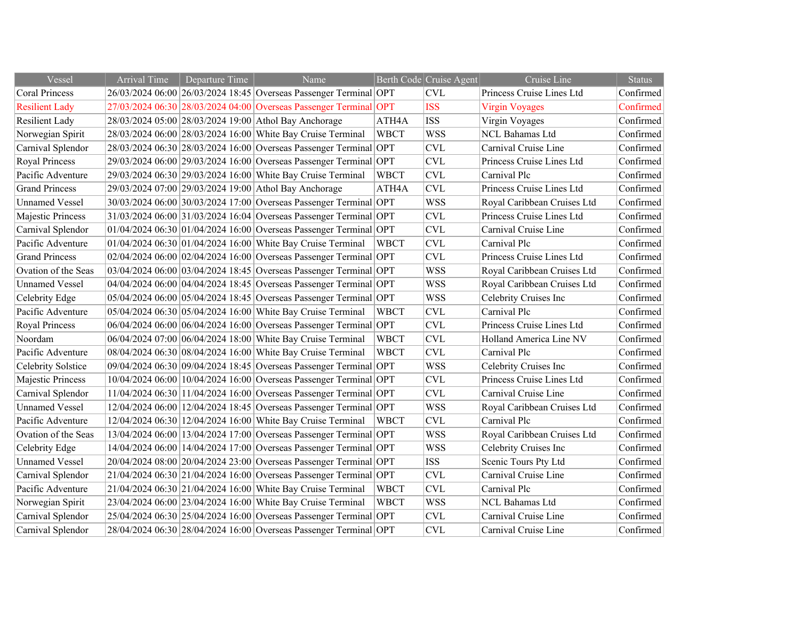| Vessel                | Arrival Time | Departure Time | Name                                                                |             | Berth Code Cruise Agent | Cruise Line                 | <b>Status</b> |
|-----------------------|--------------|----------------|---------------------------------------------------------------------|-------------|-------------------------|-----------------------------|---------------|
| <b>Coral Princess</b> |              |                | 26/03/2024 06:00 26/03/2024 18:45 Overseas Passenger Terminal OPT   |             | <b>CVL</b>              | Princess Cruise Lines Ltd   | Confirmed     |
| <b>Resilient Lady</b> |              |                | 27/03/2024 06:30 28/03/2024 04:00 Overseas Passenger Terminal OPT   |             | <b>ISS</b>              | <b>Virgin Voyages</b>       | Confirmed     |
| <b>Resilient Lady</b> |              |                | 28/03/2024 05:00 28/03/2024 19:00 Athol Bay Anchorage               | ATH4A       | <b>ISS</b>              | Virgin Voyages              | Confirmed     |
| Norwegian Spirit      |              |                | 28/03/2024 06:00 28/03/2024 16:00 White Bay Cruise Terminal         | <b>WBCT</b> | <b>WSS</b>              | <b>NCL Bahamas Ltd</b>      | Confirmed     |
| Carnival Splendor     |              |                | 28/03/2024 06:30 28/03/2024 16:00 Overseas Passenger Terminal OPT   |             | <b>CVL</b>              | Carnival Cruise Line        | Confirmed     |
| Royal Princess        |              |                | 29/03/2024 06:00 29/03/2024 16:00 Overseas Passenger Terminal OPT   |             | <b>CVL</b>              | Princess Cruise Lines Ltd   | Confirmed     |
| Pacific Adventure     |              |                | 29/03/2024 06:30 29/03/2024 16:00 White Bay Cruise Terminal         | <b>WBCT</b> | <b>CVL</b>              | Carnival Plc                | Confirmed     |
| <b>Grand Princess</b> |              |                | 29/03/2024 07:00 29/03/2024 19:00 Athol Bay Anchorage               | ATH4A       | <b>CVL</b>              | Princess Cruise Lines Ltd   | Confirmed     |
| <b>Unnamed Vessel</b> |              |                | 30/03/2024 06:00 30/03/2024 17:00 Overseas Passenger Terminal OPT   |             | <b>WSS</b>              | Royal Caribbean Cruises Ltd | Confirmed     |
| Majestic Princess     |              |                | 31/03/2024 06:00 31/03/2024 16:04 Overseas Passenger Terminal OPT   |             | <b>CVL</b>              | Princess Cruise Lines Ltd   | Confirmed     |
| Carnival Splendor     |              |                | $01/04/2024$ 06:30 01/04/2024 16:00 Overseas Passenger Terminal OPT |             | CVL                     | Carnival Cruise Line        | Confirmed     |
| Pacific Adventure     |              |                | 01/04/2024 06:30 01/04/2024 16:00 White Bay Cruise Terminal         | <b>WBCT</b> | <b>CVL</b>              | Carnival Plc                | Confirmed     |
| <b>Grand Princess</b> |              |                | 02/04/2024 06:00 02/04/2024 16:00 Overseas Passenger Terminal OPT   |             | <b>CVL</b>              | Princess Cruise Lines Ltd   | Confirmed     |
| Ovation of the Seas   |              |                | 03/04/2024 06:00 03/04/2024 18:45 Overseas Passenger Terminal OPT   |             | <b>WSS</b>              | Royal Caribbean Cruises Ltd | Confirmed     |
| <b>Unnamed Vessel</b> |              |                | 04/04/2024 06:00 04/04/2024 18:45 Overseas Passenger Terminal OPT   |             | <b>WSS</b>              | Royal Caribbean Cruises Ltd | Confirmed     |
| Celebrity Edge        |              |                | 05/04/2024 06:00 05/04/2024 18:45 Overseas Passenger Terminal OPT   |             | <b>WSS</b>              | Celebrity Cruises Inc       | Confirmed     |
| Pacific Adventure     |              |                | 05/04/2024 06:30 05/04/2024 16:00 White Bay Cruise Terminal         | <b>WBCT</b> | <b>CVL</b>              | Carnival Plc                | Confirmed     |
| Royal Princess        |              |                | 06/04/2024 06:00 06/04/2024 16:00 Overseas Passenger Terminal OPT   |             | <b>CVL</b>              | Princess Cruise Lines Ltd   | Confirmed     |
| Noordam               |              |                | 06/04/2024 07:00 06/04/2024 18:00 White Bay Cruise Terminal         | <b>WBCT</b> | <b>CVL</b>              | Holland America Line NV     | Confirmed     |
| Pacific Adventure     |              |                | 08/04/2024 06:30 08/04/2024 16:00 White Bay Cruise Terminal         | <b>WBCT</b> | <b>CVL</b>              | Carnival Plc                | Confirmed     |
| Celebrity Solstice    |              |                | 09/04/2024 06:30 09/04/2024 18:45 Overseas Passenger Terminal OPT   |             | <b>WSS</b>              | Celebrity Cruises Inc       | Confirmed     |
| Majestic Princess     |              |                | 10/04/2024 06:00 10/04/2024 16:00 Overseas Passenger Terminal OPT   |             | <b>CVL</b>              | Princess Cruise Lines Ltd   | Confirmed     |
| Carnival Splendor     |              |                | 11/04/2024 06:30 11/04/2024 16:00 Overseas Passenger Terminal OPT   |             | <b>CVL</b>              | Carnival Cruise Line        | Confirmed     |
| <b>Unnamed Vessel</b> |              |                | 12/04/2024 06:00 12/04/2024 18:45 Overseas Passenger Terminal OPT   |             | <b>WSS</b>              | Royal Caribbean Cruises Ltd | Confirmed     |
| Pacific Adventure     |              |                | 12/04/2024 06:30 12/04/2024 16:00 White Bay Cruise Terminal         | <b>WBCT</b> | <b>CVL</b>              | Carnival Plc                | Confirmed     |
| Ovation of the Seas   |              |                | 13/04/2024 06:00 13/04/2024 17:00 Overseas Passenger Terminal OPT   |             | <b>WSS</b>              | Royal Caribbean Cruises Ltd | Confirmed     |
| Celebrity Edge        |              |                | 14/04/2024 06:00 14/04/2024 17:00 Overseas Passenger Terminal OPT   |             | <b>WSS</b>              | Celebrity Cruises Inc       | Confirmed     |
| <b>Unnamed Vessel</b> |              |                | 20/04/2024 08:00 20/04/2024 23:00 Overseas Passenger Terminal OPT   |             | <b>ISS</b>              | Scenic Tours Pty Ltd        | Confirmed     |
| Carnival Splendor     |              |                | 21/04/2024 06:30 21/04/2024 16:00 Overseas Passenger Terminal OPT   |             | <b>CVL</b>              | Carnival Cruise Line        | Confirmed     |
| Pacific Adventure     |              |                | 21/04/2024 06:30 21/04/2024 16:00 White Bay Cruise Terminal         | <b>WBCT</b> | <b>CVL</b>              | Carnival Plc                | Confirmed     |
| Norwegian Spirit      |              |                | 23/04/2024 06:00 23/04/2024 16:00 White Bay Cruise Terminal         | <b>WBCT</b> | <b>WSS</b>              | <b>NCL Bahamas Ltd</b>      | Confirmed     |
| Carnival Splendor     |              |                | 25/04/2024 06:30 25/04/2024 16:00 Overseas Passenger Terminal OPT   |             | <b>CVL</b>              | Carnival Cruise Line        | Confirmed     |
| Carnival Splendor     |              |                | 28/04/2024 06:30 28/04/2024 16:00 Overseas Passenger Terminal OPT   |             | <b>CVL</b>              | Carnival Cruise Line        | Confirmed     |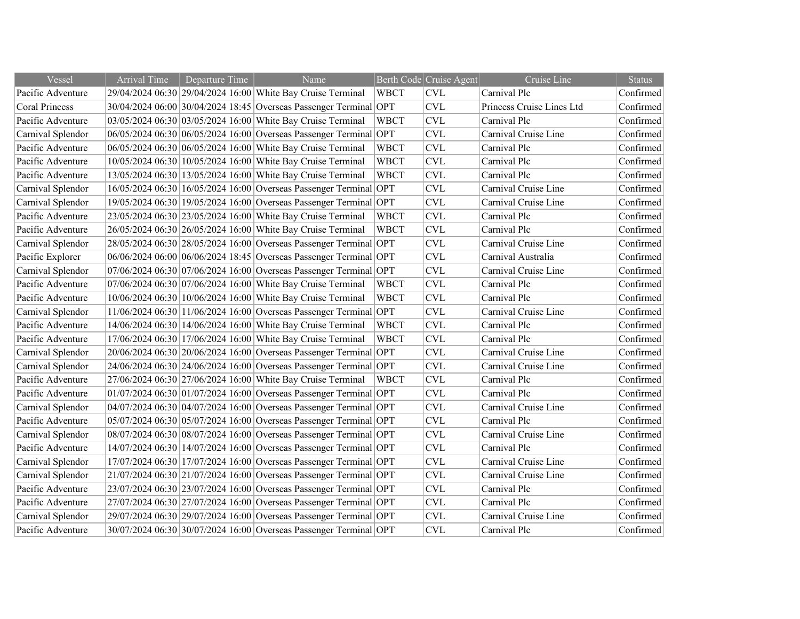| Vessel                | <b>Arrival Time</b> | Departure Time | Name                                                              |             | Berth Code Cruise Agent   | Cruise Line               | <b>Status</b> |
|-----------------------|---------------------|----------------|-------------------------------------------------------------------|-------------|---------------------------|---------------------------|---------------|
| Pacific Adventure     |                     |                | 29/04/2024 06:30 29/04/2024 16:00 White Bay Cruise Terminal       | <b>WBCT</b> | CVL                       | Carnival Plc              | Confirmed     |
| <b>Coral Princess</b> |                     |                | 30/04/2024 06:00 30/04/2024 18:45 Overseas Passenger Terminal     | OPT         | CVL                       | Princess Cruise Lines Ltd | Confirmed     |
| Pacific Adventure     |                     |                | 03/05/2024 06:30 03/05/2024 16:00 White Bay Cruise Terminal       | <b>WBCT</b> | <b>CVL</b>                | Carnival Plc              | Confirmed     |
| Carnival Splendor     |                     |                | 06/05/2024 06:30 06/05/2024 16:00 Overseas Passenger Terminal OPT |             | <b>CVL</b>                | Carnival Cruise Line      | Confirmed     |
| Pacific Adventure     |                     |                | 06/05/2024 06:30 06/05/2024 16:00 White Bay Cruise Terminal       | <b>WBCT</b> | <b>CVL</b>                | Carnival Plc              | Confirmed     |
| Pacific Adventure     |                     |                | 10/05/2024 06:30 10/05/2024 16:00 White Bay Cruise Terminal       | <b>WBCT</b> | <b>CVL</b>                | Carnival Plc              | Confirmed     |
| Pacific Adventure     |                     |                | 13/05/2024 06:30 13/05/2024 16:00 White Bay Cruise Terminal       | <b>WBCT</b> | <b>CVL</b>                | Carnival Plc              | Confirmed     |
| Carnival Splendor     |                     |                | 16/05/2024 06:30 16/05/2024 16:00 Overseas Passenger Terminal OPT |             | <b>CVL</b>                | Carnival Cruise Line      | Confirmed     |
| Carnival Splendor     |                     |                | 19/05/2024 06:30 19/05/2024 16:00 Overseas Passenger Terminal OPT |             | <b>CVL</b>                | Carnival Cruise Line      | Confirmed     |
| Pacific Adventure     |                     |                | 23/05/2024 06:30 23/05/2024 16:00 White Bay Cruise Terminal       | <b>WBCT</b> | <b>CVL</b>                | Carnival Plc              | Confirmed     |
| Pacific Adventure     |                     |                | 26/05/2024 06:30 26/05/2024 16:00 White Bay Cruise Terminal       | <b>WBCT</b> | $\ensuremath{\text{CVL}}$ | Carnival Plc              | Confirmed     |
| Carnival Splendor     |                     |                | 28/05/2024 06:30 28/05/2024 16:00 Overseas Passenger Terminal     | OPT         | <b>CVL</b>                | Carnival Cruise Line      | Confirmed     |
| Pacific Explorer      |                     |                | 06/06/2024 06:00 06/06/2024 18:45 Overseas Passenger Terminal OPT |             | <b>CVL</b>                | Carnival Australia        | Confirmed     |
| Carnival Splendor     |                     |                | 07/06/2024 06:30 07/06/2024 16:00 Overseas Passenger Terminal OPT |             | <b>CVL</b>                | Carnival Cruise Line      | Confirmed     |
| Pacific Adventure     |                     |                | 07/06/2024 06:30 07/06/2024 16:00 White Bay Cruise Terminal       | <b>WBCT</b> | <b>CVL</b>                | Carnival Plc              | Confirmed     |
| Pacific Adventure     |                     |                | 10/06/2024 06:30 10/06/2024 16:00 White Bay Cruise Terminal       | <b>WBCT</b> | <b>CVL</b>                | Carnival Plc              | Confirmed     |
| Carnival Splendor     |                     |                | 11/06/2024 06:30 11/06/2024 16:00 Overseas Passenger Terminal     | OPT         | <b>CVL</b>                | Carnival Cruise Line      | Confirmed     |
| Pacific Adventure     |                     |                | 14/06/2024 06:30 14/06/2024 16:00 White Bay Cruise Terminal       | <b>WBCT</b> | <b>CVL</b>                | Carnival Plc              | Confirmed     |
| Pacific Adventure     |                     |                | 17/06/2024 06:30 17/06/2024 16:00 White Bay Cruise Terminal       | <b>WBCT</b> | <b>CVL</b>                | Carnival Plc              | Confirmed     |
| Carnival Splendor     |                     |                | 20/06/2024 06:30 20/06/2024 16:00 Overseas Passenger Terminal OPT |             | <b>CVL</b>                | Carnival Cruise Line      | Confirmed     |
| Carnival Splendor     |                     |                | 24/06/2024 06:30 24/06/2024 16:00 Overseas Passenger Terminal OPT |             | $\ensuremath{\text{CVL}}$ | Carnival Cruise Line      | Confirmed     |
| Pacific Adventure     |                     |                | 27/06/2024 06:30 27/06/2024 16:00 White Bay Cruise Terminal       | WBCT        | <b>CVL</b>                | Carnival Plc              | Confirmed     |
| Pacific Adventure     |                     |                | 01/07/2024 06:30 01/07/2024 16:00 Overseas Passenger Terminal OPT |             | <b>CVL</b>                | Carnival Plc              | Confirmed     |
| Carnival Splendor     |                     |                | 04/07/2024 06:30 04/07/2024 16:00 Overseas Passenger Terminal OPT |             | <b>CVL</b>                | Carnival Cruise Line      | Confirmed     |
| Pacific Adventure     |                     |                | 05/07/2024 06:30 05/07/2024 16:00 Overseas Passenger Terminal OPT |             | <b>CVL</b>                | Carnival Plc              | Confirmed     |
| Carnival Splendor     |                     |                | 08/07/2024 06:30 08/07/2024 16:00 Overseas Passenger Terminal OPT |             | $\ensuremath{\text{CVL}}$ | Carnival Cruise Line      | Confirmed     |
| Pacific Adventure     |                     |                | 14/07/2024 06:30 14/07/2024 16:00 Overseas Passenger Terminal OPT |             | <b>CVL</b>                | Carnival Plc              | Confirmed     |
| Carnival Splendor     |                     |                | 17/07/2024 06:30 17/07/2024 16:00 Overseas Passenger Terminal OPT |             | <b>CVL</b>                | Carnival Cruise Line      | Confirmed     |
| Carnival Splendor     |                     |                | 21/07/2024 06:30 21/07/2024 16:00 Overseas Passenger Terminal OPT |             | $\ensuremath{\text{CVL}}$ | Carnival Cruise Line      | Confirmed     |
| Pacific Adventure     |                     |                | 23/07/2024 06:30 23/07/2024 16:00 Overseas Passenger Terminal OPT |             | <b>CVL</b>                | Carnival Plc              | Confirmed     |
| Pacific Adventure     |                     |                | 27/07/2024 06:30 27/07/2024 16:00 Overseas Passenger Terminal OPT |             | $\ensuremath{\text{CVL}}$ | Carnival Plc              | Confirmed     |
| Carnival Splendor     |                     |                | 29/07/2024 06:30 29/07/2024 16:00 Overseas Passenger Terminal OPT |             | <b>CVL</b>                | Carnival Cruise Line      | Confirmed     |
| Pacific Adventure     |                     |                | 30/07/2024 06:30 30/07/2024 16:00 Overseas Passenger Terminal OPT |             | <b>CVL</b>                | Carnival Plc              | Confirmed     |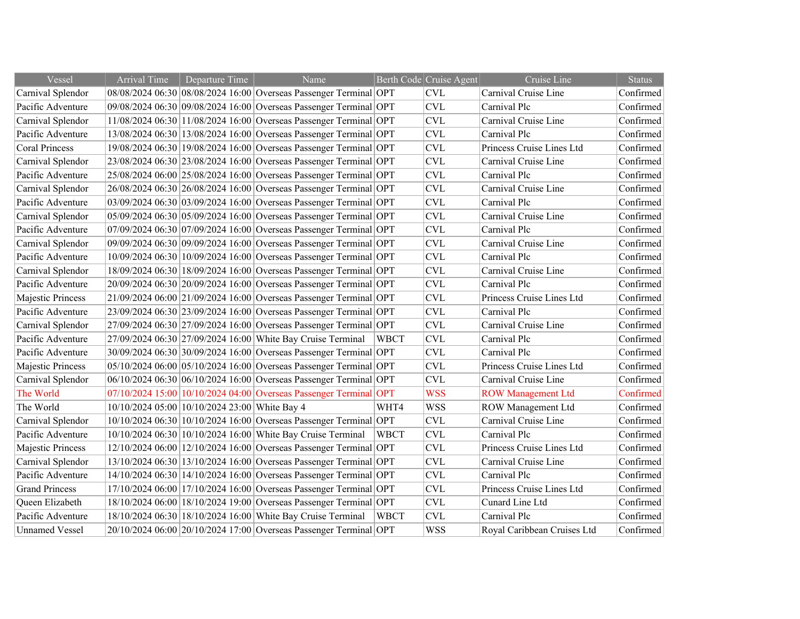| Vessel                | <b>Arrival Time</b> | Departure Time                                | Name                                                              |             | Berth Code Cruise Agent | Cruise Line                 | <b>Status</b> |
|-----------------------|---------------------|-----------------------------------------------|-------------------------------------------------------------------|-------------|-------------------------|-----------------------------|---------------|
| Carnival Splendor     |                     |                                               | 08/08/2024 06:30 08/08/2024 16:00 Overseas Passenger Terminal OPT |             | <b>CVL</b>              | Carnival Cruise Line        | Confirmed     |
| Pacific Adventure     |                     |                                               | 09/08/2024 06:30 09/08/2024 16:00 Overseas Passenger Terminal OPT |             | <b>CVL</b>              | Carnival Plc                | Confirmed     |
| Carnival Splendor     |                     |                                               | 11/08/2024 06:30 11/08/2024 16:00 Overseas Passenger Terminal OPT |             | <b>CVL</b>              | Carnival Cruise Line        | Confirmed     |
| Pacific Adventure     |                     |                                               | 13/08/2024 06:30 13/08/2024 16:00 Overseas Passenger Terminal OPT |             | <b>CVL</b>              | Carnival Plc                | Confirmed     |
| <b>Coral Princess</b> |                     |                                               | 19/08/2024 06:30 19/08/2024 16:00 Overseas Passenger Terminal OPT |             | <b>CVL</b>              | Princess Cruise Lines Ltd   | Confirmed     |
| Carnival Splendor     |                     |                                               | 23/08/2024 06:30 23/08/2024 16:00 Overseas Passenger Terminal OPT |             | <b>CVL</b>              | Carnival Cruise Line        | Confirmed     |
| Pacific Adventure     |                     |                                               | 25/08/2024 06:00 25/08/2024 16:00 Overseas Passenger Terminal OPT |             | <b>CVL</b>              | Carnival Plc                | Confirmed     |
| Carnival Splendor     |                     |                                               | 26/08/2024 06:30 26/08/2024 16:00 Overseas Passenger Terminal OPT |             | <b>CVL</b>              | Carnival Cruise Line        | Confirmed     |
| Pacific Adventure     |                     |                                               | 03/09/2024 06:30 03/09/2024 16:00 Overseas Passenger Terminal OPT |             | <b>CVL</b>              | Carnival Plc                | Confirmed     |
| Carnival Splendor     |                     |                                               | 05/09/2024 06:30 05/09/2024 16:00 Overseas Passenger Terminal OPT |             | <b>CVL</b>              | Carnival Cruise Line        | Confirmed     |
| Pacific Adventure     |                     |                                               | 07/09/2024 06:30 07/09/2024 16:00 Overseas Passenger Terminal OPT |             | <b>CVL</b>              | Carnival Plc                | Confirmed     |
| Carnival Splendor     |                     |                                               | 09/09/2024 06:30 09/09/2024 16:00 Overseas Passenger Terminal OPT |             | <b>CVL</b>              | Carnival Cruise Line        | Confirmed     |
| Pacific Adventure     |                     |                                               | 10/09/2024 06:30 10/09/2024 16:00 Overseas Passenger Terminal OPT |             | <b>CVL</b>              | Carnival Plc                | Confirmed     |
| Carnival Splendor     |                     |                                               | 18/09/2024 06:30 18/09/2024 16:00 Overseas Passenger Terminal OPT |             | <b>CVL</b>              | Carnival Cruise Line        | Confirmed     |
| Pacific Adventure     |                     |                                               | 20/09/2024 06:30 20/09/2024 16:00 Overseas Passenger Terminal OPT |             | <b>CVL</b>              | Carnival Plc                | Confirmed     |
| Majestic Princess     |                     |                                               | 21/09/2024 06:00 21/09/2024 16:00 Overseas Passenger Terminal OPT |             | <b>CVL</b>              | Princess Cruise Lines Ltd   | Confirmed     |
| Pacific Adventure     |                     |                                               | 23/09/2024 06:30 23/09/2024 16:00 Overseas Passenger Terminal OPT |             | <b>CVL</b>              | Carnival Plc                | Confirmed     |
| Carnival Splendor     |                     |                                               | 27/09/2024 06:30 27/09/2024 16:00 Overseas Passenger Terminal OPT |             | <b>CVL</b>              | Carnival Cruise Line        | Confirmed     |
| Pacific Adventure     |                     |                                               | 27/09/2024 06:30 27/09/2024 16:00 White Bay Cruise Terminal       | <b>WBCT</b> | <b>CVL</b>              | Carnival Plc                | Confirmed     |
| Pacific Adventure     |                     |                                               | 30/09/2024 06:30 30/09/2024 16:00 Overseas Passenger Terminal OPT |             | <b>CVL</b>              | Carnival Plc                | Confirmed     |
| Majestic Princess     |                     |                                               | 05/10/2024 06:00 05/10/2024 16:00 Overseas Passenger Terminal OPT |             | <b>CVL</b>              | Princess Cruise Lines Ltd   | Confirmed     |
| Carnival Splendor     |                     |                                               | 06/10/2024 06:30 06/10/2024 16:00 Overseas Passenger Terminal OPT |             | <b>CVL</b>              | Carnival Cruise Line        | Confirmed     |
| The World             |                     |                                               | 07/10/2024 15:00 10/10/2024 04:00 Overseas Passenger Terminal OPT |             | <b>WSS</b>              | <b>ROW Management Ltd</b>   | Confirmed     |
| The World             |                     | 10/10/2024 05:00 10/10/2024 23:00 White Bay 4 |                                                                   | WHT4        | <b>WSS</b>              | ROW Management Ltd          | Confirmed     |
| Carnival Splendor     |                     |                                               | 10/10/2024 06:30 10/10/2024 16:00 Overseas Passenger Terminal OPT |             | <b>CVL</b>              | Carnival Cruise Line        | Confirmed     |
| Pacific Adventure     |                     |                                               | 10/10/2024 06:30 10/10/2024 16:00 White Bay Cruise Terminal       | <b>WBCT</b> | <b>CVL</b>              | Carnival Plc                | Confirmed     |
| Majestic Princess     |                     |                                               | 12/10/2024 06:00 12/10/2024 16:00 Overseas Passenger Terminal OPT |             | <b>CVL</b>              | Princess Cruise Lines Ltd   | Confirmed     |
| Carnival Splendor     |                     |                                               | 13/10/2024 06:30 13/10/2024 16:00 Overseas Passenger Terminal OPT |             | <b>CVL</b>              | Carnival Cruise Line        | Confirmed     |
| Pacific Adventure     |                     |                                               | 14/10/2024 06:30 14/10/2024 16:00 Overseas Passenger Terminal OPT |             | <b>CVL</b>              | Carnival Plc                | Confirmed     |
| <b>Grand Princess</b> |                     |                                               | 17/10/2024 06:00 17/10/2024 16:00 Overseas Passenger Terminal OPT |             | CVL                     | Princess Cruise Lines Ltd   | Confirmed     |
| Queen Elizabeth       |                     |                                               | 18/10/2024 06:00 18/10/2024 19:00 Overseas Passenger Terminal OPT |             | <b>CVL</b>              | Cunard Line Ltd             | Confirmed     |
| Pacific Adventure     |                     |                                               | 18/10/2024 06:30 18/10/2024 16:00 White Bay Cruise Terminal       | <b>WBCT</b> | <b>CVL</b>              | Carnival Plc                | Confirmed     |
| <b>Unnamed Vessel</b> |                     |                                               | 20/10/2024 06:00 20/10/2024 17:00 Overseas Passenger Terminal OPT |             | <b>WSS</b>              | Royal Caribbean Cruises Ltd | Confirmed     |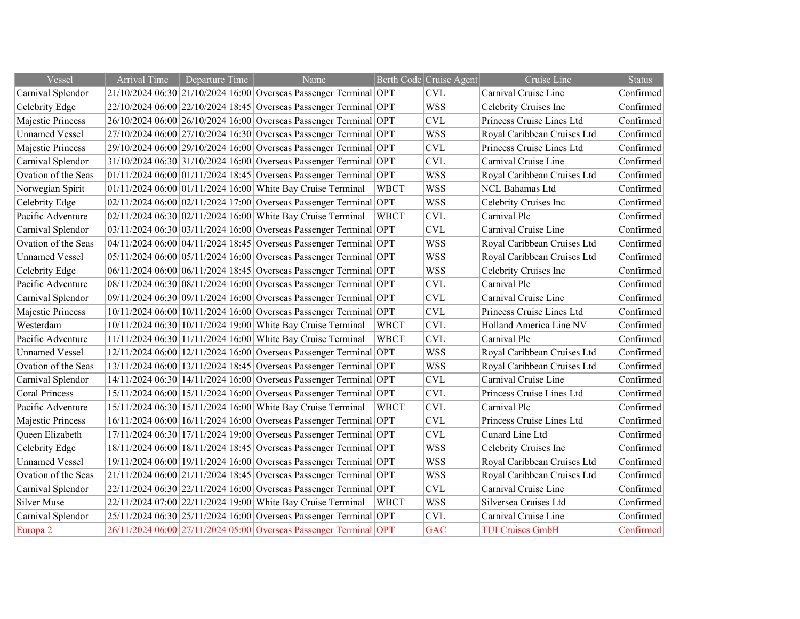| Vessel                | <b>Arrival Time</b> | Departure Time | Name                                                                |             | Berth Code Cruise Agent | Cruise Line                 | <b>Status</b> |
|-----------------------|---------------------|----------------|---------------------------------------------------------------------|-------------|-------------------------|-----------------------------|---------------|
| Carnival Splendor     |                     |                | 21/10/2024 06:30 21/10/2024 16:00 Overseas Passenger Terminal OPT   |             | <b>CVL</b>              | Carnival Cruise Line        | Confirmed     |
| Celebrity Edge        |                     |                | 22/10/2024 06:00 22/10/2024 18:45 Overseas Passenger Terminal OPT   |             | <b>WSS</b>              | Celebrity Cruises Inc       | Confirmed     |
| Majestic Princess     |                     |                | 26/10/2024 06:00 26/10/2024 16:00 Overseas Passenger Terminal OPT   |             | <b>CVL</b>              | Princess Cruise Lines Ltd   | Confirmed     |
| <b>Unnamed Vessel</b> |                     |                | 27/10/2024 06:00 27/10/2024 16:30 Overseas Passenger Terminal OPT   |             | <b>WSS</b>              | Royal Caribbean Cruises Ltd | Confirmed     |
| Majestic Princess     |                     |                | 29/10/2024 06:00 29/10/2024 16:00 Overseas Passenger Terminal OPT   |             | <b>CVL</b>              | Princess Cruise Lines Ltd   | Confirmed     |
| Carnival Splendor     |                     |                | 31/10/2024 06:30 31/10/2024 16:00 Overseas Passenger Terminal OPT   |             | <b>CVL</b>              | Carnival Cruise Line        | Confirmed     |
| Ovation of the Seas   |                     |                | $01/11/2024$ 06:00 01/11/2024 18:45 Overseas Passenger Terminal OPT |             | <b>WSS</b>              | Royal Caribbean Cruises Ltd | Confirmed     |
| Norwegian Spirit      |                     |                | 01/11/2024 06:00 01/11/2024 16:00 White Bay Cruise Terminal         | <b>WBCT</b> | <b>WSS</b>              | NCL Bahamas Ltd             | Confirmed     |
| Celebrity Edge        |                     |                | 02/11/2024 06:00 02/11/2024 17:00 Overseas Passenger Terminal OPT   |             | <b>WSS</b>              | Celebrity Cruises Inc       | Confirmed     |
| Pacific Adventure     |                     |                | 02/11/2024 06:30 02/11/2024 16:00 White Bay Cruise Terminal         | <b>WBCT</b> | <b>CVL</b>              | Carnival Plc                | Confirmed     |
| Carnival Splendor     |                     |                | 03/11/2024 06:30 03/11/2024 16:00 Overseas Passenger Terminal OPT   |             | <b>CVL</b>              | Carnival Cruise Line        | Confirmed     |
| Ovation of the Seas   |                     |                | 04/11/2024 06:00 04/11/2024 18:45 Overseas Passenger Terminal OPT   |             | <b>WSS</b>              | Royal Caribbean Cruises Ltd | Confirmed     |
| <b>Unnamed Vessel</b> |                     |                | 05/11/2024 06:00 05/11/2024 16:00 Overseas Passenger Terminal OPT   |             | <b>WSS</b>              | Royal Caribbean Cruises Ltd | Confirmed     |
| Celebrity Edge        |                     |                | 06/11/2024 06:00 06/11/2024 18:45 Overseas Passenger Terminal OPT   |             | <b>WSS</b>              | Celebrity Cruises Inc       | Confirmed     |
| Pacific Adventure     |                     |                | 08/11/2024 06:30 08/11/2024 16:00 Overseas Passenger Terminal OPT   |             | <b>CVL</b>              | Carnival Plc                | Confirmed     |
| Carnival Splendor     |                     |                | 09/11/2024 06:30 09/11/2024 16:00 Overseas Passenger Terminal OPT   |             | <b>CVL</b>              | Carnival Cruise Line        | Confirmed     |
| Majestic Princess     |                     |                | 10/11/2024 06:00 10/11/2024 16:00 Overseas Passenger Terminal OPT   |             | <b>CVL</b>              | Princess Cruise Lines Ltd   | Confirmed     |
| Westerdam             |                     |                | 10/11/2024 06:30 10/11/2024 19:00 White Bay Cruise Terminal         | <b>WBCT</b> | <b>CVL</b>              | Holland America Line NV     | Confirmed     |
| Pacific Adventure     |                     |                | 11/11/2024 06:30 11/11/2024 16:00 White Bay Cruise Terminal         | <b>WBCT</b> | <b>CVL</b>              | Carnival Plc                | Confirmed     |
| <b>Unnamed Vessel</b> |                     |                | 12/11/2024 06:00 12/11/2024 16:00 Overseas Passenger Terminal OPT   |             | <b>WSS</b>              | Royal Caribbean Cruises Ltd | Confirmed     |
| Ovation of the Seas   |                     |                | 13/11/2024 06:00 13/11/2024 18:45 Overseas Passenger Terminal OPT   |             | <b>WSS</b>              | Royal Caribbean Cruises Ltd | Confirmed     |
| Carnival Splendor     |                     |                | 14/11/2024 06:30 14/11/2024 16:00 Overseas Passenger Terminal OPT   |             | <b>CVL</b>              | Carnival Cruise Line        | Confirmed     |
| <b>Coral Princess</b> |                     |                | 15/11/2024 06:00 15/11/2024 16:00 Overseas Passenger Terminal OPT   |             | <b>CVL</b>              | Princess Cruise Lines Ltd   | Confirmed     |
| Pacific Adventure     |                     |                | 15/11/2024 06:30 15/11/2024 16:00 White Bay Cruise Terminal         | <b>WBCT</b> | <b>CVL</b>              | Carnival Plc                | Confirmed     |
| Majestic Princess     |                     |                | 16/11/2024 06:00 16/11/2024 16:00 Overseas Passenger Terminal OPT   |             | <b>CVL</b>              | Princess Cruise Lines Ltd   | Confirmed     |
| Queen Elizabeth       |                     |                | 17/11/2024 06:30 17/11/2024 19:00 Overseas Passenger Terminal OPT   |             | <b>CVL</b>              | Cunard Line Ltd             | Confirmed     |
| Celebrity Edge        |                     |                | 18/11/2024 06:00 18/11/2024 18:45 Overseas Passenger Terminal OPT   |             | <b>WSS</b>              | Celebrity Cruises Inc       | Confirmed     |
| <b>Unnamed Vessel</b> |                     |                | 19/11/2024 06:00 19/11/2024 16:00 Overseas Passenger Terminal OPT   |             | <b>WSS</b>              | Royal Caribbean Cruises Ltd | Confirmed     |
| Ovation of the Seas   |                     |                | 21/11/2024 06:00 21/11/2024 18:45 Overseas Passenger Terminal OPT   |             | <b>WSS</b>              | Royal Caribbean Cruises Ltd | Confirmed     |
| Carnival Splendor     |                     |                | 22/11/2024 06:30 22/11/2024 16:00 Overseas Passenger Terminal OPT   |             | <b>CVL</b>              | Carnival Cruise Line        | Confirmed     |
| <b>Silver Muse</b>    |                     |                | 22/11/2024 07:00 22/11/2024 19:00 White Bay Cruise Terminal         | <b>WBCT</b> | <b>WSS</b>              | Silversea Cruises Ltd       | Confirmed     |
| Carnival Splendor     |                     |                | 25/11/2024 06:30 25/11/2024 16:00 Overseas Passenger Terminal OPT   |             | <b>CVL</b>              | Carnival Cruise Line        | Confirmed     |
| Europa <sub>2</sub>   |                     |                | 26/11/2024 06:00 27/11/2024 05:00 Overseas Passenger Terminal OPT   |             | <b>GAC</b>              | <b>TUI Cruises GmbH</b>     | Confirmed     |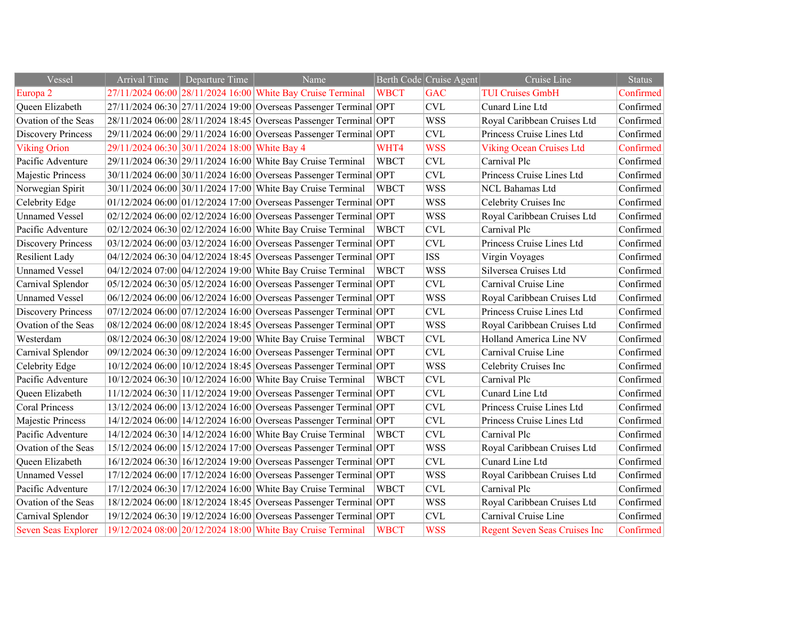| Vessel                     | <b>Arrival Time</b> | Departure Time                                | Name                                                              |             | Berth Code Cruise Agent   | Cruise Line                          | <b>Status</b> |
|----------------------------|---------------------|-----------------------------------------------|-------------------------------------------------------------------|-------------|---------------------------|--------------------------------------|---------------|
| Europa 2                   |                     |                                               | 27/11/2024 06:00 28/11/2024 16:00 White Bay Cruise Terminal       | <b>WBCT</b> | <b>GAC</b>                | <b>TUI Cruises GmbH</b>              | Confirmed     |
| Queen Elizabeth            |                     |                                               | 27/11/2024 06:30 27/11/2024 19:00 Overseas Passenger Terminal OPT |             | $\ensuremath{\text{CVL}}$ | Cunard Line Ltd                      | Confirmed     |
| Ovation of the Seas        |                     |                                               | 28/11/2024 06:00 28/11/2024 18:45 Overseas Passenger Terminal OPT |             | <b>WSS</b>                | Royal Caribbean Cruises Ltd          | Confirmed     |
| <b>Discovery Princess</b>  |                     |                                               | 29/11/2024 06:00 29/11/2024 16:00 Overseas Passenger Terminal OPT |             | <b>CVL</b>                | Princess Cruise Lines Ltd            | Confirmed     |
| <b>Viking Orion</b>        |                     | 29/11/2024 06:30 30/11/2024 18:00 White Bay 4 |                                                                   | WHT4        | <b>WSS</b>                | <b>Viking Ocean Cruises Ltd</b>      | Confirmed     |
| Pacific Adventure          |                     |                                               | 29/11/2024 06:30 29/11/2024 16:00 White Bay Cruise Terminal       | <b>WBCT</b> | CVL                       | Carnival Plc                         | Confirmed     |
| Majestic Princess          |                     |                                               | 30/11/2024 06:00 30/11/2024 16:00 Overseas Passenger Terminal OPT |             | CVL                       | Princess Cruise Lines Ltd            | Confirmed     |
| Norwegian Spirit           |                     |                                               | 30/11/2024 06:00 30/11/2024 17:00 White Bay Cruise Terminal       | <b>WBCT</b> | <b>WSS</b>                | <b>NCL Bahamas Ltd</b>               | Confirmed     |
| Celebrity Edge             |                     |                                               | 01/12/2024 06:00 01/12/2024 17:00 Overseas Passenger Terminal OPT |             | <b>WSS</b>                | Celebrity Cruises Inc                | Confirmed     |
| <b>Unnamed Vessel</b>      |                     |                                               | 02/12/2024 06:00 02/12/2024 16:00 Overseas Passenger Terminal OPT |             | <b>WSS</b>                | Royal Caribbean Cruises Ltd          | Confirmed     |
| Pacific Adventure          |                     |                                               | 02/12/2024 06:30 02/12/2024 16:00 White Bay Cruise Terminal       | <b>WBCT</b> | CVL                       | Carnival Plc                         | Confirmed     |
| <b>Discovery Princess</b>  |                     |                                               | 03/12/2024 06:00 03/12/2024 16:00 Overseas Passenger Terminal OPT |             | <b>CVL</b>                | Princess Cruise Lines Ltd            | Confirmed     |
| <b>Resilient Lady</b>      |                     |                                               | 04/12/2024 06:30 04/12/2024 18:45 Overseas Passenger Terminal OPT |             | <b>ISS</b>                | Virgin Voyages                       | Confirmed     |
| <b>Unnamed Vessel</b>      |                     |                                               | 04/12/2024 07:00 04/12/2024 19:00 White Bay Cruise Terminal       | <b>WBCT</b> | <b>WSS</b>                | Silversea Cruises Ltd                | Confirmed     |
| Carnival Splendor          |                     |                                               | 05/12/2024 06:30 05/12/2024 16:00 Overseas Passenger Terminal OPT |             | <b>CVL</b>                | Carnival Cruise Line                 | Confirmed     |
| <b>Unnamed Vessel</b>      |                     |                                               | 06/12/2024 06:00 06/12/2024 16:00 Overseas Passenger Terminal OPT |             | <b>WSS</b>                | Royal Caribbean Cruises Ltd          | Confirmed     |
| <b>Discovery Princess</b>  |                     |                                               | 07/12/2024 06:00 07/12/2024 16:00 Overseas Passenger Terminal OPT |             | CVL                       | Princess Cruise Lines Ltd            | Confirmed     |
| Ovation of the Seas        |                     |                                               | 08/12/2024 06:00 08/12/2024 18:45 Overseas Passenger Terminal OPT |             | <b>WSS</b>                | Royal Caribbean Cruises Ltd          | Confirmed     |
| Westerdam                  |                     |                                               | 08/12/2024 06:30 08/12/2024 19:00 White Bay Cruise Terminal       | <b>WBCT</b> | CVL                       | Holland America Line NV              | Confirmed     |
| Carnival Splendor          |                     |                                               | 09/12/2024 06:30 09/12/2024 16:00 Overseas Passenger Terminal OPT |             | <b>CVL</b>                | Carnival Cruise Line                 | Confirmed     |
| Celebrity Edge             |                     |                                               | 10/12/2024 06:00 10/12/2024 18:45 Overseas Passenger Terminal OPT |             | <b>WSS</b>                | Celebrity Cruises Inc                | Confirmed     |
| Pacific Adventure          |                     |                                               | 10/12/2024 06:30 10/12/2024 16:00 White Bay Cruise Terminal       | <b>WBCT</b> | <b>CVL</b>                | Carnival Plc                         | Confirmed     |
| Queen Elizabeth            |                     |                                               | 11/12/2024 06:30 11/12/2024 19:00 Overseas Passenger Terminal OPT |             | <b>CVL</b>                | Cunard Line Ltd                      | Confirmed     |
| <b>Coral Princess</b>      |                     |                                               | 13/12/2024 06:00 13/12/2024 16:00 Overseas Passenger Terminal OPT |             | CVL                       | Princess Cruise Lines Ltd            | Confirmed     |
| Majestic Princess          |                     |                                               | 14/12/2024 06:00 14/12/2024 16:00 Overseas Passenger Terminal OPT |             | <b>CVL</b>                | Princess Cruise Lines Ltd            | Confirmed     |
| Pacific Adventure          |                     |                                               | 14/12/2024 06:30 14/12/2024 16:00 White Bay Cruise Terminal       | <b>WBCT</b> | CVL                       | Carnival Plc                         | Confirmed     |
| Ovation of the Seas        |                     |                                               | 15/12/2024 06:00 15/12/2024 17:00 Overseas Passenger Terminal OPT |             | <b>WSS</b>                | Royal Caribbean Cruises Ltd          | Confirmed     |
| Queen Elizabeth            |                     |                                               | 16/12/2024 06:30 16/12/2024 19:00 Overseas Passenger Terminal OPT |             | <b>CVL</b>                | Cunard Line Ltd                      | Confirmed     |
| <b>Unnamed Vessel</b>      |                     |                                               | 17/12/2024 06:00 17/12/2024 16:00 Overseas Passenger Terminal OPT |             | <b>WSS</b>                | Royal Caribbean Cruises Ltd          | Confirmed     |
| Pacific Adventure          |                     |                                               | 17/12/2024 06:30 17/12/2024 16:00 White Bay Cruise Terminal       | <b>WBCT</b> | <b>CVL</b>                | Carnival Plc                         | Confirmed     |
| Ovation of the Seas        |                     |                                               | 18/12/2024 06:00 18/12/2024 18:45 Overseas Passenger Terminal OPT |             | <b>WSS</b>                | Royal Caribbean Cruises Ltd          | Confirmed     |
| Carnival Splendor          |                     |                                               | 19/12/2024 06:30 19/12/2024 16:00 Overseas Passenger Terminal OPT |             | <b>CVL</b>                | Carnival Cruise Line                 | Confirmed     |
| <b>Seven Seas Explorer</b> |                     |                                               | 19/12/2024 08:00 20/12/2024 18:00 White Bay Cruise Terminal       | <b>WBCT</b> | <b>WSS</b>                | <b>Regent Seven Seas Cruises Inc</b> | Confirmed     |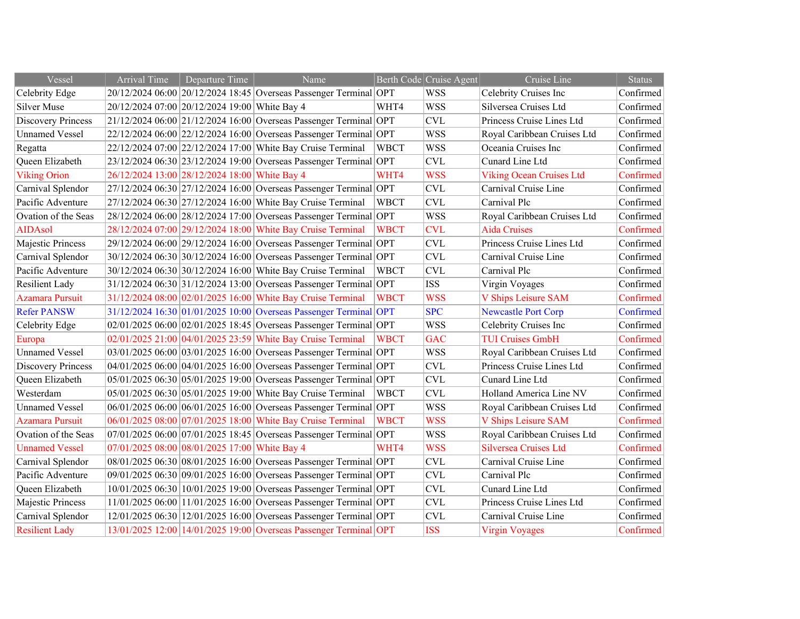| Vessel                    | <b>Arrival Time</b> | Departure Time                                | Name                                                              |             | Berth Code Cruise Agent | Cruise Line                     | <b>Status</b> |
|---------------------------|---------------------|-----------------------------------------------|-------------------------------------------------------------------|-------------|-------------------------|---------------------------------|---------------|
| Celebrity Edge            |                     |                                               | 20/12/2024 06:00 20/12/2024 18:45 Overseas Passenger Terminal OPT |             | <b>WSS</b>              | Celebrity Cruises Inc           | Confirmed     |
| Silver Muse               |                     | 20/12/2024 07:00 20/12/2024 19:00 White Bay 4 |                                                                   | WHT4        | <b>WSS</b>              | Silversea Cruises Ltd           | Confirmed     |
| <b>Discovery Princess</b> |                     |                                               | 21/12/2024 06:00 21/12/2024 16:00 Overseas Passenger Terminal OPT |             | <b>CVL</b>              | Princess Cruise Lines Ltd       | Confirmed     |
| <b>Unnamed Vessel</b>     |                     |                                               | 22/12/2024 06:00 22/12/2024 16:00 Overseas Passenger Terminal OPT |             | <b>WSS</b>              | Royal Caribbean Cruises Ltd     | Confirmed     |
| Regatta                   |                     |                                               | 22/12/2024 07:00 22/12/2024 17:00 White Bay Cruise Terminal       | <b>WBCT</b> | <b>WSS</b>              | Oceania Cruises Inc             | Confirmed     |
| Queen Elizabeth           |                     |                                               | 23/12/2024 06:30 23/12/2024 19:00 Overseas Passenger Terminal OPT |             | <b>CVL</b>              | Cunard Line Ltd                 | Confirmed     |
| <b>Viking Orion</b>       |                     | 26/12/2024 13:00 28/12/2024 18:00 White Bay 4 |                                                                   | WHT4        | <b>WSS</b>              | <b>Viking Ocean Cruises Ltd</b> | Confirmed     |
| Carnival Splendor         |                     |                                               | 27/12/2024 06:30 27/12/2024 16:00 Overseas Passenger Terminal OPT |             | <b>CVL</b>              | Carnival Cruise Line            | Confirmed     |
| Pacific Adventure         |                     |                                               | 27/12/2024 06:30 27/12/2024 16:00 White Bay Cruise Terminal       | <b>WBCT</b> | <b>CVL</b>              | Carnival Plc                    | Confirmed     |
| Ovation of the Seas       |                     |                                               | 28/12/2024 06:00 28/12/2024 17:00 Overseas Passenger Terminal OPT |             | <b>WSS</b>              | Royal Caribbean Cruises Ltd     | Confirmed     |
| <b>AIDAsol</b>            |                     |                                               | 28/12/2024 07:00 29/12/2024 18:00 White Bay Cruise Terminal       | <b>WBCT</b> | <b>CVL</b>              | <b>Aida Cruises</b>             | Confirmed     |
| Majestic Princess         |                     |                                               | 29/12/2024 06:00 29/12/2024 16:00 Overseas Passenger Terminal OPT |             | <b>CVL</b>              | Princess Cruise Lines Ltd       | Confirmed     |
| Carnival Splendor         |                     |                                               | 30/12/2024 06:30 30/12/2024 16:00 Overseas Passenger Terminal OPT |             | <b>CVL</b>              | Carnival Cruise Line            | Confirmed     |
| Pacific Adventure         |                     |                                               | 30/12/2024 06:30 30/12/2024 16:00 White Bay Cruise Terminal       | <b>WBCT</b> | <b>CVL</b>              | Carnival Plc                    | Confirmed     |
| <b>Resilient Lady</b>     |                     |                                               | 31/12/2024 06:30 31/12/2024 13:00 Overseas Passenger Terminal OPT |             | <b>ISS</b>              | Virgin Voyages                  | Confirmed     |
| <b>Azamara Pursuit</b>    |                     |                                               | 31/12/2024 08:00 02/01/2025 16:00 White Bay Cruise Terminal       | <b>WBCT</b> | <b>WSS</b>              | V Ships Leisure SAM             | Confirmed     |
| <b>Refer PANSW</b>        |                     |                                               | 31/12/2024 16:30 01/01/2025 10:00 Overseas Passenger Terminal OPT |             | <b>SPC</b>              | <b>Newcastle Port Corp</b>      | Confirmed     |
| Celebrity Edge            |                     |                                               | 02/01/2025 06:00 02/01/2025 18:45 Overseas Passenger Terminal OPT |             | <b>WSS</b>              | Celebrity Cruises Inc           | Confirmed     |
| Europa                    |                     |                                               | 02/01/2025 21:00 04/01/2025 23:59 White Bay Cruise Terminal       | <b>WBCT</b> | <b>GAC</b>              | <b>TUI Cruises GmbH</b>         | Confirmed     |
| <b>Unnamed Vessel</b>     |                     |                                               | 03/01/2025 06:00 03/01/2025 16:00 Overseas Passenger Terminal OPT |             | <b>WSS</b>              | Royal Caribbean Cruises Ltd     | Confirmed     |
| <b>Discovery Princess</b> |                     |                                               | 04/01/2025 06:00 04/01/2025 16:00 Overseas Passenger Terminal OPT |             | <b>CVL</b>              | Princess Cruise Lines Ltd       | Confirmed     |
| Queen Elizabeth           |                     |                                               | 05/01/2025 06:30 05/01/2025 19:00 Overseas Passenger Terminal OPT |             | <b>CVL</b>              | Cunard Line Ltd                 | Confirmed     |
| Westerdam                 |                     |                                               | 05/01/2025 06:30 05/01/2025 19:00 White Bay Cruise Terminal       | <b>WBCT</b> | <b>CVL</b>              | Holland America Line NV         | Confirmed     |
| <b>Unnamed Vessel</b>     |                     |                                               | 06/01/2025 06:00 06/01/2025 16:00 Overseas Passenger Terminal OPT |             | <b>WSS</b>              | Royal Caribbean Cruises Ltd     | Confirmed     |
| <b>Azamara Pursuit</b>    |                     |                                               | 06/01/2025 08:00 07/01/2025 18:00 White Bay Cruise Terminal       | <b>WBCT</b> | <b>WSS</b>              | V Ships Leisure SAM             | Confirmed     |
| Ovation of the Seas       |                     |                                               | 07/01/2025 06:00 07/01/2025 18:45 Overseas Passenger Terminal OPT |             | <b>WSS</b>              | Royal Caribbean Cruises Ltd     | Confirmed     |
| <b>Unnamed Vessel</b>     |                     | 07/01/2025 08:00 08/01/2025 17:00 White Bay 4 |                                                                   | WHT4        | <b>WSS</b>              | <b>Silversea Cruises Ltd</b>    | Confirmed     |
| Carnival Splendor         |                     |                                               | 08/01/2025 06:30 08/01/2025 16:00 Overseas Passenger Terminal OPT |             | <b>CVL</b>              | Carnival Cruise Line            | Confirmed     |
| Pacific Adventure         |                     |                                               | 09/01/2025 06:30 09/01/2025 16:00 Overseas Passenger Terminal OPT |             | <b>CVL</b>              | Carnival Plc                    | Confirmed     |
| Queen Elizabeth           |                     |                                               | 10/01/2025 06:30 10/01/2025 19:00 Overseas Passenger Terminal OPT |             | <b>CVL</b>              | Cunard Line Ltd                 | Confirmed     |
| Majestic Princess         |                     |                                               | 11/01/2025 06:00 11/01/2025 16:00 Overseas Passenger Terminal OPT |             | <b>CVL</b>              | Princess Cruise Lines Ltd       | Confirmed     |
| Carnival Splendor         |                     |                                               | 12/01/2025 06:30 12/01/2025 16:00 Overseas Passenger Terminal OPT |             | <b>CVL</b>              | Carnival Cruise Line            | Confirmed     |
| <b>Resilient Lady</b>     |                     |                                               | 13/01/2025 12:00 14/01/2025 19:00 Overseas Passenger Terminal OPT |             | <b>ISS</b>              | <b>Virgin Voyages</b>           | Confirmed     |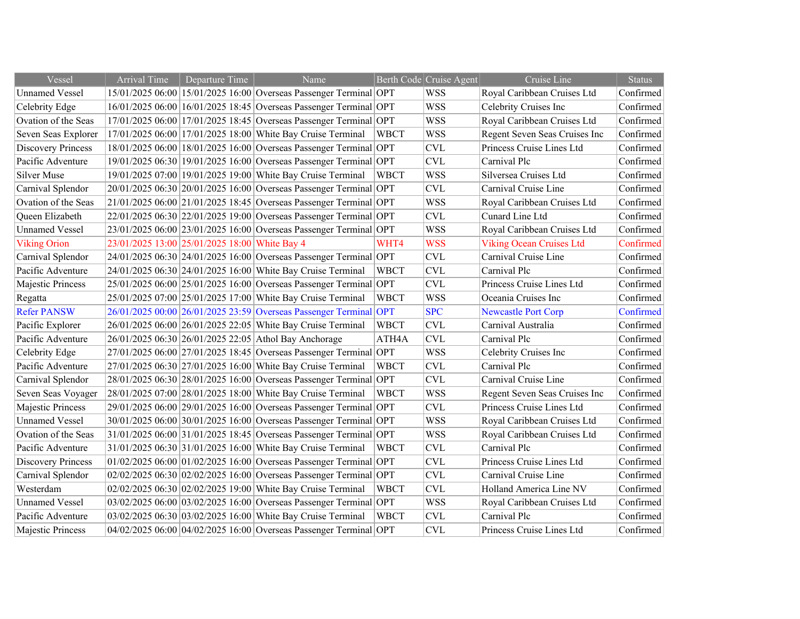| Vessel                    | <b>Arrival Time</b> | Departure Time                                | Name                                                                  |             | Berth Code Cruise Agent   | Cruise Line                     | <b>Status</b> |
|---------------------------|---------------------|-----------------------------------------------|-----------------------------------------------------------------------|-------------|---------------------------|---------------------------------|---------------|
| <b>Unnamed Vessel</b>     |                     |                                               | 15/01/2025 06:00 15/01/2025 16:00 Overseas Passenger Terminal OPT     |             | <b>WSS</b>                | Royal Caribbean Cruises Ltd     | Confirmed     |
| Celebrity Edge            |                     |                                               | 16/01/2025 06:00 16/01/2025 18:45 Overseas Passenger Terminal OPT     |             | <b>WSS</b>                | Celebrity Cruises Inc           | Confirmed     |
| Ovation of the Seas       |                     |                                               | 17/01/2025 06:00 17/01/2025 18:45 Overseas Passenger Terminal OPT     |             | <b>WSS</b>                | Royal Caribbean Cruises Ltd     | Confirmed     |
| Seven Seas Explorer       |                     |                                               | 17/01/2025 06:00 17/01/2025 18:00 White Bay Cruise Terminal           | <b>WBCT</b> | <b>WSS</b>                | Regent Seven Seas Cruises Inc   | Confirmed     |
| <b>Discovery Princess</b> |                     |                                               | 18/01/2025 06:00 18/01/2025 16:00 Overseas Passenger Terminal OPT     |             | <b>CVL</b>                | Princess Cruise Lines Ltd       | Confirmed     |
| Pacific Adventure         |                     |                                               | 19/01/2025 06:30 19/01/2025 16:00 Overseas Passenger Terminal OPT     |             | <b>CVL</b>                | Carnival Plc                    | Confirmed     |
| <b>Silver Muse</b>        |                     |                                               | 19/01/2025 07:00 19/01/2025 19:00 White Bay Cruise Terminal           | <b>WBCT</b> | <b>WSS</b>                | Silversea Cruises Ltd           | Confirmed     |
| Carnival Splendor         |                     |                                               | 20/01/2025 06:30 20/01/2025 16:00 Overseas Passenger Terminal OPT     |             | <b>CVL</b>                | Carnival Cruise Line            | Confirmed     |
| Ovation of the Seas       |                     |                                               | 21/01/2025 06:00 21/01/2025 18:45 Overseas Passenger Terminal OPT     |             | <b>WSS</b>                | Royal Caribbean Cruises Ltd     | Confirmed     |
| Queen Elizabeth           |                     |                                               | 22/01/2025 06:30 22/01/2025 19:00 Overseas Passenger Terminal OPT     |             | <b>CVL</b>                | Cunard Line Ltd                 | Confirmed     |
| <b>Unnamed Vessel</b>     |                     |                                               | 23/01/2025 06:00 23/01/2025 16:00 Overseas Passenger Terminal OPT     |             | <b>WSS</b>                | Royal Caribbean Cruises Ltd     | Confirmed     |
| <b>Viking Orion</b>       |                     | 23/01/2025 13:00 25/01/2025 18:00 White Bay 4 |                                                                       | WHT4        | <b>WSS</b>                | <b>Viking Ocean Cruises Ltd</b> | Confirmed     |
| Carnival Splendor         |                     |                                               | 24/01/2025 06:30 24/01/2025 16:00 Overseas Passenger Terminal OPT     |             | <b>CVL</b>                | Carnival Cruise Line            | Confirmed     |
| Pacific Adventure         |                     |                                               | 24/01/2025 06:30 24/01/2025 16:00 White Bay Cruise Terminal           | <b>WBCT</b> | <b>CVL</b>                | Carnival Plc                    | Confirmed     |
| Majestic Princess         |                     |                                               | 25/01/2025 06:00 25/01/2025 16:00 Overseas Passenger Terminal OPT     |             | <b>CVL</b>                | Princess Cruise Lines Ltd       | Confirmed     |
| Regatta                   |                     |                                               | 25/01/2025 07:00 25/01/2025 17:00 White Bay Cruise Terminal           | <b>WBCT</b> | <b>WSS</b>                | Oceania Cruises Inc             | Confirmed     |
| <b>Refer PANSW</b>        |                     |                                               | 26/01/2025 00:00 26/01/2025 23:59 Overseas Passenger Terminal OPT     |             | <b>SPC</b>                | <b>Newcastle Port Corp</b>      | Confirmed     |
| Pacific Explorer          |                     |                                               | 26/01/2025 06:00 26/01/2025 22:05 White Bay Cruise Terminal           | <b>WBCT</b> | <b>CVL</b>                | Carnival Australia              | Confirmed     |
| Pacific Adventure         |                     |                                               | 26/01/2025 06:30 26/01/2025 22:05 Athol Bay Anchorage                 | ATH4A       | <b>CVL</b>                | Carnival Plc                    | Confirmed     |
| Celebrity Edge            |                     |                                               | 27/01/2025 06:00 27/01/2025 18:45 Overseas Passenger Terminal OPT     |             | <b>WSS</b>                | Celebrity Cruises Inc           | Confirmed     |
| Pacific Adventure         |                     |                                               | 27/01/2025 06:30 27/01/2025 16:00 White Bay Cruise Terminal           | <b>WBCT</b> | <b>CVL</b>                | Carnival Plc                    | Confirmed     |
| Carnival Splendor         |                     |                                               | 28/01/2025 06:30 28/01/2025 16:00 Overseas Passenger Terminal OPT     |             | <b>CVL</b>                | Carnival Cruise Line            | Confirmed     |
| Seven Seas Voyager        |                     |                                               | 28/01/2025 07:00 28/01/2025 18:00 White Bay Cruise Terminal           | <b>WBCT</b> | <b>WSS</b>                | Regent Seven Seas Cruises Inc   | Confirmed     |
| Majestic Princess         |                     |                                               | 29/01/2025 06:00 29/01/2025 16:00 Overseas Passenger Terminal OPT     |             | <b>CVL</b>                | Princess Cruise Lines Ltd       | Confirmed     |
| <b>Unnamed Vessel</b>     |                     |                                               | 30/01/2025 06:00 30/01/2025 16:00 Overseas Passenger Terminal OPT     |             | <b>WSS</b>                | Royal Caribbean Cruises Ltd     | Confirmed     |
| Ovation of the Seas       |                     |                                               | 31/01/2025 06:00 31/01/2025 18:45 Overseas Passenger Terminal OPT     |             | <b>WSS</b>                | Royal Caribbean Cruises Ltd     | Confirmed     |
| Pacific Adventure         |                     |                                               | 31/01/2025 06:30 31/01/2025 16:00 White Bay Cruise Terminal           | <b>WBCT</b> | <b>CVL</b>                | Carnival Plc                    | Confirmed     |
| <b>Discovery Princess</b> |                     |                                               | $ 01/02/2025 06:00 01/02/2025 16:00 Overseas Passenger Terminal  OPT$ |             | <b>CVL</b>                | Princess Cruise Lines Ltd       | Confirmed     |
| Carnival Splendor         |                     |                                               | 02/02/2025 06:30 02/02/2025 16:00 Overseas Passenger Terminal OPT     |             | $\ensuremath{\text{CVL}}$ | Carnival Cruise Line            | Confirmed     |
| Westerdam                 |                     |                                               | 02/02/2025 06:30 02/02/2025 19:00 White Bay Cruise Terminal           | <b>WBCT</b> | <b>CVL</b>                | Holland America Line NV         | Confirmed     |
| <b>Unnamed Vessel</b>     |                     |                                               | 03/02/2025 06:00 03/02/2025 16:00 Overseas Passenger Terminal OPT     |             | <b>WSS</b>                | Royal Caribbean Cruises Ltd     | Confirmed     |
| Pacific Adventure         |                     |                                               | 03/02/2025 06:30 03/02/2025 16:00 White Bay Cruise Terminal           | <b>WBCT</b> | <b>CVL</b>                | Carnival Plc                    | Confirmed     |
| Majestic Princess         |                     |                                               | 04/02/2025 06:00 04/02/2025 16:00 Overseas Passenger Terminal OPT     |             | <b>CVL</b>                | Princess Cruise Lines Ltd       | Confirmed     |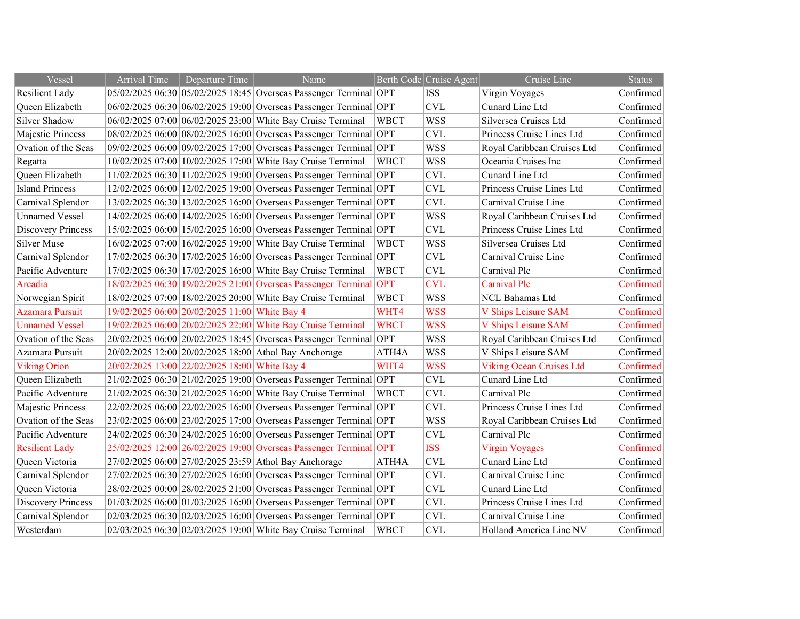| Vessel                    | <b>Arrival Time</b> | Departure Time                                | Name                                                                  |             | Berth Code Cruise Agent   | Cruise Line                     | <b>Status</b> |
|---------------------------|---------------------|-----------------------------------------------|-----------------------------------------------------------------------|-------------|---------------------------|---------------------------------|---------------|
| Resilient Lady            |                     |                                               | 05/02/2025 06:30 05/02/2025 18:45 Overseas Passenger Terminal OPT     |             | <b>ISS</b>                | Virgin Voyages                  | Confirmed     |
| Queen Elizabeth           |                     |                                               | 06/02/2025 06:30 06/02/2025 19:00 Overseas Passenger Terminal OPT     |             | <b>CVL</b>                | Cunard Line Ltd                 | Confirmed     |
| Silver Shadow             |                     |                                               | 06/02/2025 07:00 06/02/2025 23:00 White Bay Cruise Terminal           | <b>WBCT</b> | <b>WSS</b>                | Silversea Cruises Ltd           | Confirmed     |
| Majestic Princess         |                     |                                               | 08/02/2025 06:00 08/02/2025 16:00 Overseas Passenger Terminal OPT     |             | <b>CVL</b>                | Princess Cruise Lines Ltd       | Confirmed     |
| Ovation of the Seas       |                     |                                               | 09/02/2025 06:00 09/02/2025 17:00 Overseas Passenger Terminal OPT     |             | <b>WSS</b>                | Royal Caribbean Cruises Ltd     | Confirmed     |
| Regatta                   |                     |                                               | 10/02/2025 07:00 10/02/2025 17:00 White Bay Cruise Terminal           | <b>WBCT</b> | <b>WSS</b>                | Oceania Cruises Inc             | Confirmed     |
| Queen Elizabeth           |                     |                                               | 11/02/2025 06:30 11/02/2025 19:00 Overseas Passenger Terminal OPT     |             | <b>CVL</b>                | Cunard Line Ltd                 | Confirmed     |
| <b>Island Princess</b>    |                     |                                               | 12/02/2025 06:00 12/02/2025 19:00 Overseas Passenger Terminal OPT     |             | <b>CVL</b>                | Princess Cruise Lines Ltd       | Confirmed     |
| Carnival Splendor         |                     |                                               | 13/02/2025 06:30 13/02/2025 16:00 Overseas Passenger Terminal OPT     |             | $\ensuremath{\text{CVL}}$ | Carnival Cruise Line            | Confirmed     |
| <b>Unnamed Vessel</b>     |                     |                                               | 14/02/2025 06:00 14/02/2025 16:00 Overseas Passenger Terminal OPT     |             | <b>WSS</b>                | Royal Caribbean Cruises Ltd     | Confirmed     |
| <b>Discovery Princess</b> |                     |                                               | 15/02/2025 06:00 15/02/2025 16:00 Overseas Passenger Terminal OPT     |             | $\ensuremath{\text{CVL}}$ | Princess Cruise Lines Ltd       | Confirmed     |
| <b>Silver Muse</b>        |                     |                                               | 16/02/2025 07:00 16/02/2025 19:00 White Bay Cruise Terminal           | <b>WBCT</b> | <b>WSS</b>                | Silversea Cruises Ltd           | Confirmed     |
| Carnival Splendor         |                     |                                               | 17/02/2025 06:30 17/02/2025 16:00 Overseas Passenger Terminal OPT     |             | <b>CVL</b>                | Carnival Cruise Line            | Confirmed     |
| Pacific Adventure         |                     |                                               | 17/02/2025 06:30 17/02/2025 16:00 White Bay Cruise Terminal           | <b>WBCT</b> | <b>CVL</b>                | Carnival Plc                    | Confirmed     |
| Arcadia                   |                     |                                               | 18/02/2025 06:30 19/02/2025 21:00 Overseas Passenger Terminal OPT     |             | <b>CVL</b>                | Carnival Plc                    | Confirmed     |
| Norwegian Spirit          |                     |                                               | 18/02/2025 07:00 18/02/2025 20:00 White Bay Cruise Terminal           | <b>WBCT</b> | <b>WSS</b>                | <b>NCL Bahamas Ltd</b>          | Confirmed     |
| Azamara Pursuit           |                     | 19/02/2025 06:00 20/02/2025 11:00 White Bay 4 |                                                                       | WHT4        | <b>WSS</b>                | V Ships Leisure SAM             | Confirmed     |
| <b>Unnamed Vessel</b>     |                     |                                               | 19/02/2025 06:00 20/02/2025 22:00 White Bay Cruise Terminal           | <b>WBCT</b> | <b>WSS</b>                | V Ships Leisure SAM             | Confirmed     |
| Ovation of the Seas       |                     |                                               | 20/02/2025 06:00 20/02/2025 18:45 Overseas Passenger Terminal OPT     |             | <b>WSS</b>                | Royal Caribbean Cruises Ltd     | Confirmed     |
| Azamara Pursuit           |                     |                                               | 20/02/2025 12:00 20/02/2025 18:00 Athol Bay Anchorage                 | ATH4A       | <b>WSS</b>                | V Ships Leisure SAM             | Confirmed     |
| <b>Viking Orion</b>       |                     | 20/02/2025 13:00 22/02/2025 18:00 White Bay 4 |                                                                       | WHT4        | <b>WSS</b>                | <b>Viking Ocean Cruises Ltd</b> | Confirmed     |
| Queen Elizabeth           |                     |                                               | 21/02/2025 06:30 21/02/2025 19:00 Overseas Passenger Terminal OPT     |             | <b>CVL</b>                | Cunard Line Ltd                 | Confirmed     |
| Pacific Adventure         |                     |                                               | 21/02/2025 06:30 21/02/2025 16:00 White Bay Cruise Terminal           | <b>WBCT</b> | <b>CVL</b>                | Carnival Plc                    | Confirmed     |
| Majestic Princess         |                     |                                               | 22/02/2025 06:00 22/02/2025 16:00 Overseas Passenger Terminal OPT     |             | $\ensuremath{\text{CVL}}$ | Princess Cruise Lines Ltd       | Confirmed     |
| Ovation of the Seas       |                     |                                               | 23/02/2025 06:00 23/02/2025 17:00 Overseas Passenger Terminal OPT     |             | <b>WSS</b>                | Royal Caribbean Cruises Ltd     | Confirmed     |
| Pacific Adventure         |                     |                                               | 24/02/2025 06:30 24/02/2025 16:00 Overseas Passenger Terminal OPT     |             | <b>CVL</b>                | Carnival Plc                    | Confirmed     |
| <b>Resilient Lady</b>     |                     |                                               | 25/02/2025 12:00 26/02/2025 19:00 Overseas Passenger Terminal OPT     |             | <b>ISS</b>                | <b>Virgin Voyages</b>           | Confirmed     |
| Queen Victoria            |                     |                                               | 27/02/2025 06:00 27/02/2025 23:59 Athol Bay Anchorage                 | ATH4A       | <b>CVL</b>                | Cunard Line Ltd                 | Confirmed     |
| Carnival Splendor         |                     |                                               | 27/02/2025 06:30 27/02/2025 16:00 Overseas Passenger Terminal OPT     |             | <b>CVL</b>                | Carnival Cruise Line            | Confirmed     |
| Queen Victoria            |                     |                                               | 28/02/2025 00:00 28/02/2025 21:00 Overseas Passenger Terminal OPT     |             | $\ensuremath{\text{CVL}}$ | Cunard Line Ltd                 | Confirmed     |
| <b>Discovery Princess</b> |                     |                                               | $01/03/2025$ 06:00 $01/03/2025$ 16:00 Overseas Passenger Terminal OPT |             | CVL                       | Princess Cruise Lines Ltd       | Confirmed     |
| Carnival Splendor         |                     |                                               | 02/03/2025 06:30 02/03/2025 16:00 Overseas Passenger Terminal OPT     |             | <b>CVL</b>                | Carnival Cruise Line            | Confirmed     |
| Westerdam                 |                     |                                               | 02/03/2025 06:30 02/03/2025 19:00 White Bay Cruise Terminal           | <b>WBCT</b> | <b>CVL</b>                | Holland America Line NV         | Confirmed     |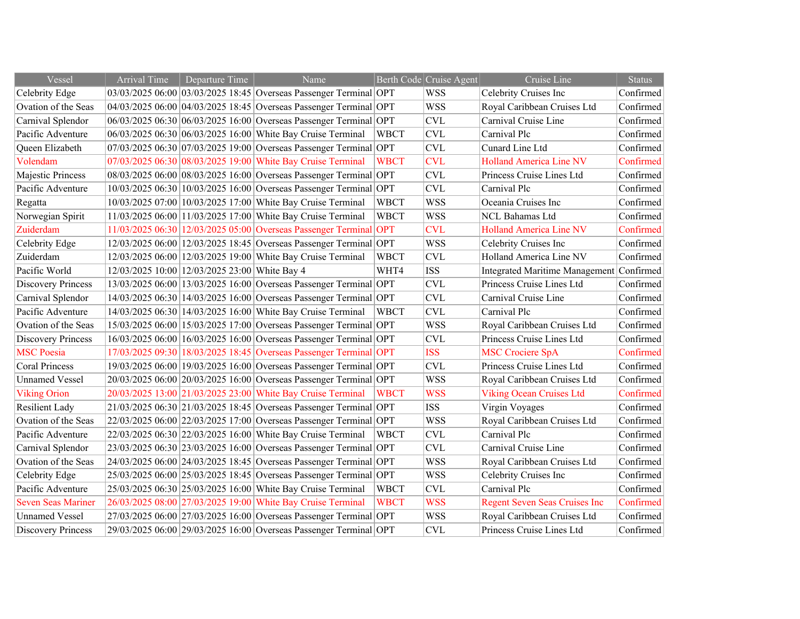| Vessel                    | <b>Arrival Time</b> | Departure Time                                | Name                                                              |             | Berth Code Cruise Agent | Cruise Line                           | <b>Status</b> |
|---------------------------|---------------------|-----------------------------------------------|-------------------------------------------------------------------|-------------|-------------------------|---------------------------------------|---------------|
| Celebrity Edge            |                     |                                               | 03/03/2025 06:00 03/03/2025 18:45 Overseas Passenger Terminal OPT |             | <b>WSS</b>              | Celebrity Cruises Inc                 | Confirmed     |
| Ovation of the Seas       |                     |                                               | 04/03/2025 06:00 04/03/2025 18:45 Overseas Passenger Terminal OPT |             | <b>WSS</b>              | Royal Caribbean Cruises Ltd           | Confirmed     |
| Carnival Splendor         |                     |                                               | 06/03/2025 06:30 06/03/2025 16:00 Overseas Passenger Terminal OPT |             | <b>CVL</b>              | Carnival Cruise Line                  | Confirmed     |
| Pacific Adventure         |                     |                                               | 06/03/2025 06:30 06/03/2025 16:00 White Bay Cruise Terminal       | <b>WBCT</b> | <b>CVL</b>              | Carnival Plc                          | Confirmed     |
| Queen Elizabeth           |                     |                                               | 07/03/2025 06:30 07/03/2025 19:00 Overseas Passenger Terminal OPT |             | <b>CVL</b>              | Cunard Line Ltd                       | Confirmed     |
| Volendam                  |                     |                                               | 07/03/2025 06:30 08/03/2025 19:00 White Bay Cruise Terminal       | <b>WBCT</b> | <b>CVL</b>              | <b>Holland America Line NV</b>        | Confirmed     |
| Majestic Princess         |                     |                                               | 08/03/2025 06:00 08/03/2025 16:00 Overseas Passenger Terminal OPT |             | <b>CVL</b>              | Princess Cruise Lines Ltd             | Confirmed     |
| Pacific Adventure         |                     |                                               | 10/03/2025 06:30 10/03/2025 16:00 Overseas Passenger Terminal OPT |             | <b>CVL</b>              | Carnival Plc                          | Confirmed     |
| Regatta                   |                     |                                               | 10/03/2025 07:00 10/03/2025 17:00 White Bay Cruise Terminal       | <b>WBCT</b> | <b>WSS</b>              | Oceania Cruises Inc                   | Confirmed     |
| Norwegian Spirit          |                     |                                               | 11/03/2025 06:00 11/03/2025 17:00 White Bay Cruise Terminal       | <b>WBCT</b> | <b>WSS</b>              | NCL Bahamas Ltd                       | Confirmed     |
| Zuiderdam                 |                     |                                               | 11/03/2025 06:30 12/03/2025 05:00 Overseas Passenger Terminal OPT |             | <b>CVL</b>              | <b>Holland America Line NV</b>        | Confirmed     |
| Celebrity Edge            |                     |                                               | 12/03/2025 06:00 12/03/2025 18:45 Overseas Passenger Terminal OPT |             | <b>WSS</b>              | Celebrity Cruises Inc                 | Confirmed     |
| Zuiderdam                 |                     |                                               | 12/03/2025 06:00 12/03/2025 19:00 White Bay Cruise Terminal       | <b>WBCT</b> | <b>CVL</b>              | Holland America Line NV               | Confirmed     |
| Pacific World             |                     | 12/03/2025 10:00 12/03/2025 23:00 White Bay 4 |                                                                   | WHT4        | <b>ISS</b>              | <b>Integrated Maritime Management</b> | Confirmed     |
| <b>Discovery Princess</b> |                     |                                               | 13/03/2025 06:00 13/03/2025 16:00 Overseas Passenger Terminal OPT |             | <b>CVL</b>              | Princess Cruise Lines Ltd             | Confirmed     |
| Carnival Splendor         |                     |                                               | 14/03/2025 06:30 14/03/2025 16:00 Overseas Passenger Terminal OPT |             | <b>CVL</b>              | Carnival Cruise Line                  | Confirmed     |
| Pacific Adventure         |                     |                                               | 14/03/2025 06:30 14/03/2025 16:00 White Bay Cruise Terminal       | <b>WBCT</b> | <b>CVL</b>              | Carnival Plc                          | Confirmed     |
| Ovation of the Seas       |                     |                                               | 15/03/2025 06:00 15/03/2025 17:00 Overseas Passenger Terminal OPT |             | <b>WSS</b>              | Royal Caribbean Cruises Ltd           | Confirmed     |
| <b>Discovery Princess</b> |                     |                                               | 16/03/2025 06:00 16/03/2025 16:00 Overseas Passenger Terminal OPT |             | <b>CVL</b>              | Princess Cruise Lines Ltd             | Confirmed     |
| <b>MSC</b> Poesia         |                     |                                               | 17/03/2025 09:30 18/03/2025 18:45 Overseas Passenger Terminal OPT |             | <b>ISS</b>              | <b>MSC Crociere SpA</b>               | Confirmed     |
| <b>Coral Princess</b>     |                     |                                               | 19/03/2025 06:00 19/03/2025 16:00 Overseas Passenger Terminal OPT |             | <b>CVL</b>              | Princess Cruise Lines Ltd             | Confirmed     |
| <b>Unnamed Vessel</b>     |                     |                                               | 20/03/2025 06:00 20/03/2025 16:00 Overseas Passenger Terminal OPT |             | <b>WSS</b>              | Royal Caribbean Cruises Ltd           | Confirmed     |
| <b>Viking Orion</b>       |                     |                                               | 20/03/2025 13:00 21/03/2025 23:00 White Bay Cruise Terminal       | <b>WBCT</b> | <b>WSS</b>              | <b>Viking Ocean Cruises Ltd</b>       | Confirmed     |
| <b>Resilient Lady</b>     |                     |                                               | 21/03/2025 06:30 21/03/2025 18:45 Overseas Passenger Terminal OPT |             | <b>ISS</b>              | Virgin Voyages                        | Confirmed     |
| Ovation of the Seas       |                     |                                               | 22/03/2025 06:00 22/03/2025 17:00 Overseas Passenger Terminal OPT |             | <b>WSS</b>              | Royal Caribbean Cruises Ltd           | Confirmed     |
| Pacific Adventure         |                     |                                               | 22/03/2025 06:30 22/03/2025 16:00 White Bay Cruise Terminal       | <b>WBCT</b> | <b>CVL</b>              | Carnival Plc                          | Confirmed     |
| Carnival Splendor         |                     |                                               | 23/03/2025 06:30 23/03/2025 16:00 Overseas Passenger Terminal OPT |             | <b>CVL</b>              | Carnival Cruise Line                  | Confirmed     |
| Ovation of the Seas       |                     |                                               | 24/03/2025 06:00 24/03/2025 18:45 Overseas Passenger Terminal OPT |             | <b>WSS</b>              | Royal Caribbean Cruises Ltd           | Confirmed     |
| Celebrity Edge            |                     |                                               | 25/03/2025 06:00 25/03/2025 18:45 Overseas Passenger Terminal OPT |             | <b>WSS</b>              | Celebrity Cruises Inc                 | Confirmed     |
| Pacific Adventure         |                     |                                               | 25/03/2025 06:30 25/03/2025 16:00 White Bay Cruise Terminal       | <b>WBCT</b> | <b>CVL</b>              | Carnival Plc                          | Confirmed     |
| <b>Seven Seas Mariner</b> |                     |                                               | 26/03/2025 08:00 27/03/2025 19:00 White Bay Cruise Terminal       | <b>WBCT</b> | <b>WSS</b>              | <b>Regent Seven Seas Cruises Inc</b>  | Confirmed     |
| <b>Unnamed Vessel</b>     |                     |                                               | 27/03/2025 06:00 27/03/2025 16:00 Overseas Passenger Terminal OPT |             | <b>WSS</b>              | Royal Caribbean Cruises Ltd           | Confirmed     |
| <b>Discovery Princess</b> |                     |                                               | 29/03/2025 06:00 29/03/2025 16:00 Overseas Passenger Terminal OPT |             | <b>CVL</b>              | Princess Cruise Lines Ltd             | Confirmed     |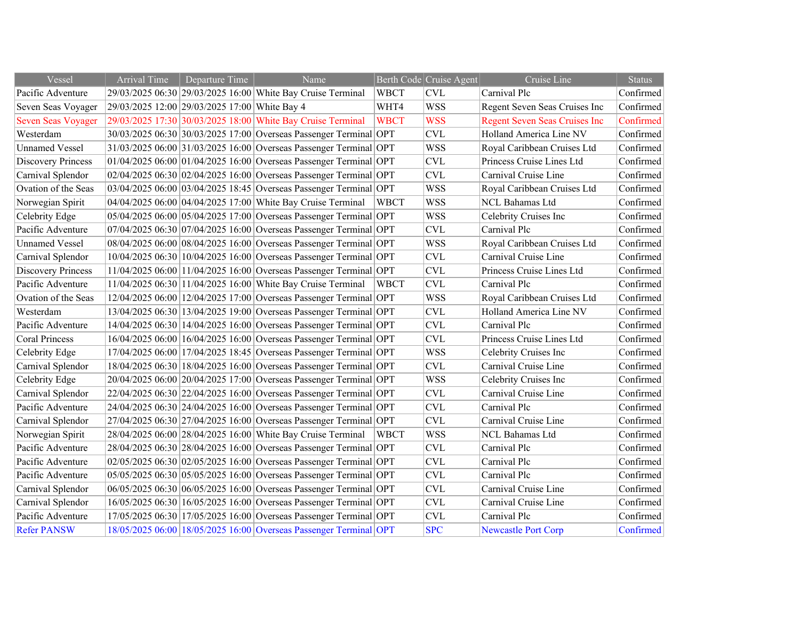| Vessel                    | <b>Arrival Time</b> | Departure Time                                | Name                                                              |             | Berth Code Cruise Agent   | Cruise Line                          | <b>Status</b> |
|---------------------------|---------------------|-----------------------------------------------|-------------------------------------------------------------------|-------------|---------------------------|--------------------------------------|---------------|
| Pacific Adventure         |                     |                                               | 29/03/2025 06:30 29/03/2025 16:00 White Bay Cruise Terminal       | <b>WBCT</b> | <b>CVL</b>                | Carnival Plc                         | Confirmed     |
| Seven Seas Voyager        |                     | 29/03/2025 12:00 29/03/2025 17:00 White Bay 4 |                                                                   | WHT4        | <b>WSS</b>                | Regent Seven Seas Cruises Inc        | Confirmed     |
| <b>Seven Seas Voyager</b> |                     |                                               | 29/03/2025 17:30 30/03/2025 18:00 White Bay Cruise Terminal       | <b>WBCT</b> | <b>WSS</b>                | <b>Regent Seven Seas Cruises Inc</b> | Confirmed     |
| Westerdam                 |                     |                                               | 30/03/2025 06:30 30/03/2025 17:00 Overseas Passenger Terminal OPT |             | $\ensuremath{\text{CVL}}$ | Holland America Line NV              | Confirmed     |
| <b>Unnamed Vessel</b>     |                     |                                               | 31/03/2025 06:00 31/03/2025 16:00 Overseas Passenger Terminal OPT |             | <b>WSS</b>                | Royal Caribbean Cruises Ltd          | Confirmed     |
| <b>Discovery Princess</b> |                     |                                               | 01/04/2025 06:00 01/04/2025 16:00 Overseas Passenger Terminal OPT |             | $\ensuremath{\text{CVL}}$ | Princess Cruise Lines Ltd            | Confirmed     |
| Carnival Splendor         |                     |                                               | 02/04/2025 06:30 02/04/2025 16:00 Overseas Passenger Terminal OPT |             | <b>CVL</b>                | Carnival Cruise Line                 | Confirmed     |
| Ovation of the Seas       |                     |                                               | 03/04/2025 06:00 03/04/2025 18:45 Overseas Passenger Terminal OPT |             | <b>WSS</b>                | Royal Caribbean Cruises Ltd          | Confirmed     |
| Norwegian Spirit          |                     |                                               | 04/04/2025 06:00 04/04/2025 17:00 White Bay Cruise Terminal       | <b>WBCT</b> | <b>WSS</b>                | NCL Bahamas Ltd                      | Confirmed     |
| Celebrity Edge            |                     |                                               | 05/04/2025 06:00 05/04/2025 17:00 Overseas Passenger Terminal OPT |             | <b>WSS</b>                | Celebrity Cruises Inc                | Confirmed     |
| Pacific Adventure         |                     |                                               | 07/04/2025 06:30 07/04/2025 16:00 Overseas Passenger Terminal OPT |             | $\ensuremath{\text{CVL}}$ | Carnival Plc                         | Confirmed     |
| <b>Unnamed Vessel</b>     |                     |                                               | 08/04/2025 06:00 08/04/2025 16:00 Overseas Passenger Terminal OPT |             | <b>WSS</b>                | Royal Caribbean Cruises Ltd          | Confirmed     |
| Carnival Splendor         |                     |                                               | 10/04/2025 06:30 10/04/2025 16:00 Overseas Passenger Terminal OPT |             | <b>CVL</b>                | Carnival Cruise Line                 | Confirmed     |
| <b>Discovery Princess</b> |                     |                                               | 11/04/2025 06:00 11/04/2025 16:00 Overseas Passenger Terminal OPT |             | $\ensuremath{\text{CVL}}$ | Princess Cruise Lines Ltd            | Confirmed     |
| Pacific Adventure         |                     |                                               | 11/04/2025 06:30 11/04/2025 16:00 White Bay Cruise Terminal       | <b>WBCT</b> | <b>CVL</b>                | Carnival Plc                         | Confirmed     |
| Ovation of the Seas       |                     |                                               | 12/04/2025 06:00 12/04/2025 17:00 Overseas Passenger Terminal OPT |             | <b>WSS</b>                | Royal Caribbean Cruises Ltd          | Confirmed     |
| Westerdam                 |                     |                                               | 13/04/2025 06:30 13/04/2025 19:00 Overseas Passenger Terminal OPT |             | <b>CVL</b>                | Holland America Line NV              | Confirmed     |
| Pacific Adventure         |                     |                                               | 14/04/2025 06:30 14/04/2025 16:00 Overseas Passenger Terminal OPT |             | <b>CVL</b>                | Carnival Plc                         | Confirmed     |
| <b>Coral Princess</b>     |                     |                                               | 16/04/2025 06:00 16/04/2025 16:00 Overseas Passenger Terminal OPT |             | <b>CVL</b>                | Princess Cruise Lines Ltd            | Confirmed     |
| Celebrity Edge            |                     |                                               | 17/04/2025 06:00 17/04/2025 18:45 Overseas Passenger Terminal OPT |             | <b>WSS</b>                | Celebrity Cruises Inc                | Confirmed     |
| Carnival Splendor         |                     |                                               | 18/04/2025 06:30 18/04/2025 16:00 Overseas Passenger Terminal OPT |             | $\ensuremath{\text{CVL}}$ | Carnival Cruise Line                 | Confirmed     |
| Celebrity Edge            |                     |                                               | 20/04/2025 06:00 20/04/2025 17:00 Overseas Passenger Terminal OPT |             | <b>WSS</b>                | Celebrity Cruises Inc                | Confirmed     |
| Carnival Splendor         |                     |                                               | 22/04/2025 06:30 22/04/2025 16:00 Overseas Passenger Terminal OPT |             | <b>CVL</b>                | Carnival Cruise Line                 | Confirmed     |
| Pacific Adventure         |                     |                                               | 24/04/2025 06:30 24/04/2025 16:00 Overseas Passenger Terminal OPT |             | $\ensuremath{\text{CVL}}$ | Carnival Plc                         | Confirmed     |
| Carnival Splendor         |                     |                                               | 27/04/2025 06:30 27/04/2025 16:00 Overseas Passenger Terminal OPT |             | <b>CVL</b>                | Carnival Cruise Line                 | Confirmed     |
| Norwegian Spirit          |                     |                                               | 28/04/2025 06:00 28/04/2025 16:00 White Bay Cruise Terminal       | <b>WBCT</b> | <b>WSS</b>                | <b>NCL Bahamas Ltd</b>               | Confirmed     |
| Pacific Adventure         |                     |                                               | 28/04/2025 06:30 28/04/2025 16:00 Overseas Passenger Terminal OPT |             | <b>CVL</b>                | Carnival Plc                         | Confirmed     |
| Pacific Adventure         |                     |                                               | 02/05/2025 06:30 02/05/2025 16:00 Overseas Passenger Terminal OPT |             | <b>CVL</b>                | Carnival Plc                         | Confirmed     |
| Pacific Adventure         |                     |                                               | 05/05/2025 06:30 05/05/2025 16:00 Overseas Passenger Terminal OPT |             | CVL                       | Carnival Plc                         | Confirmed     |
| Carnival Splendor         |                     |                                               | 06/05/2025 06:30 06/05/2025 16:00 Overseas Passenger Terminal OPT |             | $\ensuremath{\text{CVL}}$ | Carnival Cruise Line                 | Confirmed     |
| Carnival Splendor         |                     |                                               | 16/05/2025 06:30 16/05/2025 16:00 Overseas Passenger Terminal OPT |             | CVL                       | Carnival Cruise Line                 | Confirmed     |
| Pacific Adventure         |                     |                                               | 17/05/2025 06:30 17/05/2025 16:00 Overseas Passenger Terminal OPT |             | <b>CVL</b>                | Carnival Plc                         | Confirmed     |
| <b>Refer PANSW</b>        |                     |                                               | 18/05/2025 06:00 18/05/2025 16:00 Overseas Passenger Terminal OPT |             | <b>SPC</b>                | <b>Newcastle Port Corp</b>           | Confirmed     |